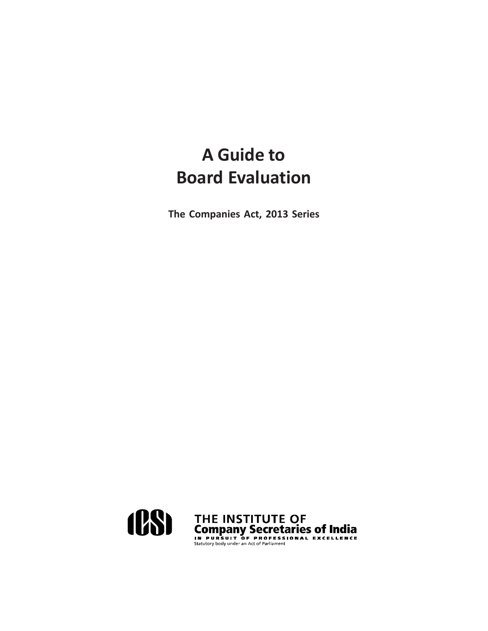**The Companies Act, 2013 Series**

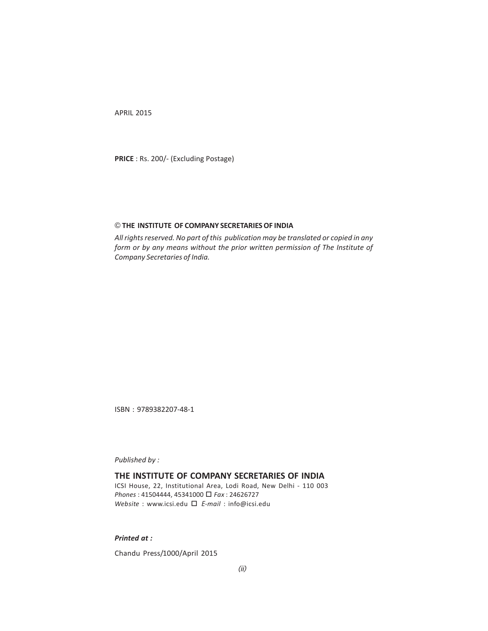APRIL 2015

**PRICE** : Rs. 200/- (Excluding Postage)

#### © **THE INSTITUTE OF COMPANY SECRETARIES OF INDIA**

*All rights reserved. No part of this publication may be translated or copied in any form or by any means without the prior written permission of The Institute of Company Secretaries of India.*

ISBN : 9789382207-48-1

*Published by :*

#### **THE INSTITUTE OF COMPANY SECRETARIES OF INDIA**

ICSI House, 22, Institutional Area, Lodi Road, New Delhi - 110 003 *Phones* : 41504444, 45341000 *Fax* : 24626727 *Website* : www.icsi.edu <sup>E</sup>*-mail* : info@icsi.edu

*Printed at :*

Chandu Press/1000/April 2015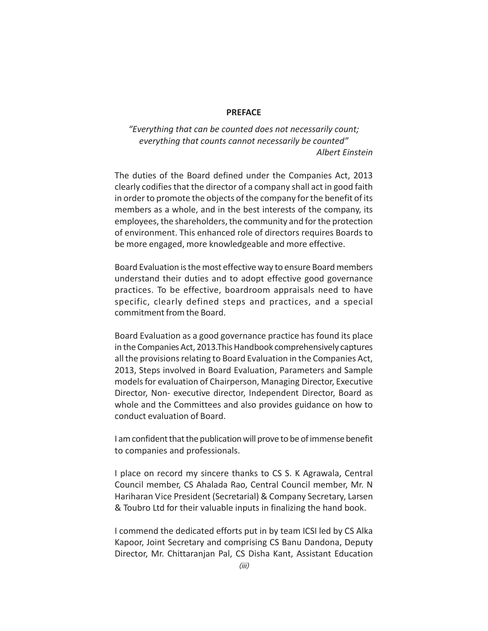#### **PREFACE**

*"Everything that can be counted does not necessarily count; everything that counts cannot necessarily be counted" Albert Einstein*

The duties of the Board defined under the Companies Act, 2013 clearly codifies that the director of a company shall act in good faith in order to promote the objects of the company for the benefit of its members as a whole, and in the best interests of the company, its employees, the shareholders, the community and for the protection of environment. This enhanced role of directors requires Boards to be more engaged, more knowledgeable and more effective.

Board Evaluation is the most effective way to ensure Board members understand their duties and to adopt effective good governance practices. To be effective, boardroom appraisals need to have specific, clearly defined steps and practices, and a special commitment from the Board.

Board Evaluation as a good governance practice has found its place in the Companies Act, 2013.This Handbook comprehensively captures all the provisions relating to Board Evaluation in the Companies Act, 2013, Steps involved in Board Evaluation, Parameters and Sample models for evaluation of Chairperson, Managing Director, Executive Director, Non- executive director, Independent Director, Board as whole and the Committees and also provides guidance on how to conduct evaluation of Board.

I am confident that the publication will prove to be of immense benefit to companies and professionals.

I place on record my sincere thanks to CS S. K Agrawala, Central Council member, CS Ahalada Rao, Central Council member, Mr. N Hariharan Vice President (Secretarial) & Company Secretary, Larsen & Toubro Ltd for their valuable inputs in finalizing the hand book.

I commend the dedicated efforts put in by team ICSI led by CS Alka Kapoor, Joint Secretary and comprising CS Banu Dandona, Deputy Director, Mr. Chittaranjan Pal, CS Disha Kant, Assistant Education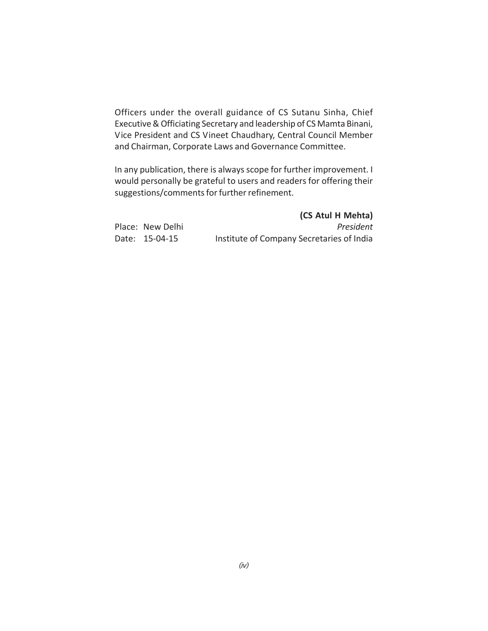Officers under the overall guidance of CS Sutanu Sinha, Chief Executive & Officiating Secretary and leadership of CS Mamta Binani, Vice President and CS Vineet Chaudhary, Central Council Member and Chairman, Corporate Laws and Governance Committee.

In any publication, there is always scope for further improvement. I would personally be grateful to users and readers for offering their suggestions/comments for further refinement.

|                  | (CS Atul H Mehta)                         |
|------------------|-------------------------------------------|
| Place: New Delhi | President                                 |
| Date: 15-04-15   | Institute of Company Secretaries of India |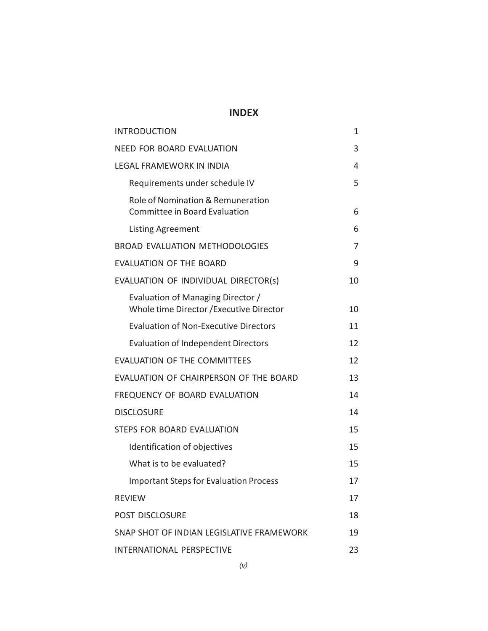## **INDEX**

| <b>INTRODUCTION</b>                                                           | 1  |
|-------------------------------------------------------------------------------|----|
| <b>NEED FOR BOARD EVALUATION</b>                                              | 3  |
| <b>LEGAL FRAMEWORK IN INDIA</b>                                               | 4  |
| Requirements under schedule IV                                                | 5  |
| Role of Nomination & Remuneration<br>Committee in Board Evaluation            | 6  |
| <b>Listing Agreement</b>                                                      | 6  |
| <b>BROAD EVALUATION METHODOLOGIES</b>                                         | 7  |
| <b>EVALUATION OF THE BOARD</b>                                                | 9  |
| EVALUATION OF INDIVIDUAL DIRECTOR(s)                                          | 10 |
| Evaluation of Managing Director /<br>Whole time Director / Executive Director | 10 |
| <b>Evaluation of Non-Executive Directors</b>                                  | 11 |
| <b>Evaluation of Independent Directors</b>                                    | 12 |
| <b>EVALUATION OF THE COMMITTEES</b>                                           | 12 |
| EVALUATION OF CHAIRPERSON OF THE BOARD                                        | 13 |
| FREQUENCY OF BOARD EVALUATION                                                 | 14 |
| <b>DISCLOSURE</b>                                                             | 14 |
| STEPS FOR BOARD EVALUATION                                                    | 15 |
| Identification of objectives                                                  | 15 |
| What is to be evaluated?                                                      | 15 |
| <b>Important Steps for Evaluation Process</b>                                 | 17 |
| <b>REVIEW</b>                                                                 | 17 |
| <b>POST DISCLOSURE</b>                                                        | 18 |
| SNAP SHOT OF INDIAN LEGISLATIVE FRAMEWORK                                     | 19 |
| INTERNATIONAL PERSPECTIVE                                                     | 23 |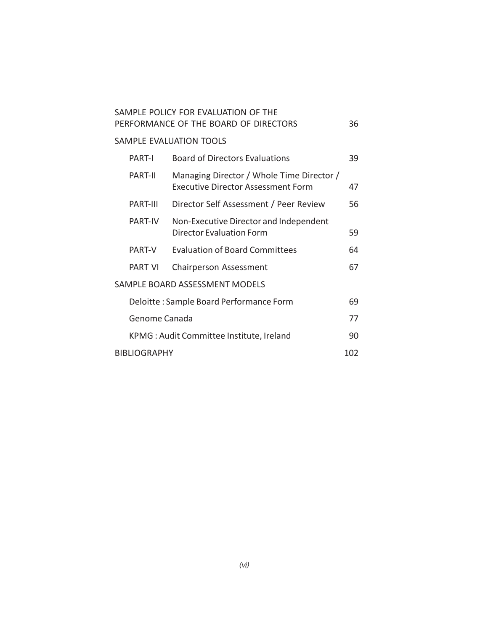|                                          | SAMPLE POLICY FOR EVALUATION OF THE<br>PERFORMANCE OF THE BOARD OF DIRECTORS           | 36  |
|------------------------------------------|----------------------------------------------------------------------------------------|-----|
|                                          | SAMPLE EVALUATION TOOLS                                                                |     |
| PART-I                                   | <b>Board of Directors Evaluations</b>                                                  | 39  |
| PART-II                                  | Managing Director / Whole Time Director /<br><b>Executive Director Assessment Form</b> | 47  |
| PART-III                                 | Director Self Assessment / Peer Review                                                 | 56  |
| PART-IV                                  | Non-Executive Director and Independent<br>Director Evaluation Form                     | 59  |
| PART-V                                   | <b>Evaluation of Board Committees</b>                                                  | 64  |
| <b>PART VI</b>                           | Chairperson Assessment                                                                 | 67  |
|                                          | SAMPLE BOARD ASSESSMENT MODELS                                                         |     |
|                                          | Deloitte: Sample Board Performance Form                                                | 69  |
| Genome Canada                            |                                                                                        | 77  |
| KPMG: Audit Committee Institute, Ireland |                                                                                        | 90  |
| <b>BIBLIOGRAPHY</b>                      |                                                                                        | 102 |
|                                          |                                                                                        |     |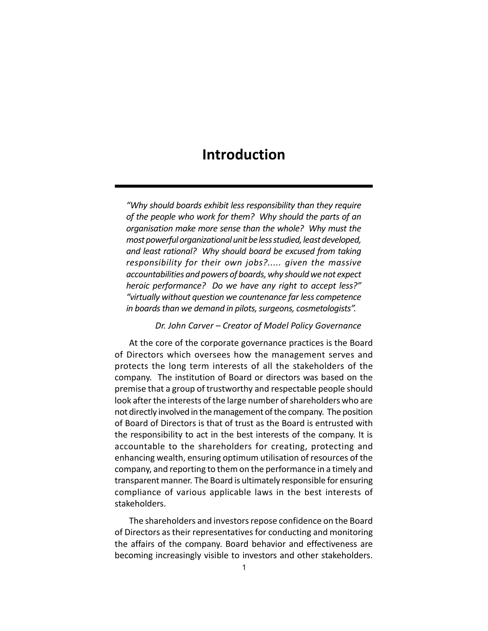## **Introduction**

*"Why should boards exhibit less responsibility than they require of the people who work for them? Why should the parts of an organisation make more sense than the whole? Why must the most powerful organizational unit be less studied, least developed, and least rational? Why should board be excused from taking responsibility for their own jobs?..... given the massive accountabilities and powers of boards, why should we not expect heroic performance? Do we have any right to accept less?" "virtually without question we countenance far less competence in boards than we demand in pilots, surgeons, cosmetologists".*

*Dr. John Carver – Creator of Model Policy Governance*

At the core of the corporate governance practices is the Board of Directors which oversees how the management serves and protects the long term interests of all the stakeholders of the company. The institution of Board or directors was based on the premise that a group of trustworthy and respectable people should look after the interests of the large number of shareholders who are not directly involved in the management of the company. The position of Board of Directors is that of trust as the Board is entrusted with the responsibility to act in the best interests of the company. It is accountable to the shareholders for creating, protecting and enhancing wealth, ensuring optimum utilisation of resources of the company, and reporting to them on the performance in a timely and transparent manner. The Board is ultimately responsible for ensuring compliance of various applicable laws in the best interests of stakeholders.

The shareholders and investors repose confidence on the Board of Directors as their representatives for conducting and monitoring the affairs of the company. Board behavior and effectiveness are becoming increasingly visible to investors and other stakeholders.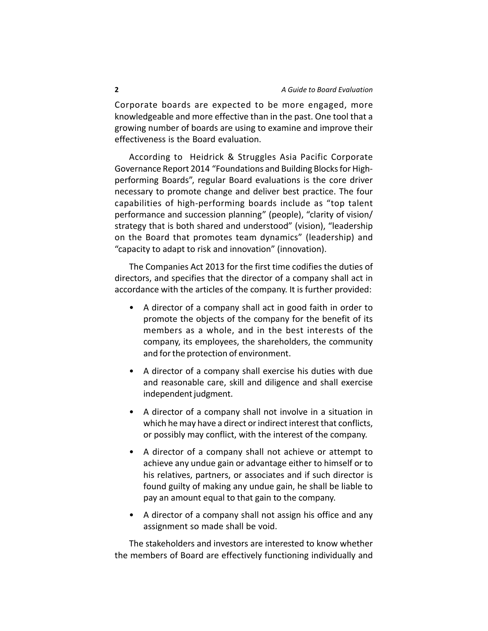Corporate boards are expected to be more engaged, more knowledgeable and more effective than in the past. One tool that a growing number of boards are using to examine and improve their effectiveness is the Board evaluation.

According to Heidrick & Struggles Asia Pacific Corporate Governance Report 2014 "Foundations and Building Blocks for Highperforming Boards", regular Board evaluations is the core driver necessary to promote change and deliver best practice. The four capabilities of high-performing boards include as "top talent performance and succession planning" (people), "clarity of vision/ strategy that is both shared and understood" (vision), "leadership on the Board that promotes team dynamics" (leadership) and "capacity to adapt to risk and innovation" (innovation).

The Companies Act 2013 for the first time codifies the duties of directors, and specifies that the director of a company shall act in accordance with the articles of the company. It is further provided:

- A director of a company shall act in good faith in order to promote the objects of the company for the benefit of its members as a whole, and in the best interests of the company, its employees, the shareholders, the community and for the protection of environment.
- A director of a company shall exercise his duties with due and reasonable care, skill and diligence and shall exercise independent judgment.
- A director of a company shall not involve in a situation in which he may have a direct or indirect interest that conflicts, or possibly may conflict, with the interest of the company.
- A director of a company shall not achieve or attempt to achieve any undue gain or advantage either to himself or to his relatives, partners, or associates and if such director is found guilty of making any undue gain, he shall be liable to pay an amount equal to that gain to the company.
- A director of a company shall not assign his office and any assignment so made shall be void.

The stakeholders and investors are interested to know whether the members of Board are effectively functioning individually and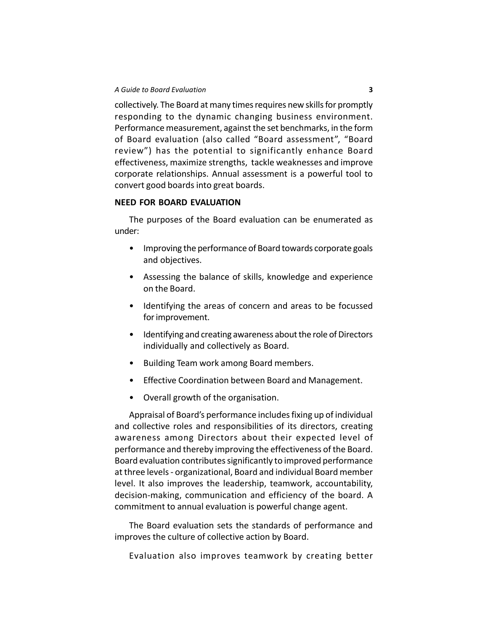collectively. The Board at many times requires new skills for promptly responding to the dynamic changing business environment. Performance measurement, against the set benchmarks, in the form of Board evaluation (also called "Board assessment", "Board review") has the potential to significantly enhance Board effectiveness, maximize strengths, tackle weaknesses and improve corporate relationships. Annual assessment is a powerful tool to convert good boards into great boards.

#### **NEED FOR BOARD EVALUATION**

The purposes of the Board evaluation can be enumerated as under:

- Improving the performance of Board towards corporate goals and objectives.
- Assessing the balance of skills, knowledge and experience on the Board.
- Identifying the areas of concern and areas to be focussed for improvement.
- Identifying and creating awareness about the role of Directors individually and collectively as Board.
- Building Team work among Board members.
- Effective Coordination between Board and Management.
- Overall growth of the organisation.

Appraisal of Board's performance includes fixing up of individual and collective roles and responsibilities of its directors, creating awareness among Directors about their expected level of performance and thereby improving the effectiveness of the Board. Board evaluation contributes significantly to improved performance at three levels - organizational, Board and individual Board member level. It also improves the leadership, teamwork, accountability, decision-making, communication and efficiency of the board. A commitment to annual evaluation is powerful change agent.

The Board evaluation sets the standards of performance and improves the culture of collective action by Board.

Evaluation also improves teamwork by creating better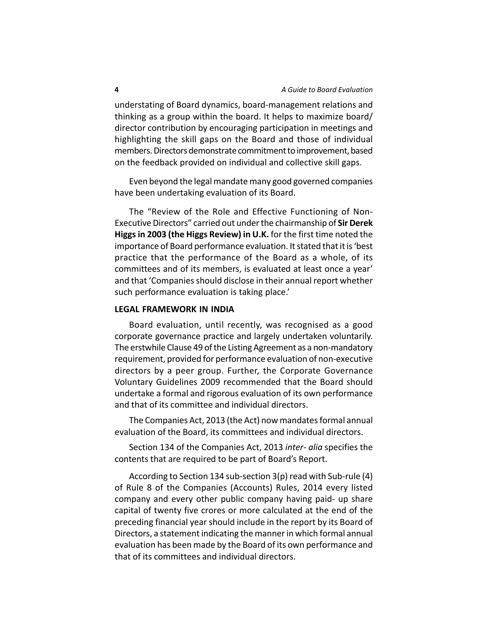understating of Board dynamics, board-management relations and thinking as a group within the board. It helps to maximize board/ director contribution by encouraging participation in meetings and highlighting the skill gaps on the Board and those of individual members. Directors demonstrate commitment to improvement, based on the feedback provided on individual and collective skill gaps.

Even beyond the legal mandate many good governed companies have been undertaking evaluation of its Board.

The "Review of the Role and Effective Functioning of Non-Executive Directors" carried out under the chairmanship of **Sir Derek Higgs in 2003 (the Higgs Review) in U.K.** for the first time noted the importance of Board performance evaluation. It stated that it is 'best practice that the performance of the Board as a whole, of its committees and of its members, is evaluated at least once a year' and that 'Companies should disclose in their annual report whether such performance evaluation is taking place.'

#### **LEGAL FRAMEWORK IN INDIA**

Board evaluation, until recently, was recognised as a good corporate governance practice and largely undertaken voluntarily. The erstwhile Clause 49 of the Listing Agreement as a non-mandatory requirement, provided for performance evaluation of non-executive directors by a peer group. Further, the Corporate Governance Voluntary Guidelines 2009 recommended that the Board should undertake a formal and rigorous evaluation of its own performance and that of its committee and individual directors.

The Companies Act, 2013 (the Act) now mandates formal annual evaluation of the Board, its committees and individual directors.

Section 134 of the Companies Act, 2013 *inter- alia* specifies the contents that are required to be part of Board's Report.

According to Section 134 sub-section 3(p) read with Sub-rule (4) of Rule 8 of the Companies (Accounts) Rules, 2014 every listed company and every other public company having paid- up share capital of twenty five crores or more calculated at the end of the preceding financial year should include in the report by its Board of Directors, a statement indicating the manner in which formal annual evaluation has been made by the Board of its own performance and that of its committees and individual directors.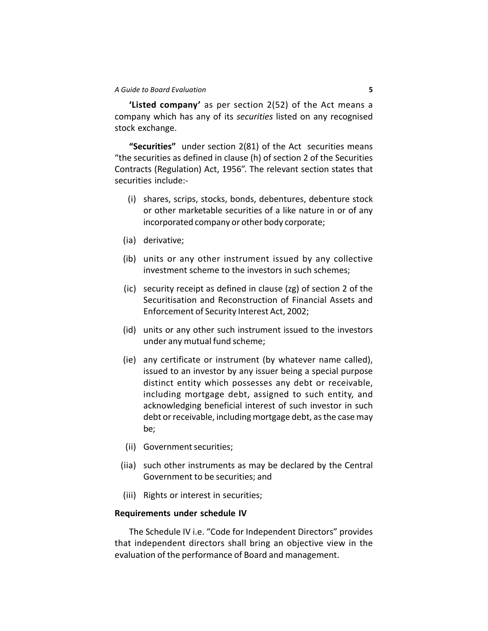**'Listed company'** as per section 2(52) of the Act means a company which has any of its *securities* listed on any recognised stock exchange.

**"Securities"** under section 2(81) of the Act securities means "the securities as defined in clause (h) of section 2 of the Securities Contracts (Regulation) Act, 1956". The relevant section states that securities include:-

- (i) shares, scrips, stocks, bonds, debentures, debenture stock or other marketable securities of a like nature in or of any incorporated company or other body corporate;
- (ia) derivative;
- (ib) units or any other instrument issued by any collective investment scheme to the investors in such schemes;
- (ic) security receipt as defined in clause (zg) of section 2 of the Securitisation and Reconstruction of Financial Assets and Enforcement of Security Interest Act, 2002;
- (id) units or any other such instrument issued to the investors under any mutual fund scheme;
- (ie) any certificate or instrument (by whatever name called), issued to an investor by any issuer being a special purpose distinct entity which possesses any debt or receivable, including mortgage debt, assigned to such entity, and acknowledging beneficial interest of such investor in such debt or receivable, including mortgage debt, as the case may be;
- (ii) Government securities;
- (iia) such other instruments as may be declared by the Central Government to be securities; and
- (iii) Rights or interest in securities;

#### **Requirements under schedule IV**

The Schedule IV i.e. "Code for Independent Directors" provides that independent directors shall bring an objective view in the evaluation of the performance of Board and management.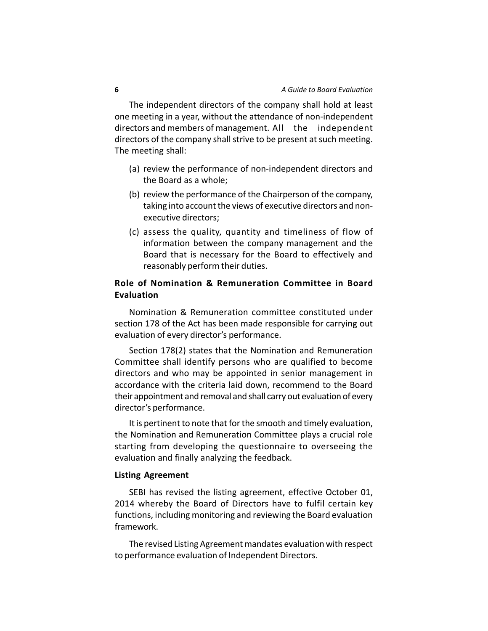The independent directors of the company shall hold at least one meeting in a year, without the attendance of non-independent directors and members of management. All the independent directors of the company shall strive to be present at such meeting. The meeting shall:

- (a) review the performance of non-independent directors and the Board as a whole;
- (b) review the performance of the Chairperson of the company, taking into account the views of executive directors and nonexecutive directors;
- (c) assess the quality, quantity and timeliness of flow of information between the company management and the Board that is necessary for the Board to effectively and reasonably perform their duties.

### **Role of Nomination & Remuneration Committee in Board Evaluation**

Nomination & Remuneration committee constituted under section 178 of the Act has been made responsible for carrying out evaluation of every director's performance.

Section 178(2) states that the Nomination and Remuneration Committee shall identify persons who are qualified to become directors and who may be appointed in senior management in accordance with the criteria laid down, recommend to the Board their appointment and removal and shall carry out evaluation of every director's performance.

It is pertinent to note that for the smooth and timely evaluation, the Nomination and Remuneration Committee plays a crucial role starting from developing the questionnaire to overseeing the evaluation and finally analyzing the feedback.

#### **Listing Agreement**

SEBI has revised the listing agreement, effective October 01, 2014 whereby the Board of Directors have to fulfil certain key functions, including monitoring and reviewing the Board evaluation framework.

The revised Listing Agreement mandates evaluation with respect to performance evaluation of Independent Directors.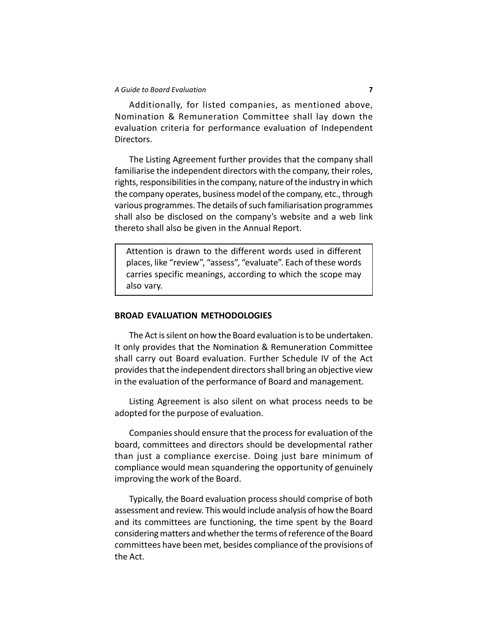Additionally, for listed companies, as mentioned above, Nomination & Remuneration Committee shall lay down the evaluation criteria for performance evaluation of Independent Directors.

The Listing Agreement further provides that the company shall familiarise the independent directors with the company, their roles, rights, responsibilities in the company, nature of the industry in which the company operates, business model of the company, etc., through various programmes. The details of such familiarisation programmes shall also be disclosed on the company's website and a web link thereto shall also be given in the Annual Report.

Attention is drawn to the different words used in different places, like "review", "assess", "evaluate". Each of these words carries specific meanings, according to which the scope may also vary.

#### **BROAD EVALUATION METHODOLOGIES**

The Act is silent on how the Board evaluation is to be undertaken. It only provides that the Nomination & Remuneration Committee shall carry out Board evaluation. Further Schedule IV of the Act provides that the independent directors shall bring an objective view in the evaluation of the performance of Board and management.

Listing Agreement is also silent on what process needs to be adopted for the purpose of evaluation.

Companies should ensure that the process for evaluation of the board, committees and directors should be developmental rather than just a compliance exercise. Doing just bare minimum of compliance would mean squandering the opportunity of genuinely improving the work of the Board.

Typically, the Board evaluation process should comprise of both assessment and review. This would include analysis of how the Board and its committees are functioning, the time spent by the Board considering matters and whether the terms of reference of the Board committees have been met, besides compliance of the provisions of the Act.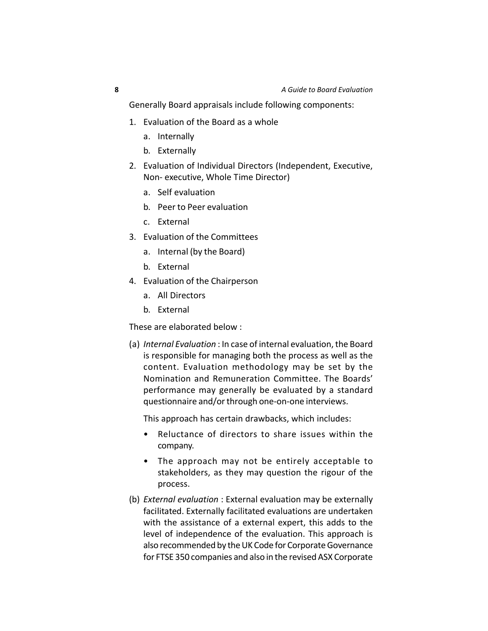Generally Board appraisals include following components:

- 1. Evaluation of the Board as a whole
	- a. Internally
	- b. Externally
- 2. Evaluation of Individual Directors (Independent, Executive, Non- executive, Whole Time Director)
	- a. Self evaluation
	- b. Peer to Peer evaluation
	- c. External
- 3. Evaluation of the Committees
	- a. Internal (by the Board)
	- b. External
- 4. Evaluation of the Chairperson
	- a. All Directors
	- b. External

These are elaborated below :

(a) *Internal Evaluation* : In case of internal evaluation, the Board is responsible for managing both the process as well as the content. Evaluation methodology may be set by the Nomination and Remuneration Committee. The Boards' performance may generally be evaluated by a standard questionnaire and/or through one-on-one interviews.

This approach has certain drawbacks, which includes:

- Reluctance of directors to share issues within the company.
- The approach may not be entirely acceptable to stakeholders, as they may question the rigour of the process.
- (b) *External evaluation* : External evaluation may be externally facilitated. Externally facilitated evaluations are undertaken with the assistance of a external expert, this adds to the level of independence of the evaluation. This approach is also recommended by the UK Code for Corporate Governance for FTSE 350 companies and also in the revised ASX Corporate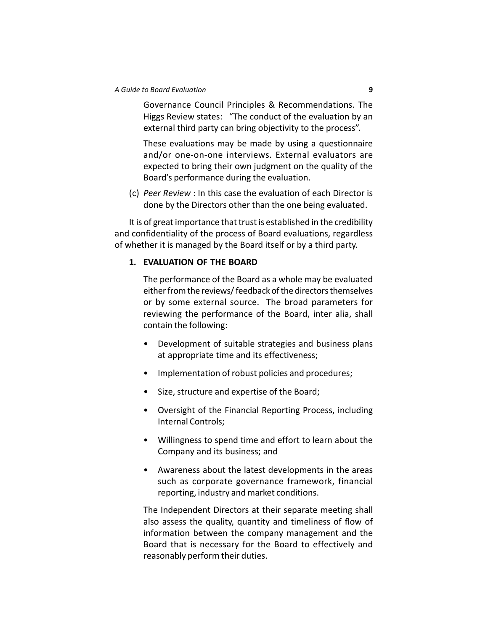Governance Council Principles & Recommendations. The Higgs Review states: "The conduct of the evaluation by an external third party can bring objectivity to the process".

These evaluations may be made by using a questionnaire and/or one-on-one interviews. External evaluators are expected to bring their own judgment on the quality of the Board's performance during the evaluation.

(c) *Peer Review* : In this case the evaluation of each Director is done by the Directors other than the one being evaluated.

It is of great importance that trust is established in the credibility and confidentiality of the process of Board evaluations, regardless of whether it is managed by the Board itself or by a third party.

#### **1. EVALUATION OF THE BOARD**

The performance of the Board as a whole may be evaluated either from the reviews/ feedback of the directors themselves or by some external source. The broad parameters for reviewing the performance of the Board, inter alia, shall contain the following:

- Development of suitable strategies and business plans at appropriate time and its effectiveness;
- Implementation of robust policies and procedures;
- Size, structure and expertise of the Board;
- Oversight of the Financial Reporting Process, including Internal Controls;
- Willingness to spend time and effort to learn about the Company and its business; and
- Awareness about the latest developments in the areas such as corporate governance framework, financial reporting, industry and market conditions.

The Independent Directors at their separate meeting shall also assess the quality, quantity and timeliness of flow of information between the company management and the Board that is necessary for the Board to effectively and reasonably perform their duties.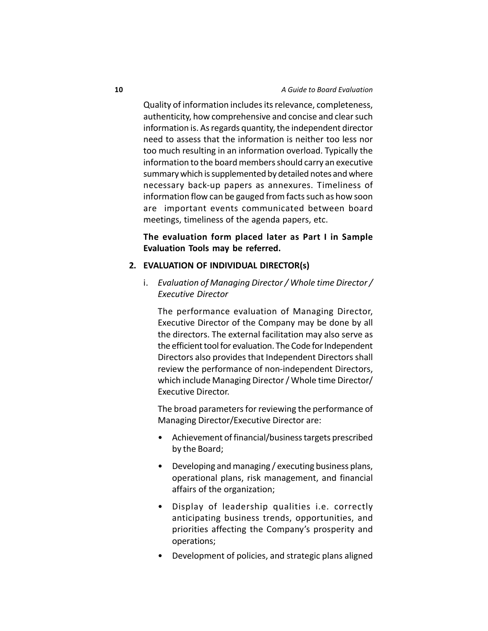Quality of information includes its relevance, completeness, authenticity, how comprehensive and concise and clear such information is. As regards quantity, the independent director need to assess that the information is neither too less nor too much resulting in an information overload. Typically the information to the board members should carry an executive summary which is supplemented by detailed notes and where necessary back-up papers as annexures. Timeliness of information flow can be gauged from facts such as how soon are important events communicated between board meetings, timeliness of the agenda papers, etc.

#### **The evaluation form placed later as Part I in Sample Evaluation Tools may be referred.**

#### **2. EVALUATION OF INDIVIDUAL DIRECTOR(s)**

i. *Evaluation of Managing Director / Whole time Director / Executive Director*

The performance evaluation of Managing Director, Executive Director of the Company may be done by all the directors. The external facilitation may also serve as the efficient tool for evaluation. The Code for Independent Directors also provides that Independent Directors shall review the performance of non-independent Directors, which include Managing Director / Whole time Director/ Executive Director.

The broad parameters for reviewing the performance of Managing Director/Executive Director are:

- Achievement of financial/business targets prescribed by the Board;
- Developing and managing / executing business plans, operational plans, risk management, and financial affairs of the organization;
- Display of leadership qualities i.e. correctly anticipating business trends, opportunities, and priorities affecting the Company's prosperity and operations;
- Development of policies, and strategic plans aligned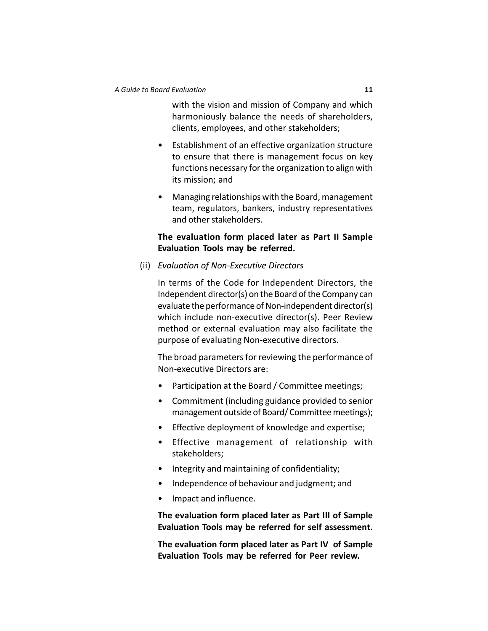with the vision and mission of Company and which harmoniously balance the needs of shareholders, clients, employees, and other stakeholders;

- Establishment of an effective organization structure to ensure that there is management focus on key functions necessary for the organization to align with its mission; and
- Managing relationships with the Board, management team, regulators, bankers, industry representatives and other stakeholders.

### **The evaluation form placed later as Part II Sample Evaluation Tools may be referred.**

(ii) *Evaluation of Non-Executive Directors*

In terms of the Code for Independent Directors, the Independent director(s) on the Board of the Company can evaluate the performance of Non-independent director(s) which include non-executive director(s). Peer Review method or external evaluation may also facilitate the purpose of evaluating Non-executive directors.

The broad parameters for reviewing the performance of Non-executive Directors are:

- Participation at the Board / Committee meetings;
- Commitment (including guidance provided to senior management outside of Board/ Committee meetings);
- Effective deployment of knowledge and expertise;
- Effective management of relationship with stakeholders;
- Integrity and maintaining of confidentiality;
- Independence of behaviour and judgment; and
- Impact and influence.

**The evaluation form placed later as Part III of Sample Evaluation Tools may be referred for self assessment.**

**The evaluation form placed later as Part IV of Sample Evaluation Tools may be referred for Peer review.**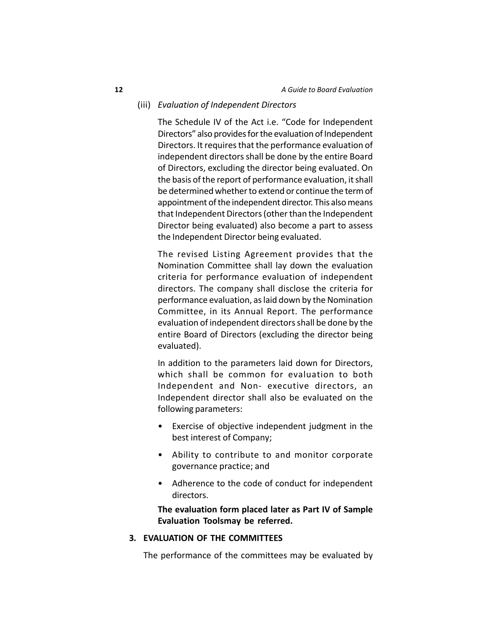#### (iii) *Evaluation of Independent Directors*

The Schedule IV of the Act i.e. "Code for Independent Directors" also provides for the evaluation of Independent Directors. It requires that the performance evaluation of independent directors shall be done by the entire Board of Directors, excluding the director being evaluated. On the basis of the report of performance evaluation, it shall be determined whether to extend or continue the term of appointment of the independent director. This also means that Independent Directors (other than the Independent Director being evaluated) also become a part to assess the Independent Director being evaluated.

The revised Listing Agreement provides that the Nomination Committee shall lay down the evaluation criteria for performance evaluation of independent directors. The company shall disclose the criteria for performance evaluation, as laid down by the Nomination Committee, in its Annual Report. The performance evaluation of independent directors shall be done by the entire Board of Directors (excluding the director being evaluated).

In addition to the parameters laid down for Directors, which shall be common for evaluation to both Independent and Non- executive directors, an Independent director shall also be evaluated on the following parameters:

- Exercise of objective independent judgment in the best interest of Company;
- Ability to contribute to and monitor corporate governance practice; and
- Adherence to the code of conduct for independent directors.

**The evaluation form placed later as Part IV of Sample Evaluation Toolsmay be referred.**

#### **3. EVALUATION OF THE COMMITTEES**

The performance of the committees may be evaluated by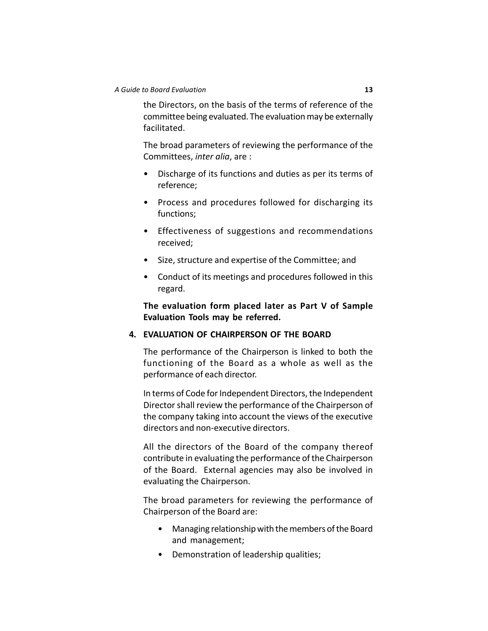the Directors, on the basis of the terms of reference of the committee being evaluated. The evaluation may be externally facilitated.

The broad parameters of reviewing the performance of the Committees, *inter alia*, are :

- Discharge of its functions and duties as per its terms of reference;
- Process and procedures followed for discharging its functions;
- Effectiveness of suggestions and recommendations received;
- Size, structure and expertise of the Committee; and
- Conduct of its meetings and procedures followed in this regard.

**The evaluation form placed later as Part V of Sample Evaluation Tools may be referred.**

#### **4. EVALUATION OF CHAIRPERSON OF THE BOARD**

The performance of the Chairperson is linked to both the functioning of the Board as a whole as well as the performance of each director.

In terms of Code for Independent Directors, the Independent Director shall review the performance of the Chairperson of the company taking into account the views of the executive directors and non-executive directors.

All the directors of the Board of the company thereof contribute in evaluating the performance of the Chairperson of the Board. External agencies may also be involved in evaluating the Chairperson.

The broad parameters for reviewing the performance of Chairperson of the Board are:

- Managing relationship with the members of the Board and management;
- Demonstration of leadership qualities;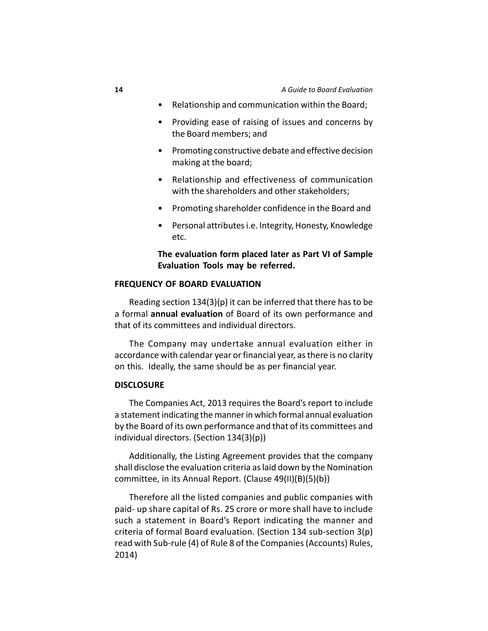- Relationship and communication within the Board;
- Providing ease of raising of issues and concerns by the Board members; and
- Promoting constructive debate and effective decision making at the board;
- Relationship and effectiveness of communication with the shareholders and other stakeholders;
- Promoting shareholder confidence in the Board and
- Personal attributes i.e. Integrity, Honesty, Knowledge etc.

### **The evaluation form placed later as Part VI of Sample Evaluation Tools may be referred.**

#### **FREQUENCY OF BOARD EVALUATION**

Reading section 134(3)(p) it can be inferred that there has to be a formal **annual evaluation** of Board of its own performance and that of its committees and individual directors.

The Company may undertake annual evaluation either in accordance with calendar year or financial year, as there is no clarity on this. Ideally, the same should be as per financial year.

#### **DISCLOSURE**

The Companies Act, 2013 requires the Board's report to include a statement indicating the manner in which formal annual evaluation by the Board of its own performance and that of its committees and individual directors. (Section 134(3)(p))

Additionally, the Listing Agreement provides that the company shall disclose the evaluation criteria as laid down by the Nomination committee, in its Annual Report. (Clause 49(II)(B)(5)(b))

Therefore all the listed companies and public companies with paid- up share capital of Rs. 25 crore or more shall have to include such a statement in Board's Report indicating the manner and criteria of formal Board evaluation. (Section 134 sub-section 3(p) read with Sub-rule (4) of Rule 8 of the Companies (Accounts) Rules, 2014)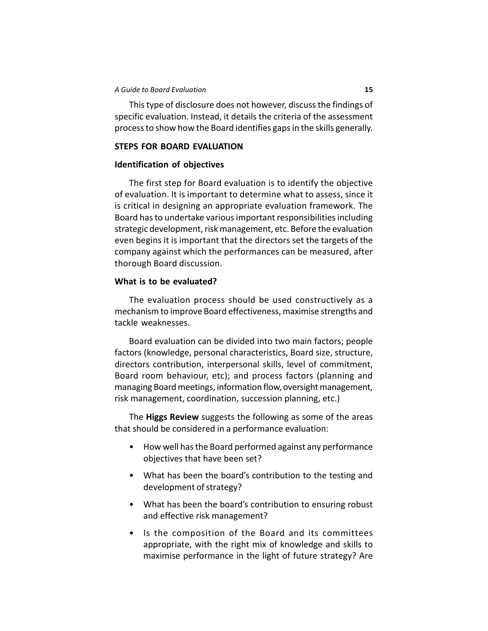This type of disclosure does not however, discuss the findings of specific evaluation. Instead, it details the criteria of the assessment process to show how the Board identifies gaps in the skills generally.

#### **STEPS FOR BOARD EVALUATION**

#### **Identification of objectives**

The first step for Board evaluation is to identify the objective of evaluation. It is important to determine what to assess, since it is critical in designing an appropriate evaluation framework. The Board has to undertake various important responsibilities including strategic development, risk management, etc. Before the evaluation even begins it is important that the directors set the targets of the company against which the performances can be measured, after thorough Board discussion.

### **What is to be evaluated?**

The evaluation process should be used constructively as a mechanism to improve Board effectiveness, maximise strengths and tackle weaknesses.

Board evaluation can be divided into two main factors; people factors (knowledge, personal characteristics, Board size, structure, directors contribution, interpersonal skills, level of commitment, Board room behaviour, etc); and process factors (planning and managing Board meetings, information flow, oversight management, risk management, coordination, succession planning, etc.)

The **Higgs Review** suggests the following as some of the areas that should be considered in a performance evaluation:

- How well has the Board performed against any performance objectives that have been set?
- What has been the board's contribution to the testing and development of strategy?
- What has been the board's contribution to ensuring robust and effective risk management?
- Is the composition of the Board and its committees appropriate, with the right mix of knowledge and skills to maximise performance in the light of future strategy? Are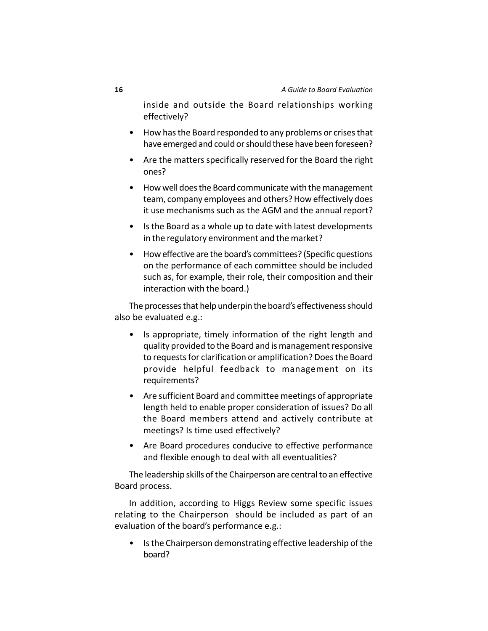inside and outside the Board relationships working effectively?

- How has the Board responded to any problems or crises that have emerged and could or should these have been foreseen?
- Are the matters specifically reserved for the Board the right ones?
- How well does the Board communicate with the management team, company employees and others? How effectively does it use mechanisms such as the AGM and the annual report?
- Is the Board as a whole up to date with latest developments in the regulatory environment and the market?
- How effective are the board's committees? (Specific questions on the performance of each committee should be included such as, for example, their role, their composition and their interaction with the board.)

The processes that help underpin the board's effectiveness should also be evaluated e.g.:

- Is appropriate, timely information of the right length and quality provided to the Board and is management responsive to requests for clarification or amplification? Does the Board provide helpful feedback to management on its requirements?
- Are sufficient Board and committee meetings of appropriate length held to enable proper consideration of issues? Do all the Board members attend and actively contribute at meetings? Is time used effectively?
- Are Board procedures conducive to effective performance and flexible enough to deal with all eventualities?

The leadership skills of the Chairperson are central to an effective Board process.

In addition, according to Higgs Review some specific issues relating to the Chairperson should be included as part of an evaluation of the board's performance e.g.:

• Is the Chairperson demonstrating effective leadership of the board?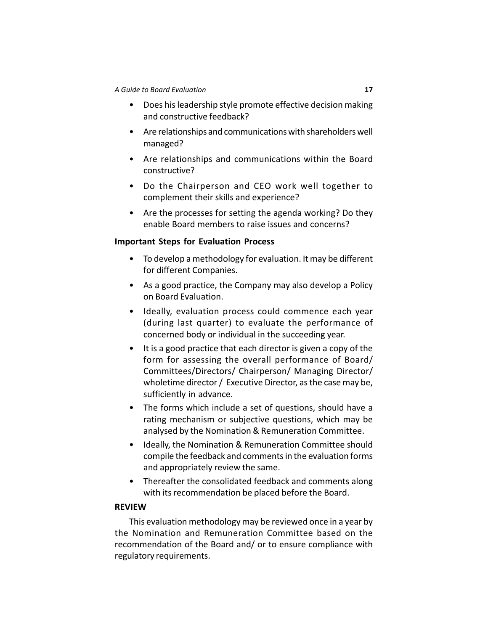- Does his leadership style promote effective decision making and constructive feedback?
- Are relationships and communications with shareholders well managed?
- Are relationships and communications within the Board constructive?
- Do the Chairperson and CEO work well together to complement their skills and experience?
- Are the processes for setting the agenda working? Do they enable Board members to raise issues and concerns?

#### **Important Steps for Evaluation Process**

- To develop a methodology for evaluation. It may be different for different Companies.
- As a good practice, the Company may also develop a Policy on Board Evaluation.
- Ideally, evaluation process could commence each year (during last quarter) to evaluate the performance of concerned body or individual in the succeeding year.
- It is a good practice that each director is given a copy of the form for assessing the overall performance of Board/ Committees/Directors/ Chairperson/ Managing Director/ wholetime director / Executive Director, as the case may be, sufficiently in advance.
- The forms which include a set of questions, should have a rating mechanism or subjective questions, which may be analysed by the Nomination & Remuneration Committee.
- Ideally, the Nomination & Remuneration Committee should compile the feedback and comments in the evaluation forms and appropriately review the same.
- Thereafter the consolidated feedback and comments along with its recommendation be placed before the Board.

#### **REVIEW**

This evaluation methodology may be reviewed once in a year by the Nomination and Remuneration Committee based on the recommendation of the Board and/ or to ensure compliance with regulatory requirements.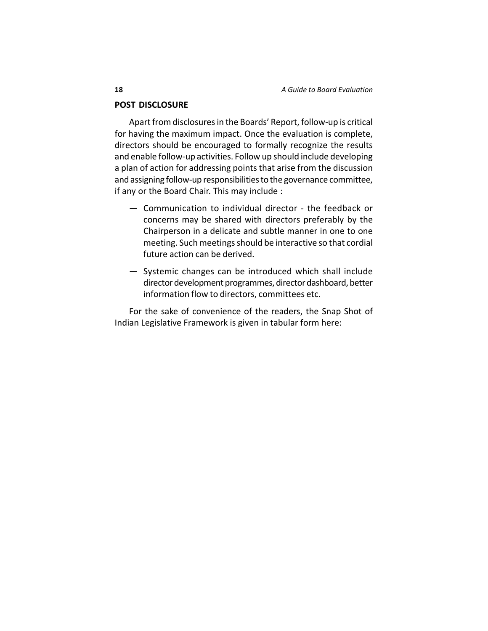#### **POST DISCLOSURE**

Apart from disclosures in the Boards' Report, follow-up is critical for having the maximum impact. Once the evaluation is complete, directors should be encouraged to formally recognize the results and enable follow-up activities. Follow up should include developing a plan of action for addressing points that arise from the discussion and assigning follow-up responsibilities to the governance committee, if any or the Board Chair. This may include :

- Communication to individual director the feedback or concerns may be shared with directors preferably by the Chairperson in a delicate and subtle manner in one to one meeting. Such meetings should be interactive so that cordial future action can be derived.
- Systemic changes can be introduced which shall include director development programmes, director dashboard, better information flow to directors, committees etc.

For the sake of convenience of the readers, the Snap Shot of Indian Legislative Framework is given in tabular form here: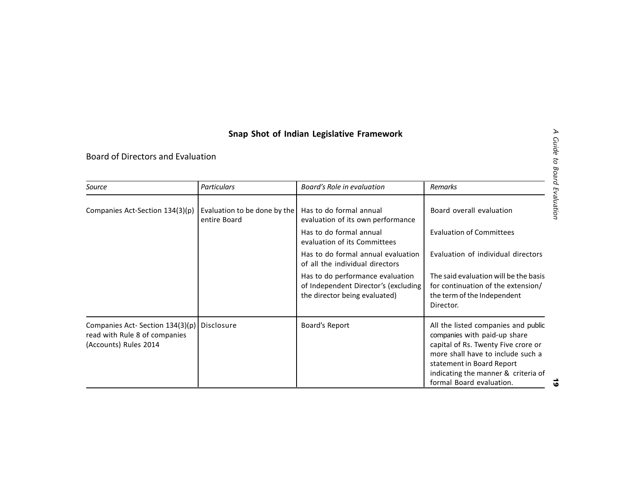|                                                                                                         |                                              | Snap Shot of Indian Legislative Framework                                                                 |                                                                                                                                                                                                                                                 |
|---------------------------------------------------------------------------------------------------------|----------------------------------------------|-----------------------------------------------------------------------------------------------------------|-------------------------------------------------------------------------------------------------------------------------------------------------------------------------------------------------------------------------------------------------|
| Board of Directors and Evaluation                                                                       |                                              |                                                                                                           |                                                                                                                                                                                                                                                 |
| Source                                                                                                  | Particulars                                  | Board's Role in evaluation                                                                                | <b>Remarks</b>                                                                                                                                                                                                                                  |
| Companies Act-Section 134(3)(p)                                                                         | Evaluation to be done by the<br>entire Board | Has to do formal annual<br>evaluation of its own performance                                              | Board overall evaluation                                                                                                                                                                                                                        |
|                                                                                                         |                                              | Has to do formal annual<br>evaluation of its Committees                                                   | <b>Evaluation of Committees</b>                                                                                                                                                                                                                 |
|                                                                                                         |                                              | Has to do formal annual evaluation<br>of all the individual directors                                     | Evaluation of individual directors                                                                                                                                                                                                              |
|                                                                                                         |                                              | Has to do performance evaluation<br>of Independent Director's (excluding<br>the director being evaluated) | The said evaluation will be the basis<br>for continuation of the extension/<br>the term of the Independent<br>Director.                                                                                                                         |
| Companies Act- Section 134(3)(p)   Disclosure<br>read with Rule 8 of companies<br>(Accounts) Rules 2014 |                                              | Board's Report                                                                                            | All the listed companies and public<br>companies with paid-up share<br>capital of Rs. Twenty Five crore or<br>more shall have to include such a<br>statement in Board Report<br>indicating the manner & criteria of<br>formal Board evaluation. |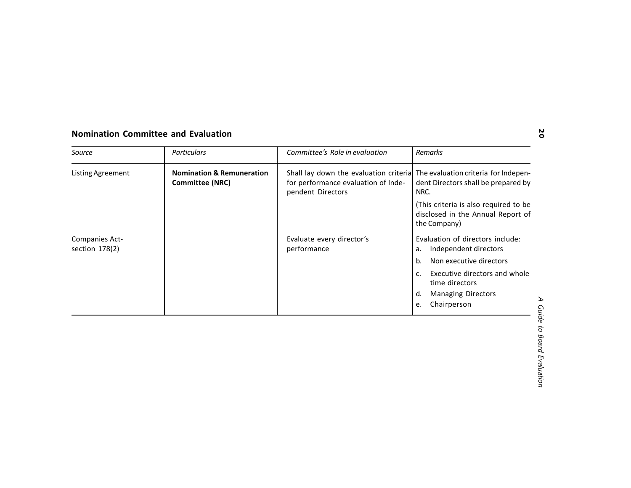| <b>Nomination &amp; Remuneration</b><br>Shall lay down the evaluation criterial The evaluation criteria for Indepen-<br><b>Listing Agreement</b><br><b>Committee (NRC)</b><br>for performance evaluation of Inde-<br>dent Directors shall be prepared by<br>pendent Directors<br>NRC.<br>(This criteria is also required to be<br>disclosed in the Annual Report of<br>the Company)<br>Evaluation of directors include:<br>Evaluate every director's<br>Companies Act-<br>section 178(2)<br>performance<br>Independent directors<br>а.<br>Non executive directors<br>b.<br>Executive directors and whole<br>c.<br>time directors<br><b>Managing Directors</b><br>d. |  | <b>Particulars</b> | Committee's Role in evaluation | Remarks           |
|---------------------------------------------------------------------------------------------------------------------------------------------------------------------------------------------------------------------------------------------------------------------------------------------------------------------------------------------------------------------------------------------------------------------------------------------------------------------------------------------------------------------------------------------------------------------------------------------------------------------------------------------------------------------|--|--------------------|--------------------------------|-------------------|
|                                                                                                                                                                                                                                                                                                                                                                                                                                                                                                                                                                                                                                                                     |  |                    |                                |                   |
|                                                                                                                                                                                                                                                                                                                                                                                                                                                                                                                                                                                                                                                                     |  |                    |                                |                   |
|                                                                                                                                                                                                                                                                                                                                                                                                                                                                                                                                                                                                                                                                     |  |                    |                                |                   |
|                                                                                                                                                                                                                                                                                                                                                                                                                                                                                                                                                                                                                                                                     |  |                    |                                |                   |
|                                                                                                                                                                                                                                                                                                                                                                                                                                                                                                                                                                                                                                                                     |  |                    |                                |                   |
|                                                                                                                                                                                                                                                                                                                                                                                                                                                                                                                                                                                                                                                                     |  |                    |                                |                   |
|                                                                                                                                                                                                                                                                                                                                                                                                                                                                                                                                                                                                                                                                     |  |                    |                                | Chairperson<br>e. |
|                                                                                                                                                                                                                                                                                                                                                                                                                                                                                                                                                                                                                                                                     |  |                    |                                |                   |
|                                                                                                                                                                                                                                                                                                                                                                                                                                                                                                                                                                                                                                                                     |  |                    |                                |                   |
| to Board Evaluation                                                                                                                                                                                                                                                                                                                                                                                                                                                                                                                                                                                                                                                 |  |                    |                                |                   |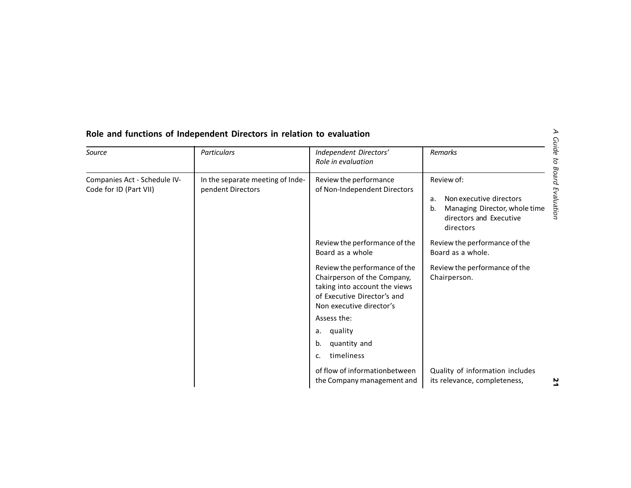| Source                                                 | Particulars                                           | Independent Directors'<br>Role in evaluation                                                                                                                                                                                                                                            | Remarks                                                                                                                    |
|--------------------------------------------------------|-------------------------------------------------------|-----------------------------------------------------------------------------------------------------------------------------------------------------------------------------------------------------------------------------------------------------------------------------------------|----------------------------------------------------------------------------------------------------------------------------|
| Companies Act - Schedule IV-<br>Code for ID (Part VII) | In the separate meeting of Inde-<br>pendent Directors | Review the performance<br>of Non-Independent Directors                                                                                                                                                                                                                                  | Review of:<br>Non executive directors<br>a.<br>Managing Director, whole time<br>b.<br>directors and Executive<br>directors |
|                                                        |                                                       | Review the performance of the<br>Board as a whole<br>Review the performance of the<br>Chairperson of the Company,<br>taking into account the views<br>of Executive Director's and<br>Non executive director's<br>Assess the:<br>quality<br>а.<br>quantity and<br>b.<br>timeliness<br>c. | Review the performance of the<br>Board as a whole.<br>Review the performance of the<br>Chairperson.                        |
|                                                        |                                                       | of flow of informationbetween<br>the Company management and                                                                                                                                                                                                                             | Quality of information includes<br>its relevance, completeness,                                                            |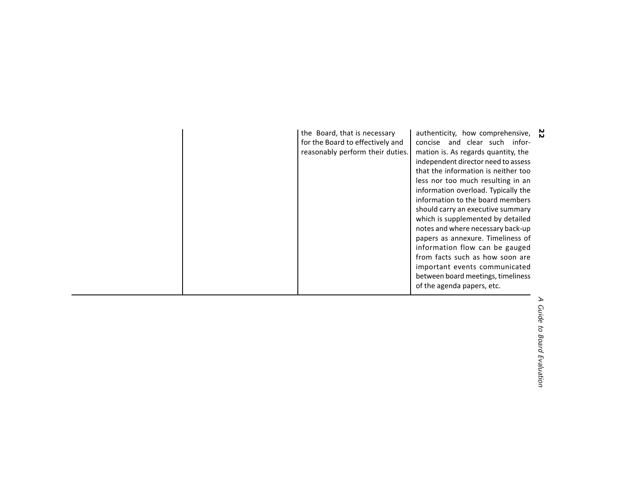| the Board, that is necessary<br>for the Board to effectively and<br>reasonably perform their duties. | authenticity, how comprehensive, $\mathbb{N}$<br>concise and clear such infor-<br>mation is. As regards quantity, the<br>independent director need to assess<br>that the information is neither too<br>less nor too much resulting in an<br>information overload. Typically the<br>information to the board members<br>should carry an executive summary<br>which is supplemented by detailed<br>notes and where necessary back-up<br>papers as annexure. Timeliness of<br>information flow can be gauged<br>from facts such as how soon are<br>important events communicated<br>between board meetings, timeliness<br>of the agenda papers, etc. |                                |
|------------------------------------------------------------------------------------------------------|---------------------------------------------------------------------------------------------------------------------------------------------------------------------------------------------------------------------------------------------------------------------------------------------------------------------------------------------------------------------------------------------------------------------------------------------------------------------------------------------------------------------------------------------------------------------------------------------------------------------------------------------------|--------------------------------|
|                                                                                                      |                                                                                                                                                                                                                                                                                                                                                                                                                                                                                                                                                                                                                                                   | ↘<br>Guide to Board Evaluation |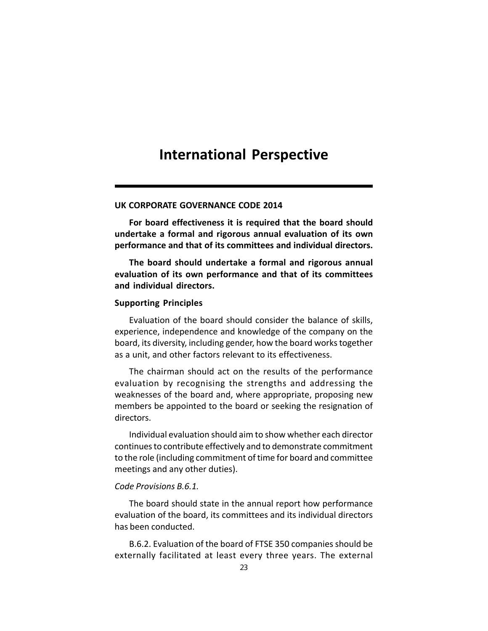## **International Perspective**

#### **UK CORPORATE GOVERNANCE CODE 2014**

**For board effectiveness it is required that the board should undertake a formal and rigorous annual evaluation of its own performance and that of its committees and individual directors.**

**The board should undertake a formal and rigorous annual evaluation of its own performance and that of its committees and individual directors.**

#### **Supporting Principles**

Evaluation of the board should consider the balance of skills, experience, independence and knowledge of the company on the board, its diversity, including gender, how the board works together as a unit, and other factors relevant to its effectiveness.

The chairman should act on the results of the performance evaluation by recognising the strengths and addressing the weaknesses of the board and, where appropriate, proposing new members be appointed to the board or seeking the resignation of directors.

Individual evaluation should aim to show whether each director continues to contribute effectively and to demonstrate commitment to the role (including commitment of time for board and committee meetings and any other duties).

#### *Code Provisions B.6.1.*

The board should state in the annual report how performance evaluation of the board, its committees and its individual directors has been conducted.

B.6.2. Evaluation of the board of FTSE 350 companies should be externally facilitated at least every three years. The external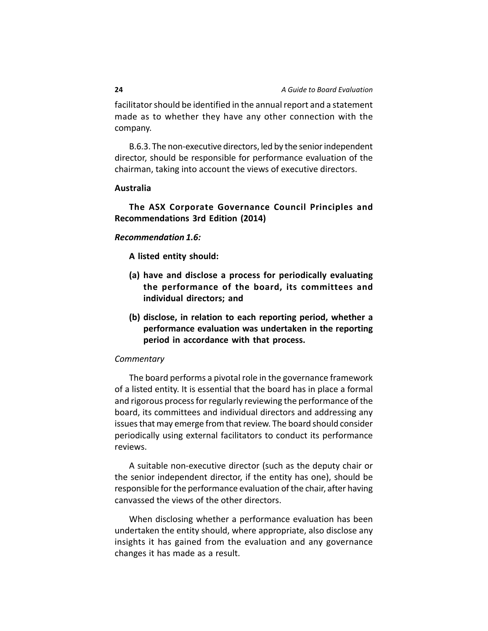facilitator should be identified in the annual report and a statement made as to whether they have any other connection with the company.

B.6.3. The non-executive directors, led by the senior independent director, should be responsible for performance evaluation of the chairman, taking into account the views of executive directors.

#### **Australia**

### **The ASX Corporate Governance Council Principles and Recommendations 3rd Edition (2014)**

#### *Recommendation 1.6:*

**A listed entity should:**

- **(a) have and disclose a process for periodically evaluating the performance of the board, its committees and individual directors; and**
- **(b) disclose, in relation to each reporting period, whether a performance evaluation was undertaken in the reporting period in accordance with that process.**

#### *Commentary*

The board performs a pivotal role in the governance framework of a listed entity. It is essential that the board has in place a formal and rigorous process for regularly reviewing the performance of the board, its committees and individual directors and addressing any issues that may emerge from that review. The board should consider periodically using external facilitators to conduct its performance reviews.

A suitable non-executive director (such as the deputy chair or the senior independent director, if the entity has one), should be responsible for the performance evaluation of the chair, after having canvassed the views of the other directors.

When disclosing whether a performance evaluation has been undertaken the entity should, where appropriate, also disclose any insights it has gained from the evaluation and any governance changes it has made as a result.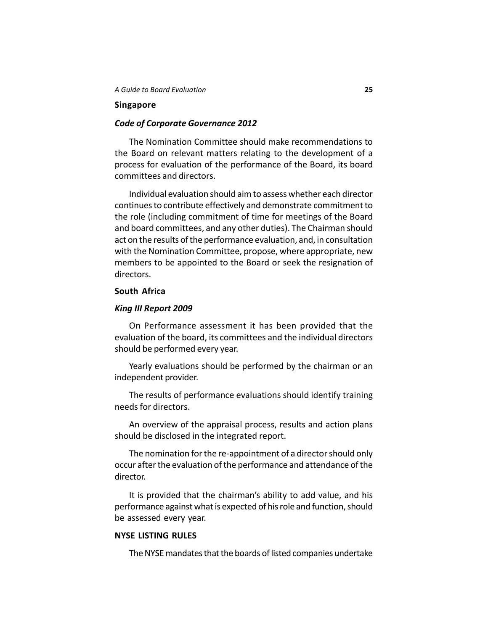#### **Singapore**

### *Code of Corporate Governance 2012*

The Nomination Committee should make recommendations to the Board on relevant matters relating to the development of a process for evaluation of the performance of the Board, its board committees and directors.

Individual evaluation should aim to assess whether each director continues to contribute effectively and demonstrate commitment to the role (including commitment of time for meetings of the Board and board committees, and any other duties). The Chairman should act on the results of the performance evaluation, and, in consultation with the Nomination Committee, propose, where appropriate, new members to be appointed to the Board or seek the resignation of directors.

#### **South Africa**

#### *King III Report 2009*

On Performance assessment it has been provided that the evaluation of the board, its committees and the individual directors should be performed every year.

Yearly evaluations should be performed by the chairman or an independent provider.

The results of performance evaluations should identify training needs for directors.

An overview of the appraisal process, results and action plans should be disclosed in the integrated report.

The nomination for the re-appointment of a director should only occur after the evaluation of the performance and attendance of the director.

It is provided that the chairman's ability to add value, and his performance against what is expected of his role and function, should be assessed every year.

#### **NYSE LISTING RULES**

The NYSE mandates that the boards of listed companies undertake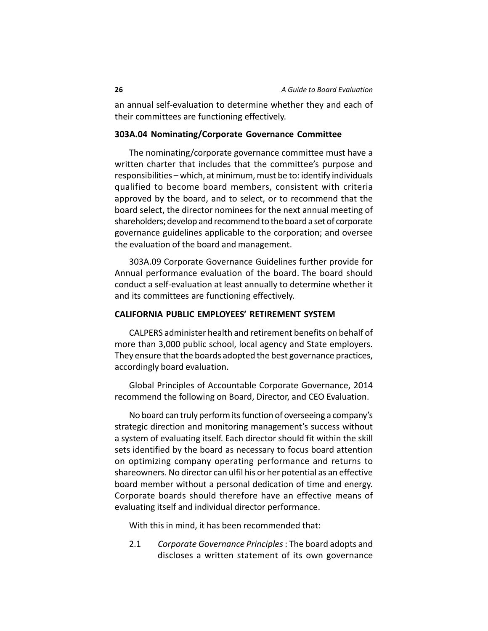an annual self-evaluation to determine whether they and each of their committees are functioning effectively.

#### **303A.04 Nominating/Corporate Governance Committee**

The nominating/corporate governance committee must have a written charter that includes that the committee's purpose and responsibilities – which, at minimum, must be to: identify individuals qualified to become board members, consistent with criteria approved by the board, and to select, or to recommend that the board select, the director nominees for the next annual meeting of shareholders; develop and recommend to the board a set of corporate governance guidelines applicable to the corporation; and oversee the evaluation of the board and management.

303A.09 Corporate Governance Guidelines further provide for Annual performance evaluation of the board. The board should conduct a self-evaluation at least annually to determine whether it and its committees are functioning effectively.

#### **CALIFORNIA PUBLIC EMPLOYEES' RETIREMENT SYSTEM**

CALPERS administer health and retirement benefits on behalf of more than 3,000 public school, local agency and State employers. They ensure that the boards adopted the best governance practices, accordingly board evaluation.

Global Principles of Accountable Corporate Governance, 2014 recommend the following on Board, Director, and CEO Evaluation.

No board can truly perform its function of overseeing a company's strategic direction and monitoring management's success without a system of evaluating itself. Each director should fit within the skill sets identified by the board as necessary to focus board attention on optimizing company operating performance and returns to shareowners. No director can ulfil his or her potential as an effective board member without a personal dedication of time and energy. Corporate boards should therefore have an effective means of evaluating itself and individual director performance.

With this in mind, it has been recommended that:

2.1 *Corporate Governance Principles* : The board adopts and discloses a written statement of its own governance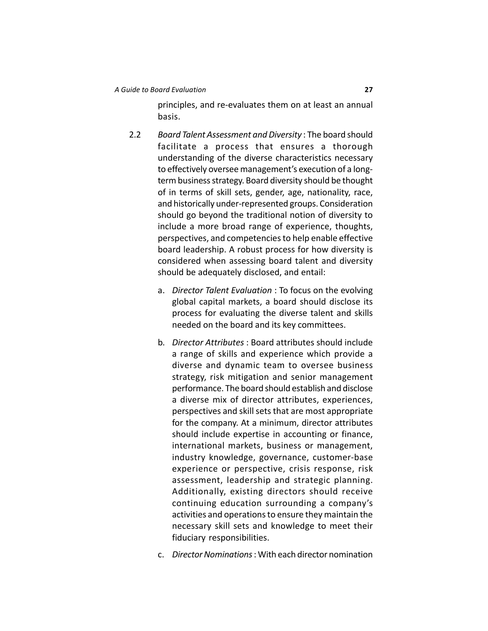principles, and re-evaluates them on at least an annual basis.

- 2.2 *Board Talent Assessment and Diversity* : The board should facilitate a process that ensures a thorough understanding of the diverse characteristics necessary to effectively oversee management's execution of a longterm business strategy. Board diversity should be thought of in terms of skill sets, gender, age, nationality, race, and historically under-represented groups. Consideration should go beyond the traditional notion of diversity to include a more broad range of experience, thoughts, perspectives, and competencies to help enable effective board leadership. A robust process for how diversity is considered when assessing board talent and diversity should be adequately disclosed, and entail:
	- a. *Director Talent Evaluation* : To focus on the evolving global capital markets, a board should disclose its process for evaluating the diverse talent and skills needed on the board and its key committees.
	- b. *Director Attributes* : Board attributes should include a range of skills and experience which provide a diverse and dynamic team to oversee business strategy, risk mitigation and senior management performance. The board should establish and disclose a diverse mix of director attributes, experiences, perspectives and skill sets that are most appropriate for the company. At a minimum, director attributes should include expertise in accounting or finance, international markets, business or management, industry knowledge, governance, customer-base experience or perspective, crisis response, risk assessment, leadership and strategic planning. Additionally, existing directors should receive continuing education surrounding a company's activities and operations to ensure they maintain the necessary skill sets and knowledge to meet their fiduciary responsibilities.
	- c. *Director Nominations* : With each director nomination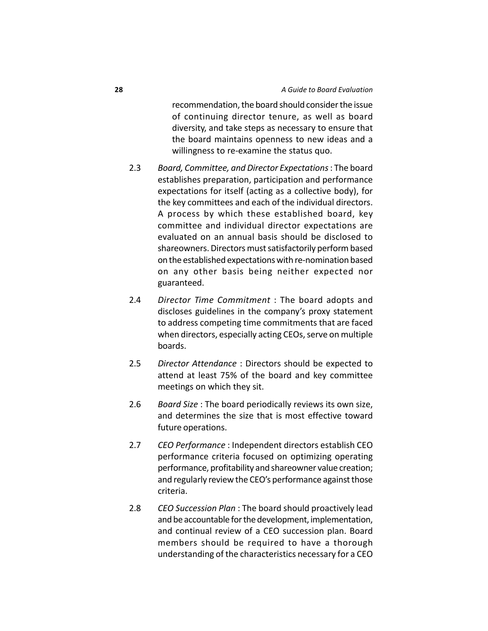recommendation, the board should consider the issue of continuing director tenure, as well as board diversity, and take steps as necessary to ensure that the board maintains openness to new ideas and a willingness to re-examine the status quo.

- 2.3 *Board, Committee, and Director Expectations* : The board establishes preparation, participation and performance expectations for itself (acting as a collective body), for the key committees and each of the individual directors. A process by which these established board, key committee and individual director expectations are evaluated on an annual basis should be disclosed to shareowners. Directors must satisfactorily perform based on the established expectations with re-nomination based on any other basis being neither expected nor guaranteed.
- 2.4 *Director Time Commitment* : The board adopts and discloses guidelines in the company's proxy statement to address competing time commitments that are faced when directors, especially acting CEOs, serve on multiple boards.
- 2.5 *Director Attendance* : Directors should be expected to attend at least 75% of the board and key committee meetings on which they sit.
- 2.6 *Board Size* : The board periodically reviews its own size, and determines the size that is most effective toward future operations.
- 2.7 *CEO Performance* : Independent directors establish CEO performance criteria focused on optimizing operating performance, profitability and shareowner value creation; and regularly review the CEO's performance against those criteria.
- 2.8 *CEO Succession Plan* : The board should proactively lead and be accountable for the development, implementation, and continual review of a CEO succession plan. Board members should be required to have a thorough understanding of the characteristics necessary for a CEO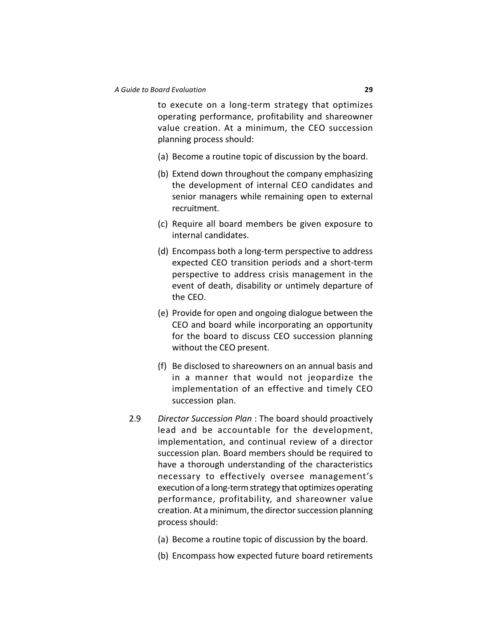to execute on a long-term strategy that optimizes operating performance, profitability and shareowner value creation. At a minimum, the CEO succession planning process should:

- (a) Become a routine topic of discussion by the board.
- (b) Extend down throughout the company emphasizing the development of internal CEO candidates and senior managers while remaining open to external recruitment.
- (c) Require all board members be given exposure to internal candidates.
- (d) Encompass both a long-term perspective to address expected CEO transition periods and a short-term perspective to address crisis management in the event of death, disability or untimely departure of the CEO.
- (e) Provide for open and ongoing dialogue between the CEO and board while incorporating an opportunity for the board to discuss CEO succession planning without the CEO present.
- (f) Be disclosed to shareowners on an annual basis and in a manner that would not jeopardize the implementation of an effective and timely CEO succession plan.
- 2.9 *Director Succession Plan* : The board should proactively lead and be accountable for the development, implementation, and continual review of a director succession plan. Board members should be required to have a thorough understanding of the characteristics necessary to effectively oversee management's execution of a long-term strategy that optimizes operating performance, profitability, and shareowner value creation. At a minimum, the director succession planning process should:
	- (a) Become a routine topic of discussion by the board.
	- (b) Encompass how expected future board retirements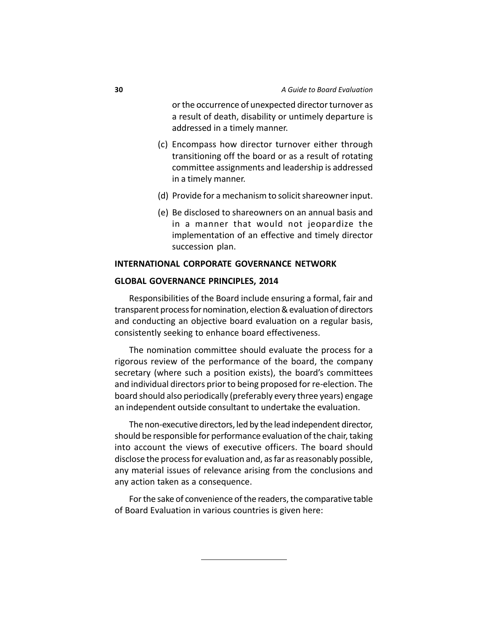or the occurrence of unexpected director turnover as a result of death, disability or untimely departure is addressed in a timely manner.

- (c) Encompass how director turnover either through transitioning off the board or as a result of rotating committee assignments and leadership is addressed in a timely manner.
- (d) Provide for a mechanism to solicit shareowner input.
- (e) Be disclosed to shareowners on an annual basis and in a manner that would not jeopardize the implementation of an effective and timely director succession plan.

#### **INTERNATIONAL CORPORATE GOVERNANCE NETWORK**

#### **GLOBAL GOVERNANCE PRINCIPLES, 2014**

Responsibilities of the Board include ensuring a formal, fair and transparent process for nomination, election & evaluation of directors and conducting an objective board evaluation on a regular basis, consistently seeking to enhance board effectiveness.

The nomination committee should evaluate the process for a rigorous review of the performance of the board, the company secretary (where such a position exists), the board's committees and individual directors prior to being proposed for re-election. The board should also periodically (preferably every three years) engage an independent outside consultant to undertake the evaluation.

The non-executive directors, led by the lead independent director, should be responsible for performance evaluation of the chair, taking into account the views of executive officers. The board should disclose the process for evaluation and, as far as reasonably possible, any material issues of relevance arising from the conclusions and any action taken as a consequence.

For the sake of convenience of the readers, the comparative table of Board Evaluation in various countries is given here: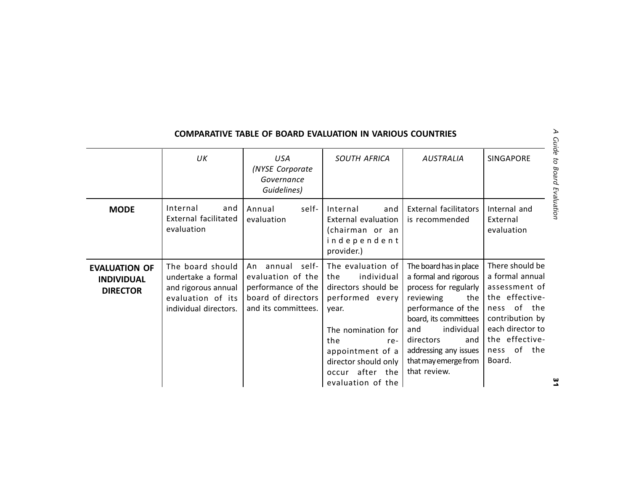|                                                              |                                                                                                             |                                                                                                            | <b>COMPARATIVE TABLE OF BOARD EVALUATION IN VARIOUS COUNTRIES</b>                                                                                                                            |                                                                                                                                                                                                                                                           |                                                                                                                                                                              |
|--------------------------------------------------------------|-------------------------------------------------------------------------------------------------------------|------------------------------------------------------------------------------------------------------------|----------------------------------------------------------------------------------------------------------------------------------------------------------------------------------------------|-----------------------------------------------------------------------------------------------------------------------------------------------------------------------------------------------------------------------------------------------------------|------------------------------------------------------------------------------------------------------------------------------------------------------------------------------|
|                                                              | UK                                                                                                          | <b>USA</b><br>(NYSE Corporate<br>Governance<br>Guidelines)                                                 | <b>SOUTH AFRICA</b>                                                                                                                                                                          | <b>AUSTRALIA</b>                                                                                                                                                                                                                                          | SINGAPORE                                                                                                                                                                    |
| <b>MODE</b>                                                  | Internal<br>and<br>External facilitated<br>evaluation                                                       | self-<br>Annual<br>evaluation                                                                              | Internal<br>and<br>External evaluation<br>(chairman or an<br>independent<br>provider.)                                                                                                       | <b>External facilitators</b><br>is recommended                                                                                                                                                                                                            | Internal and<br>External<br>evaluation                                                                                                                                       |
| <b>EVALUATION OF</b><br><b>INDIVIDUAL</b><br><b>DIRECTOR</b> | The board should<br>undertake a formal<br>and rigorous annual<br>evaluation of its<br>individual directors. | annual self-<br>An<br>evaluation of the<br>performance of the<br>board of directors<br>and its committees. | The evaluation of<br>individual<br>the<br>directors should be<br>performed every<br>year.<br>The nomination for<br>the<br>re-<br>appointment of a<br>director should only<br>occur after the | The board has in place<br>a formal and rigorous<br>process for regularly  <br>reviewing<br>the I<br>performance of the<br>board, its committees<br>individual<br>and<br>directors<br>and<br>addressing any issues<br>that may emerge from<br>that review. | There should be<br>a formal annual<br>assessment of<br>the effective-<br>ness of the<br>contribution by<br>each director to<br>the effective-<br>of<br>the<br>ness<br>Board. |
|                                                              |                                                                                                             |                                                                                                            | evaluation of the                                                                                                                                                                            |                                                                                                                                                                                                                                                           |                                                                                                                                                                              |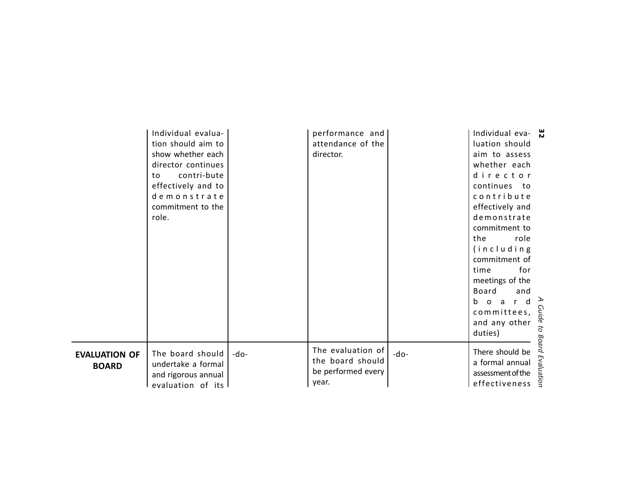|                                      | Individual evalua-<br>tion should aim to<br>show whether each<br>director continues<br>contri-bute<br>to<br>effectively and to<br>demonstrate<br>commitment to the<br>role. |      | performance and<br>attendance of the<br>director.                    |      | Individual eva- $\frac{\omega}{\omega}$<br>luation should<br>aim to assess<br>whether each<br>director<br>continues to<br>contribute<br>effectively and<br>demonstrate<br>commitment to<br>role<br>the<br>(including<br>commitment of<br>for<br>time<br>meetings of the |       |
|--------------------------------------|-----------------------------------------------------------------------------------------------------------------------------------------------------------------------------|------|----------------------------------------------------------------------|------|-------------------------------------------------------------------------------------------------------------------------------------------------------------------------------------------------------------------------------------------------------------------------|-------|
|                                      |                                                                                                                                                                             |      |                                                                      |      | Board<br>and<br>r d<br>b o a<br>committees, $\frac{S}{\hat{a}}$<br>and any other<br>and any other<br>duties)                                                                                                                                                            |       |
| <b>EVALUATION OF</b><br><b>BOARD</b> | The board should<br>undertake a formal<br>and rigorous annual<br>evaluation of its                                                                                          | -do- | The evaluation of<br>the board should<br>be performed every<br>year. | -do- | There should be<br>a formal annual<br>assessment of the<br>effectiveness                                                                                                                                                                                                | Board |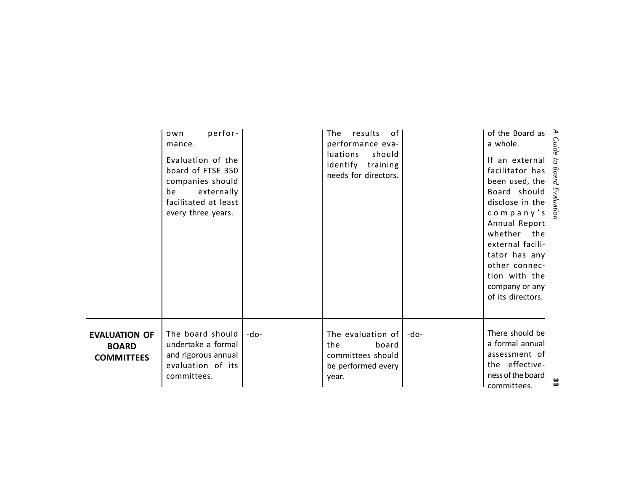|                                                           | perfor-<br>own<br>mance.<br>Evaluation of the<br>board of FTSE 350<br>companies should<br>externally<br>be<br>facilitated at least<br>every three years. |        | results<br>of I<br>The<br>performance eva-<br><i>luations</i><br>should<br>identify training<br>needs for directors. |      | of the Board as $\triangleright$<br>a whole.<br>If an external<br>facilitator has $\frac{88}{8}$<br>been used, the $\frac{88}{8}$<br>Board should $\sum_{\substack{n=1\\n\text{is}}}\text{C}$<br>company's $\overline{S}$<br>Annual Report<br>whether the<br>external facili-<br>tator has any<br>other connec-<br>tion with the<br>company or any<br>of its directors. | $\overline{c}$ |
|-----------------------------------------------------------|----------------------------------------------------------------------------------------------------------------------------------------------------------|--------|----------------------------------------------------------------------------------------------------------------------|------|-------------------------------------------------------------------------------------------------------------------------------------------------------------------------------------------------------------------------------------------------------------------------------------------------------------------------------------------------------------------------|----------------|
| <b>EVALUATION OF</b><br><b>BOARD</b><br><b>COMMITTEES</b> | The board should<br>undertake a formal<br>and rigorous annual<br>evaluation of its<br>committees.                                                        | $-do-$ | The evaluation of $ $<br>the<br>board<br>committees should<br>be performed every<br>year.                            | -do- | There should be<br>a formal annual<br>assessment of<br>the effective-<br>ness of the board<br>committees.                                                                                                                                                                                                                                                               | w<br>ω         |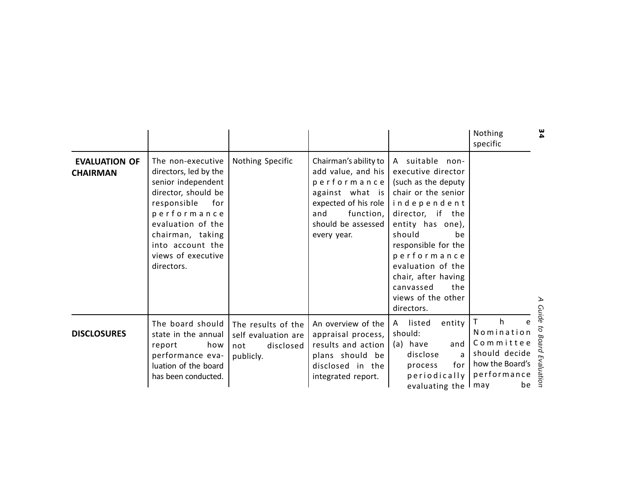|                                         |                                                                                                                                                                                                                               |                                                                            |                                                                                                                                                                |                                                                                                                                                                                                                                                                                                      | Nothing<br>specific                                                                                        | 34                                        |
|-----------------------------------------|-------------------------------------------------------------------------------------------------------------------------------------------------------------------------------------------------------------------------------|----------------------------------------------------------------------------|----------------------------------------------------------------------------------------------------------------------------------------------------------------|------------------------------------------------------------------------------------------------------------------------------------------------------------------------------------------------------------------------------------------------------------------------------------------------------|------------------------------------------------------------------------------------------------------------|-------------------------------------------|
| <b>EVALUATION OF</b><br><b>CHAIRMAN</b> | The non-executive<br>directors, led by the<br>senior independent<br>director, should be<br>responsible<br>for<br>performance<br>evaluation of the<br>chairman, taking<br>into account the<br>views of executive<br>directors. | Nothing Specific                                                           | Chairman's ability to<br>add value, and his<br>performance<br>against what is<br>expected of his role<br>function,<br>and<br>should be assessed<br>every year. | A suitable non-<br>executive director<br>(such as the deputy<br>chair or the senior<br>independent<br>director, if the<br>entity has one),<br>should<br>he<br>responsible for the<br>performance<br>evaluation of the<br>chair, after having<br>canvassed<br>the<br>views of the other<br>directors. |                                                                                                            | <b>Guide</b>                              |
| <b>DISCLOSURES</b>                      | The board should<br>state in the annual<br>how<br>report<br>performance eva-<br>luation of the board<br>has been conducted.                                                                                                   | The results of the<br>self evaluation are<br>disclosed<br>not<br>publicly. | An overview of the<br>appraisal process,<br>results and action<br>plans should be<br>disclosed in the<br>integrated report.                                    | listed<br>entity<br>A<br>should:<br>(a) have<br>and<br>disclose<br>a<br>for  <br>process<br>periodically<br>evaluating the I may                                                                                                                                                                     | $\mathsf{T}$<br>h<br>e<br>Nomination<br>Committee<br>should decide<br>how the Board's<br>performance<br>be | $\overline{c}$<br><b>Board Evaluation</b> |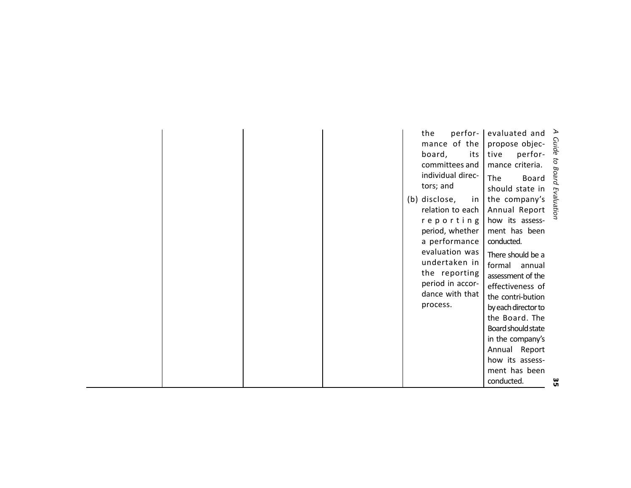|  |  | perfor-<br>the<br>mance of the<br>board,<br>its  <br>committees and<br>individual direc-<br>tors; and<br>(b) disclose,<br>relation to each<br>reporting<br>period, whether<br>a performance<br>evaluation was<br>undertaken in<br>the reporting<br>period in accor-<br>dance with that<br>process. | evaluated and $\geq$<br>propose objec-<br>tive perfor-<br>mance criteria.<br>The Board and chould state in<br>should state in<br>in   the company's<br>Annual Report<br>how its assess-<br>ment has been<br>conducted.<br>There should be a<br>formal<br>annual<br>assessment of the<br>effectiveness of<br>the contri-bution<br>by each director to<br>the Board. The<br>Board should state<br>in the company's | Evaluation |
|--|--|----------------------------------------------------------------------------------------------------------------------------------------------------------------------------------------------------------------------------------------------------------------------------------------------------|------------------------------------------------------------------------------------------------------------------------------------------------------------------------------------------------------------------------------------------------------------------------------------------------------------------------------------------------------------------------------------------------------------------|------------|
|  |  |                                                                                                                                                                                                                                                                                                    | Annual Report<br>how its assess-<br>ment has been<br>conducted.                                                                                                                                                                                                                                                                                                                                                  | ω          |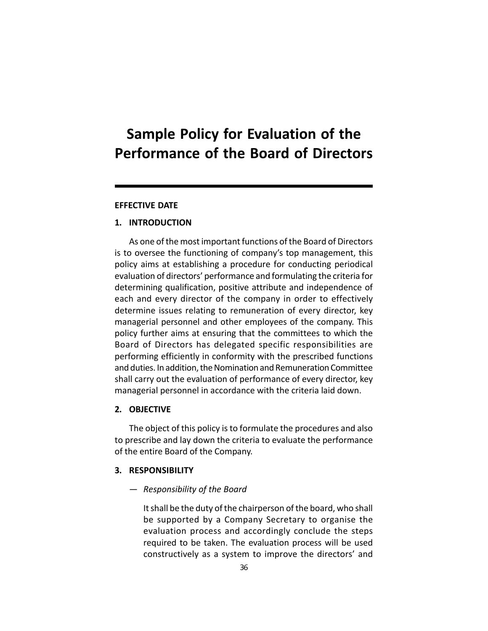# **Sample Policy for Evaluation of the Performance of the Board of Directors**

# **EFFECTIVE DATE**

# **1. INTRODUCTION**

As one of the most important functions of the Board of Directors is to oversee the functioning of company's top management, this policy aims at establishing a procedure for conducting periodical evaluation of directors' performance and formulating the criteria for determining qualification, positive attribute and independence of each and every director of the company in order to effectively determine issues relating to remuneration of every director, key managerial personnel and other employees of the company. This policy further aims at ensuring that the committees to which the Board of Directors has delegated specific responsibilities are performing efficiently in conformity with the prescribed functions and duties. In addition, the Nomination and Remuneration Committee shall carry out the evaluation of performance of every director, key managerial personnel in accordance with the criteria laid down.

# **2. OBJECTIVE**

The object of this policy is to formulate the procedures and also to prescribe and lay down the criteria to evaluate the performance of the entire Board of the Company.

# **3. RESPONSIBILITY**

— *Responsibility of the Board*

It shall be the duty of the chairperson of the board, who shall be supported by a Company Secretary to organise the evaluation process and accordingly conclude the steps required to be taken. The evaluation process will be used constructively as a system to improve the directors' and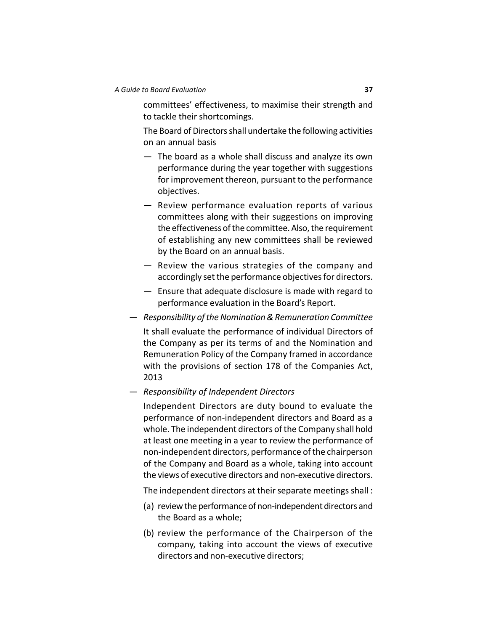committees' effectiveness, to maximise their strength and to tackle their shortcomings.

The Board of Directors shall undertake the following activities on an annual basis

- The board as a whole shall discuss and analyze its own performance during the year together with suggestions for improvement thereon, pursuant to the performance objectives.
- Review performance evaluation reports of various committees along with their suggestions on improving the effectiveness of the committee. Also, the requirement of establishing any new committees shall be reviewed by the Board on an annual basis.
- Review the various strategies of the company and accordingly set the performance objectives for directors.
- Ensure that adequate disclosure is made with regard to performance evaluation in the Board's Report.
- *Responsibility of the Nomination & Remuneration Committee*

It shall evaluate the performance of individual Directors of the Company as per its terms of and the Nomination and Remuneration Policy of the Company framed in accordance with the provisions of section 178 of the Companies Act, 2013

— *Responsibility of Independent Directors*

Independent Directors are duty bound to evaluate the performance of non-independent directors and Board as a whole. The independent directors of the Company shall hold at least one meeting in a year to review the performance of non-independent directors, performance of the chairperson of the Company and Board as a whole, taking into account the views of executive directors and non-executive directors.

The independent directors at their separate meetings shall :

- (a) review the performance of non-independent directors and the Board as a whole;
- (b) review the performance of the Chairperson of the company, taking into account the views of executive directors and non-executive directors;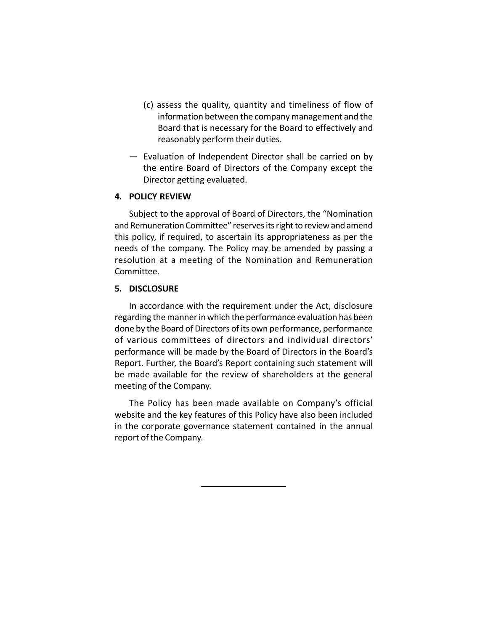- (c) assess the quality, quantity and timeliness of flow of information between the company management and the Board that is necessary for the Board to effectively and reasonably perform their duties.
- Evaluation of Independent Director shall be carried on by the entire Board of Directors of the Company except the Director getting evaluated.

# **4. POLICY REVIEW**

Subject to the approval of Board of Directors, the "Nomination and Remuneration Committee" reserves its right to review and amend this policy, if required, to ascertain its appropriateness as per the needs of the company. The Policy may be amended by passing a resolution at a meeting of the Nomination and Remuneration Committee.

# **5. DISCLOSURE**

In accordance with the requirement under the Act, disclosure regarding the manner in which the performance evaluation has been done by the Board of Directors of its own performance, performance of various committees of directors and individual directors' performance will be made by the Board of Directors in the Board's Report. Further, the Board's Report containing such statement will be made available for the review of shareholders at the general meeting of the Company.

The Policy has been made available on Company's official website and the key features of this Policy have also been included in the corporate governance statement contained in the annual report of the Company.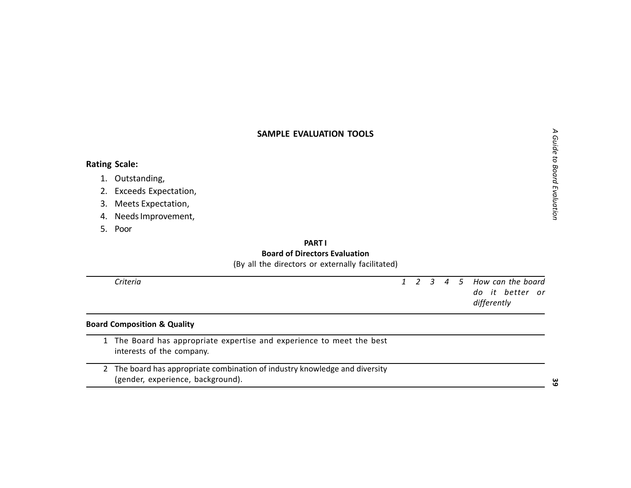- 
- 
- 
- 

| SAMPLE EVALUATION TOOLS |                                                                                                                |              |   |                |                |   |                                                     | Guide to Board Evaluation |
|-------------------------|----------------------------------------------------------------------------------------------------------------|--------------|---|----------------|----------------|---|-----------------------------------------------------|---------------------------|
|                         | <b>Rating Scale:</b>                                                                                           |              |   |                |                |   |                                                     |                           |
| 1.                      | Outstanding,                                                                                                   |              |   |                |                |   |                                                     |                           |
| 2.                      | Exceeds Expectation,                                                                                           |              |   |                |                |   |                                                     |                           |
| 3.                      | Meets Expectation,                                                                                             |              |   |                |                |   |                                                     |                           |
| 4.                      | Needs Improvement,                                                                                             |              |   |                |                |   |                                                     |                           |
| .5.                     | Poor                                                                                                           |              |   |                |                |   |                                                     |                           |
|                         | <b>PARTI</b>                                                                                                   |              |   |                |                |   |                                                     |                           |
|                         | <b>Board of Directors Evaluation</b><br>(By all the directors or externally facilitated)                       |              |   |                |                |   |                                                     |                           |
|                         | Criteria                                                                                                       | $\mathbf{1}$ | 2 | $\mathfrak{Z}$ | $\overline{a}$ | 5 | How can the board<br>do it better or<br>differently |                           |
|                         | <b>Board Composition &amp; Quality</b>                                                                         |              |   |                |                |   |                                                     |                           |
| 1                       | The Board has appropriate expertise and experience to meet the best<br>interests of the company.               |              |   |                |                |   |                                                     |                           |
| $\mathbf{2}$            | The board has appropriate combination of industry knowledge and diversity<br>(gender, experience, background). |              |   |                |                |   |                                                     | မ္မ                       |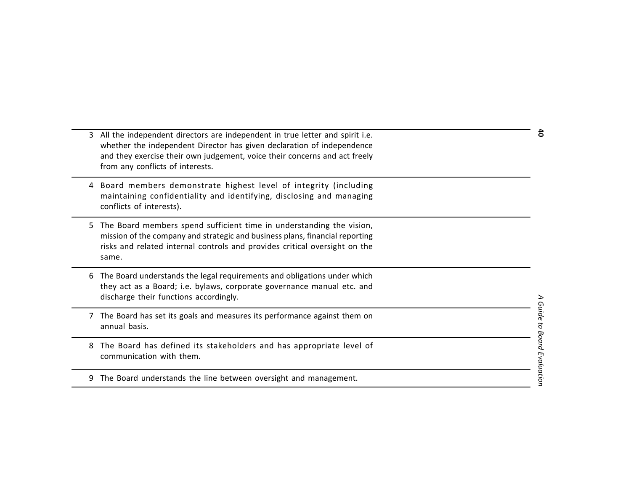- 3 All the independent directors are independent in true letter and spirit i.e.<br>
whether the independent Director has given declaration of independence<br>
and they exercise their cown judgement, voice their concerns and act
- 
- 
- 
- 
- 
-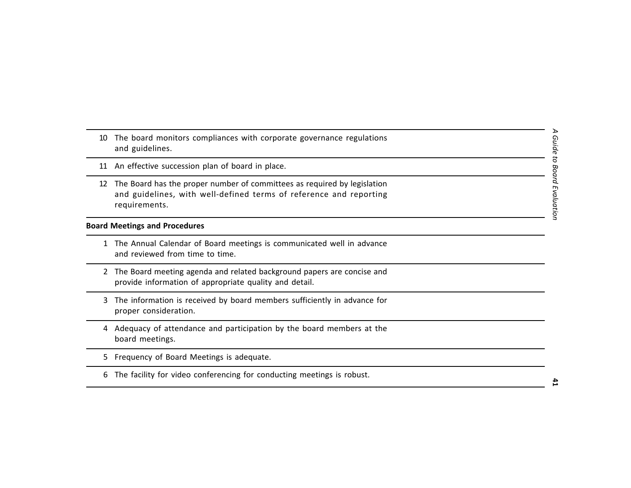- 
- 
- 10 The board monitors compliances with corporate governance regulations<br>
and guidelines.<br>
11 An effective succession plan of board in place.<br>
12 The Board has the proper number of committees as required by legislation<br>
and

- 
- 
- 
- 
- 
-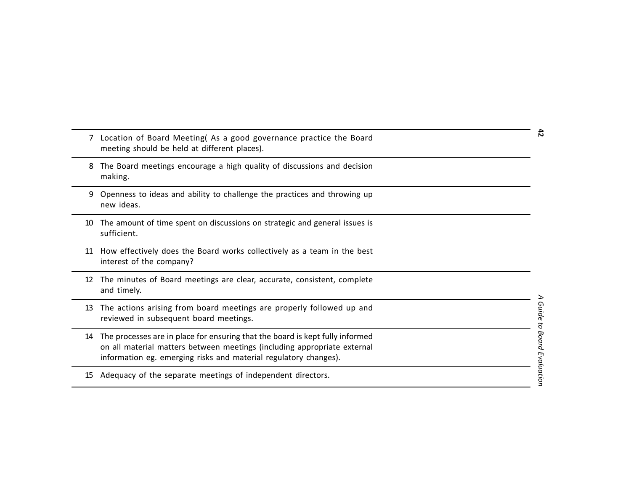|    | 7 Location of Board Meeting( As a good governance practice the Board<br>meeting should be held at different places).                                                                                                          | 42                        |
|----|-------------------------------------------------------------------------------------------------------------------------------------------------------------------------------------------------------------------------------|---------------------------|
| 8  | The Board meetings encourage a high quality of discussions and decision<br>making.                                                                                                                                            |                           |
| 9  | Openness to ideas and ability to challenge the practices and throwing up<br>new ideas.                                                                                                                                        |                           |
| 10 | The amount of time spent on discussions on strategic and general issues is<br>sufficient.                                                                                                                                     |                           |
| 11 | How effectively does the Board works collectively as a team in the best<br>interest of the company?                                                                                                                           |                           |
| 12 | The minutes of Board meetings are clear, accurate, consistent, complete<br>and timely.                                                                                                                                        |                           |
| 13 | The actions arising from board meetings are properly followed up and<br>reviewed in subsequent board meetings.                                                                                                                |                           |
| 14 | The processes are in place for ensuring that the board is kept fully informed<br>on all material matters between meetings (including appropriate external<br>information eg. emerging risks and material regulatory changes). | Guide to Board Evaluation |
| 15 | Adequacy of the separate meetings of independent directors.                                                                                                                                                                   |                           |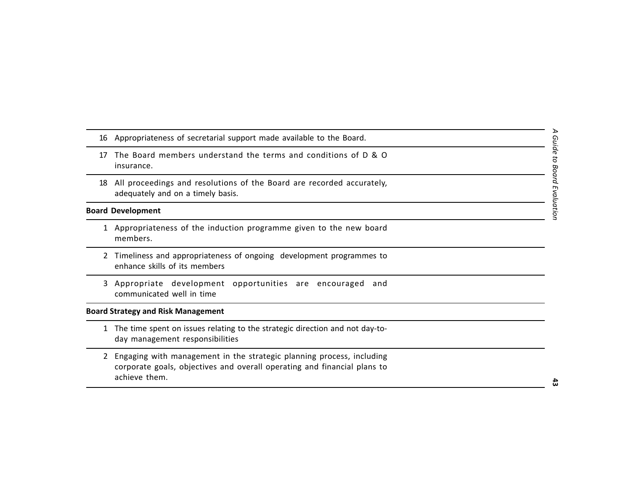- 
- 
- 

- 
- 
- 

- 
- 16 Appropriateness of secretarial support made available to the Board.<br>
17 The Board members understand the terms and conditions of D & O<br>
insurance.<br>
18 All proceedings and resolutions of the Board are recorded accurately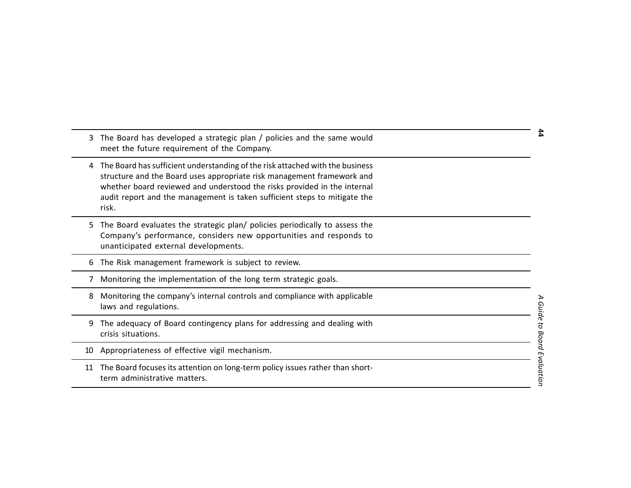- 
- 3 The Board has developed a strategic plan / policies and the same would<br>
meet the future requirement of the Company.<br>
4 The Board Mass difficient understanding of the risk attached with the business<br>
structure and the Bo
- 
- 
- 
- 
- 
- 
-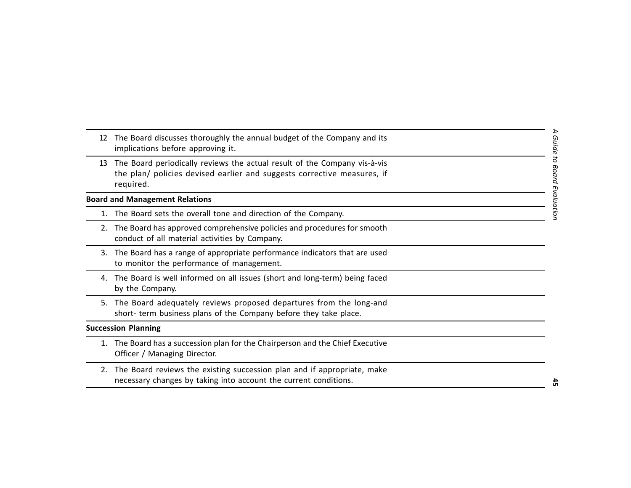- $\triangleright$ *A Guide to Board Evaluation* 12 The Board discusses throughly the annual budget of the Company and its<br>
implications before approving it.<br>
13 The Board periodically reviews the actual result of the Company vis-à-vis<br>
the plan/ policies devised earlier
	-
	-

- 
-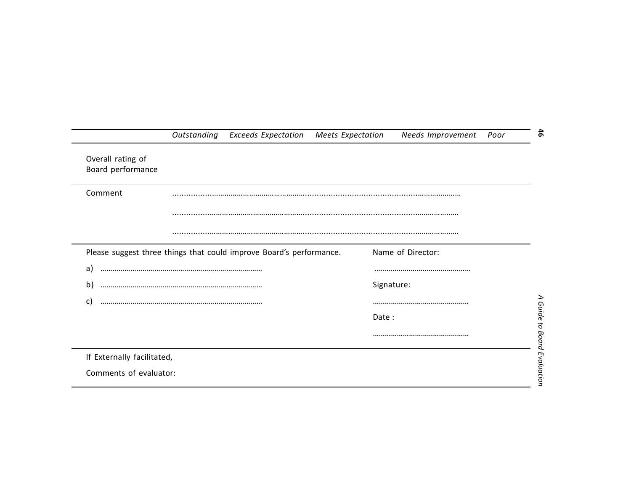|                                        | Outstanding | <b>Exceeds Expectation</b>                                          | Meets Expectation | Needs Improvement | Poor |
|----------------------------------------|-------------|---------------------------------------------------------------------|-------------------|-------------------|------|
| Overall rating of<br>Board performance |             |                                                                     |                   |                   |      |
| Comment                                |             |                                                                     |                   |                   |      |
|                                        |             |                                                                     |                   |                   |      |
|                                        |             |                                                                     |                   |                   |      |
|                                        |             | Please suggest three things that could improve Board's performance. |                   | Name of Director: |      |
| a)                                     |             |                                                                     |                   |                   |      |
| b)                                     |             |                                                                     |                   | Signature:        |      |
| C)                                     |             |                                                                     |                   |                   |      |
|                                        |             |                                                                     | Date:             |                   |      |
|                                        |             |                                                                     |                   |                   |      |
| If Externally facilitated,             |             |                                                                     |                   |                   |      |
| Comments of evaluator:                 |             |                                                                     |                   |                   |      |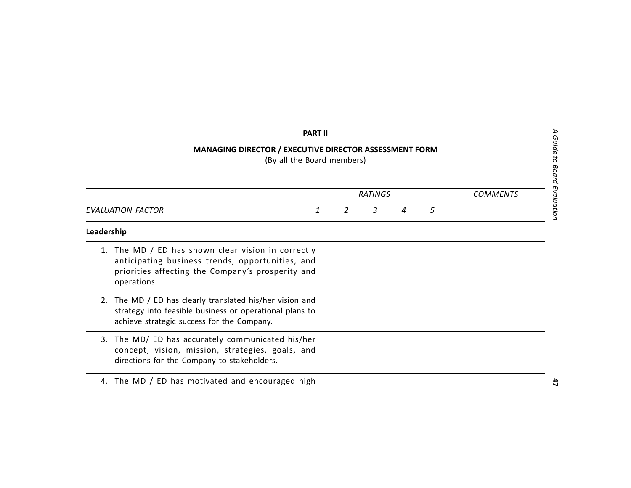# **PARTII**<br>
MANAGING DIRECTOR / EXECUTIVE DIRECTOR ASSESSMENT FORM<br>
(By all the Board members)<br>
(By all the Board members)<br>
EVALUATION FACTOR<br>
EVALUATION FACTOR<br>
1 2 3 4 5<br>
Leadership<br>
1. The MD / ED has shown clear vision i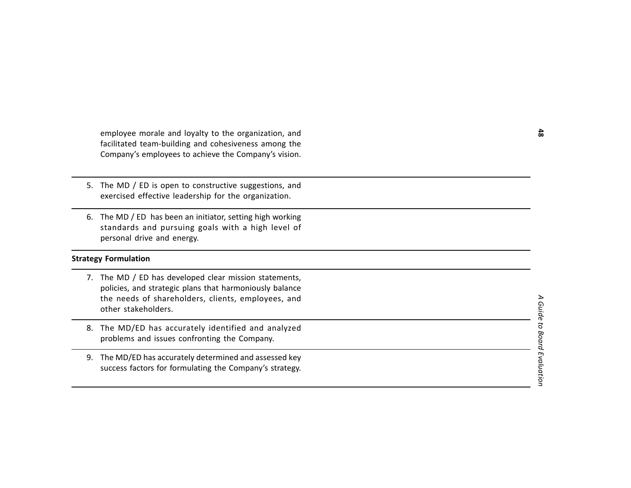- 
- 

- employee morals and loyalty to the organization, and<br>
facilitated team-building and cohesiveness among the<br>
Company's employees to achieve the Company's vision.<br>
5. The MD / ED is open to constructive suggestions, and<br>
ex
	-
	-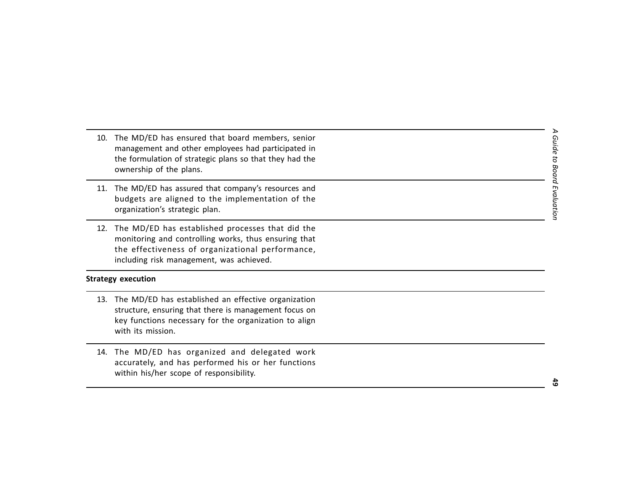- 
- 
- 

- 10. The MD/ED has ensured that board members, senior<br>
management and other employees had participated in<br>
the formulation of strategic plans so that they had the<br>
ownership of the plans.<br>
11. The MD/ED has assured that com
	-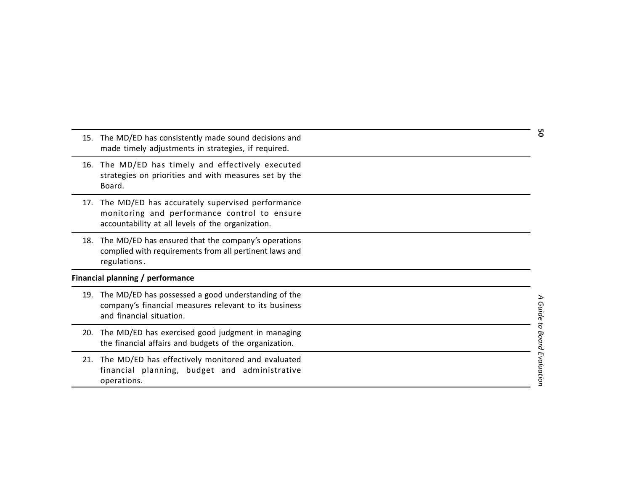| 15. | The MD/ED has consistently made sound decisions and |
|-----|-----------------------------------------------------|
|     | made timely adjustments in strategies, if required. |

- 
- 
- 

- 
- 
- 15. The MD/ED has consistently made sound decisions and<br>
16. The MD/ED has stimely and effectively executed<br>
16. The MD/ED has stimely and effectively executed<br>
article gives accurately supervised performance<br>
monitoring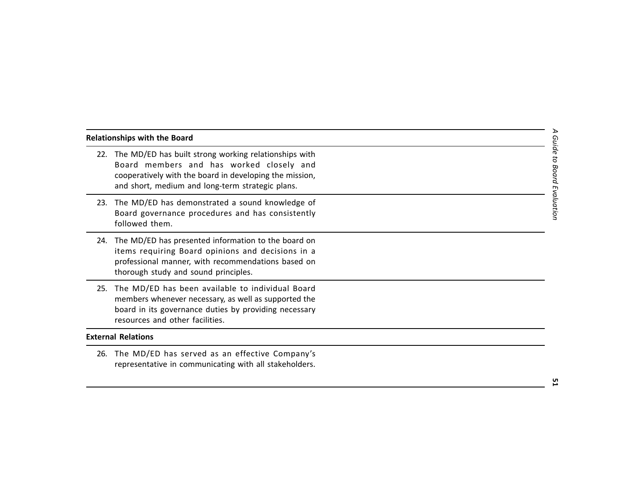- Nelationships with the Board<br>
22. The MD/ED has bullt strong working relationships with<br>
6 Board members and has worked closely and<br>
cooperatively with the board in developing the mission,<br>
and short, medium and long-term
	-
	-
	-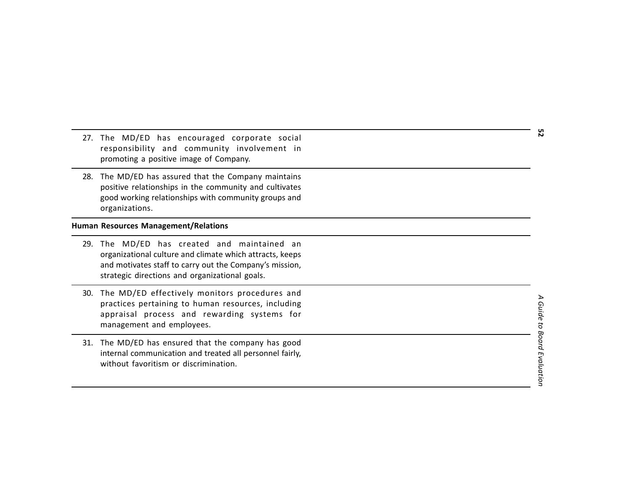- 
- 

- 27. The MD/ED has encouraged corporate social<br>
responsibility and community involvement in<br>
promoting a positive image of Company.<br>
28. The MD/ED has assured that the Company maintains<br>
positive relationships in the commu
	-
	-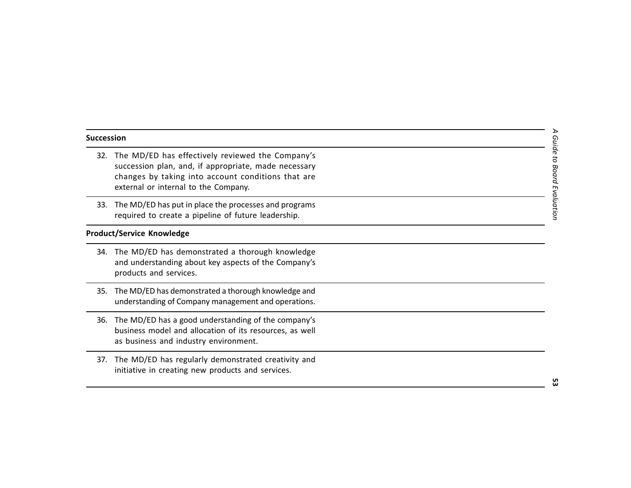- Succession<br>
32. The MD/ED has effectively reviewed the Company's<br>
succession plan, and, if appropriate, made necessary<br>
changes by taking into account conditions that are<br>
external or internal to the Company.<br>
33. The MD/
	-

- 
- 
- 
-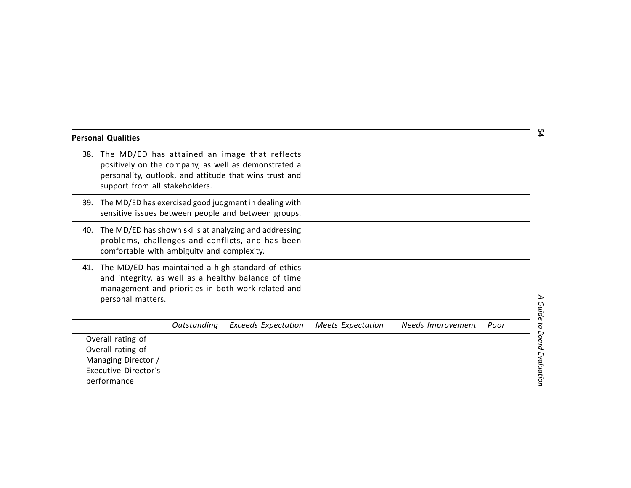|     | <b>Personal Qualities</b>                                                                            |             |                                                                                                                                                                 |                          |                   |      |
|-----|------------------------------------------------------------------------------------------------------|-------------|-----------------------------------------------------------------------------------------------------------------------------------------------------------------|--------------------------|-------------------|------|
| 38. | support from all stakeholders.                                                                       |             | The MD/ED has attained an image that reflects<br>positively on the company, as well as demonstrated a<br>personality, outlook, and attitude that wins trust and |                          |                   |      |
| 39. |                                                                                                      |             | The MD/ED has exercised good judgment in dealing with<br>sensitive issues between people and between groups.                                                    |                          |                   |      |
| 40. | comfortable with ambiguity and complexity.                                                           |             | The MD/ED has shown skills at analyzing and addressing<br>problems, challenges and conflicts, and has been                                                      |                          |                   |      |
| 41. | personal matters.                                                                                    |             | The MD/ED has maintained a high standard of ethics<br>and integrity, as well as a healthy balance of time<br>management and priorities in both work-related and |                          |                   |      |
|     |                                                                                                      | Outstanding | <b>Exceeds Expectation</b>                                                                                                                                      | <b>Meets Expectation</b> | Needs Improvement | Poor |
|     | Overall rating of<br>Overall rating of<br>Managing Director /<br>Executive Director's<br>performance |             |                                                                                                                                                                 |                          |                   |      |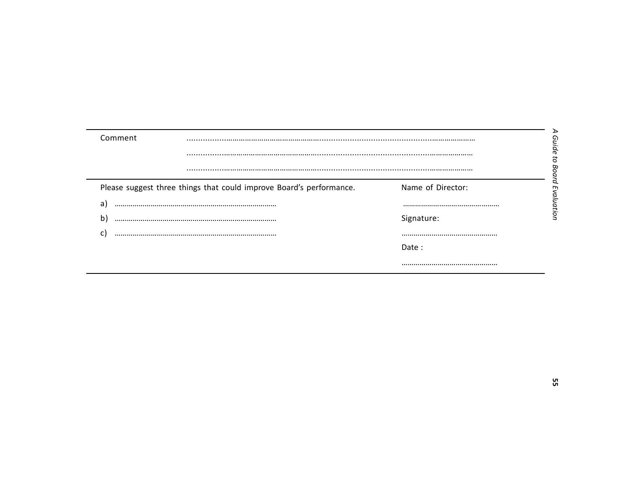| Comment |                                                                     |                   |
|---------|---------------------------------------------------------------------|-------------------|
|         |                                                                     |                   |
|         |                                                                     |                   |
|         | Please suggest three things that could improve Board's performance. | Name of Director: |
| a       |                                                                     |                   |
| b       |                                                                     | Signature:        |
|         |                                                                     |                   |
|         |                                                                     | Date:             |
|         |                                                                     |                   |

 $\overline{\phantom{a}}$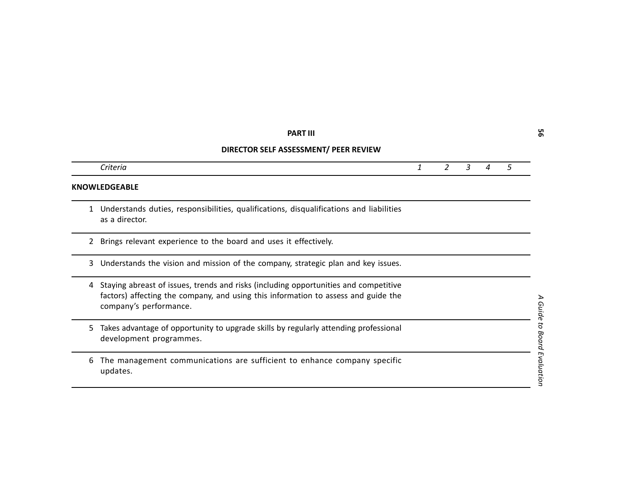|   | <b>PART III</b>                                                                                                                                                                                      |              |                |   |   |   | ვ                 |
|---|------------------------------------------------------------------------------------------------------------------------------------------------------------------------------------------------------|--------------|----------------|---|---|---|-------------------|
|   | DIRECTOR SELF ASSESSMENT/ PEER REVIEW                                                                                                                                                                |              |                |   |   |   |                   |
|   | Criteria                                                                                                                                                                                             | $\mathbf{1}$ | $\overline{2}$ | 3 | 4 | 5 |                   |
|   | KNOWLEDGEABLE                                                                                                                                                                                        |              |                |   |   |   |                   |
| 1 | Understands duties, responsibilities, qualifications, disqualifications and liabilities<br>as a director.                                                                                            |              |                |   |   |   |                   |
| 2 | Brings relevant experience to the board and uses it effectively.                                                                                                                                     |              |                |   |   |   |                   |
| 3 | Understands the vision and mission of the company, strategic plan and key issues.                                                                                                                    |              |                |   |   |   |                   |
| 4 | Staying abreast of issues, trends and risks (including opportunities and competitive<br>factors) affecting the company, and using this information to assess and guide the<br>company's performance. |              |                |   |   |   | Guid              |
| 5 | Takes advantage of opportunity to upgrade skills by regularly attending professional<br>development programmes.                                                                                      |              |                |   |   |   | 5<br><b>Board</b> |
| 6 | The management communications are sufficient to enhance company specific<br>updates.                                                                                                                 |              |                |   |   |   | Evaluation        |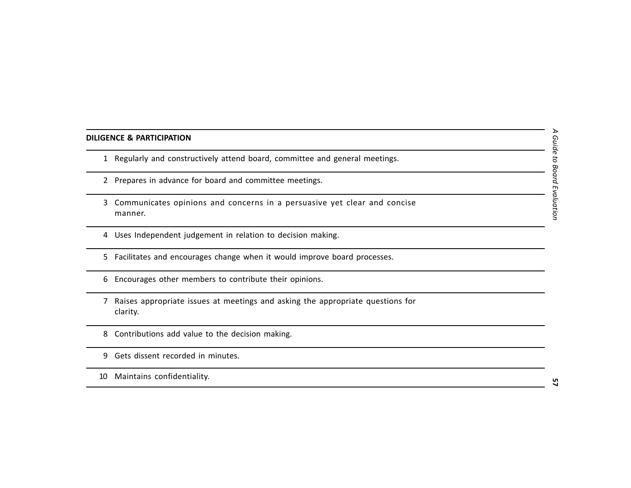- 
- 
- DILIGENCE & PARTICIPATION<br>
1 Regularly and constructively attend board, committee and general meetings.<br>
2 Prepares in advance for board and committee meetings.<br>
3 Communicates opinions and concerns in a persuasive yet cle
	-
	-
	-
	-
	-
	-
	-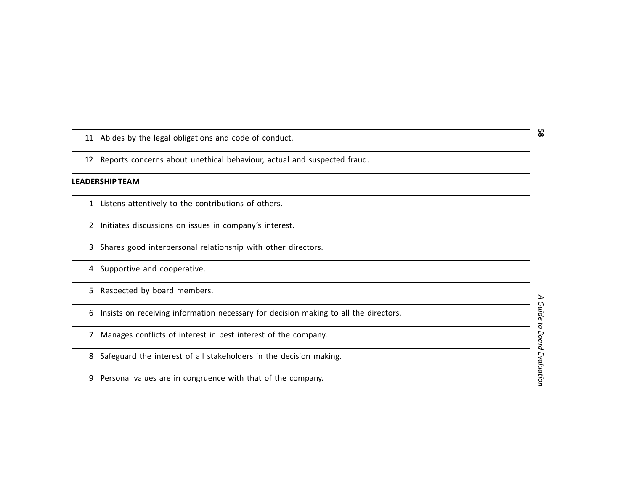- 
- 

- 
- 
- 
- 
- 
- 11 Abides by the legal obligations and code of conduct.<br>
12 Reports concerns about unethical behaviour, actual and suspected fraud.<br>
1 Listens attentively to the contributions of others.<br>
2 Initiates discussions on issues
	-
	-
	-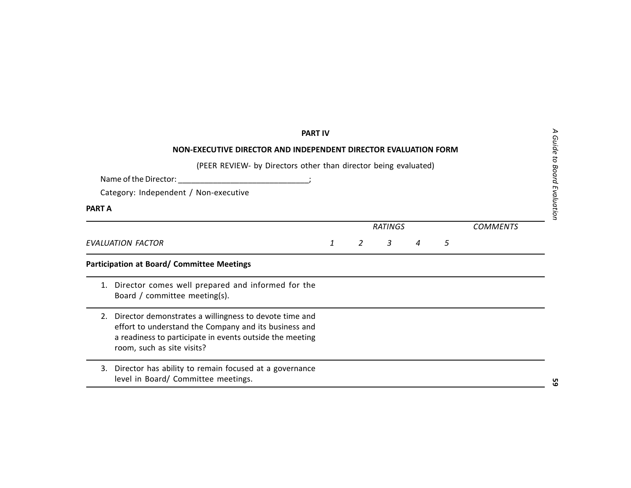|               | <b>PART IV</b><br>NON-EXECUTIVE DIRECTOR AND INDEPENDENT DIRECTOR EVALUATION FORM<br>(PEER REVIEW- by Directors other than director being evaluated)<br>Name of the Director:<br><u> 1990 - Johann Barbara, martxa alemani</u> ar a<br>Category: Independent / Non-executive |   |   |                |   |                 | Guide<br>Board |
|---------------|------------------------------------------------------------------------------------------------------------------------------------------------------------------------------------------------------------------------------------------------------------------------------|---|---|----------------|---|-----------------|----------------|
| <b>PART A</b> |                                                                                                                                                                                                                                                                              |   |   |                |   |                 | Evaluatior     |
|               |                                                                                                                                                                                                                                                                              |   |   | <b>RATINGS</b> |   | <b>COMMENTS</b> |                |
|               | <b>EVALUATION FACTOR</b>                                                                                                                                                                                                                                                     | 1 | 2 | 3              | 5 |                 |                |
|               | <b>Participation at Board/ Committee Meetings</b>                                                                                                                                                                                                                            |   |   |                |   |                 |                |
|               | 1. Director comes well prepared and informed for the<br>Board / committee meeting(s).                                                                                                                                                                                        |   |   |                |   |                 |                |
| 2.            | Director demonstrates a willingness to devote time and<br>effort to understand the Company and its business and<br>a readiness to participate in events outside the meeting<br>room, such as site visits?                                                                    |   |   |                |   |                 |                |
| 3.            | Director has ability to remain focused at a governance<br>level in Board/ Committee meetings.                                                                                                                                                                                |   |   |                |   |                 |                |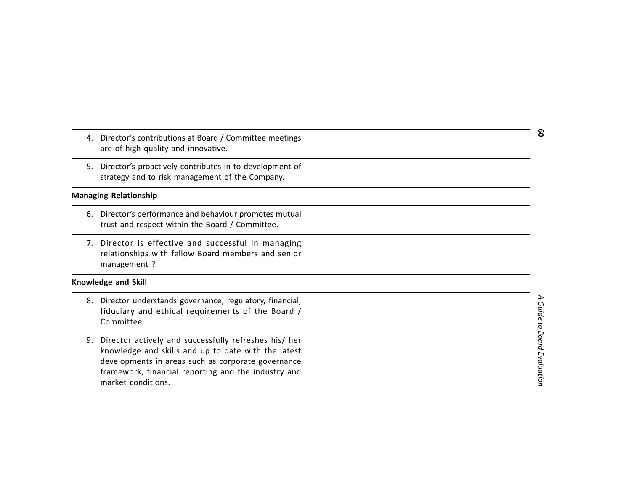- 
- 

- 
- 

- 
- 4. Director's contributions at Board / Committee meetings<br>
3. By check of high quality and innovative.<br>
5. Director's protactively contributes in to development of<br>
strategy and to risk management of the Company.<br> **Managin**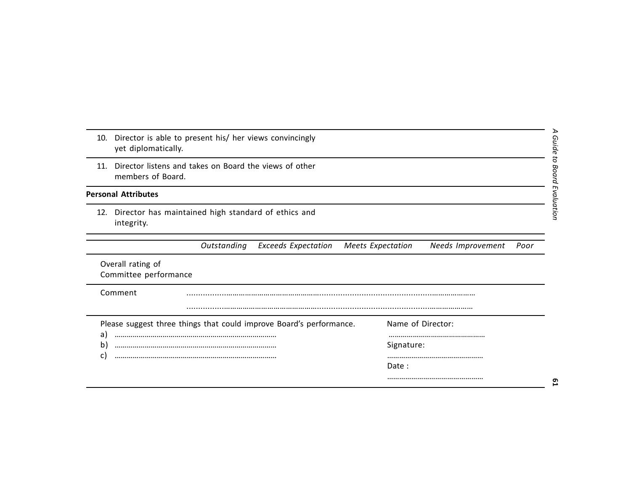|                          | ℶ<br>10. Director is able to present his/ her views convincingly<br>Guide<br>yet diplomatically.                |
|--------------------------|-----------------------------------------------------------------------------------------------------------------|
| 11.                      | Ö<br>Director listens and takes on Board the views of other<br>Board<br>members of Board.                       |
|                          | <b>Personal Attributes</b>                                                                                      |
|                          | valuatior<br>12. Director has maintained high standard of ethics and<br>integrity.                              |
|                          | Outstanding<br><b>Exceeds Expectation</b><br><b>Meets Expectation</b><br>Needs Improvement<br>Poor              |
|                          | Overall rating of<br>Committee performance                                                                      |
|                          | Comment                                                                                                         |
| a)<br>$\mathbf{b}$<br>C) | Please suggest three things that could improve Board's performance.<br>Name of Director:<br>Signature:<br>Date: |
|                          | ᠳ                                                                                                               |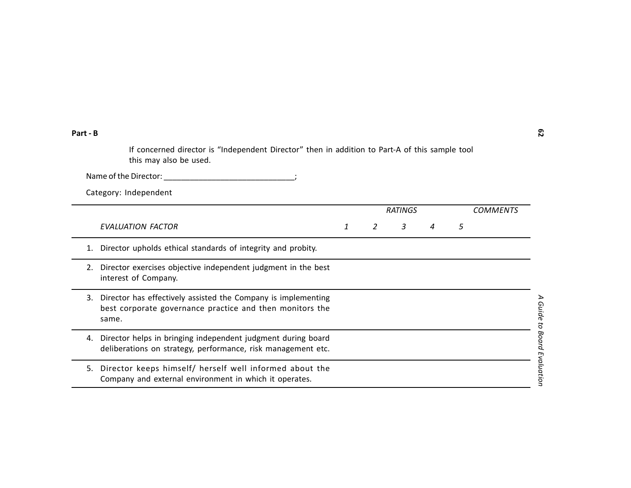| Part - B |                                                                                                                                    |   |   |                |   |   |                 | ဥ                       |
|----------|------------------------------------------------------------------------------------------------------------------------------------|---|---|----------------|---|---|-----------------|-------------------------|
|          | If concerned director is "Independent Director" then in addition to Part-A of this sample tool<br>this may also be used.           |   |   |                |   |   |                 |                         |
|          | Name of the Director:                                                                                                              |   |   |                |   |   |                 |                         |
|          | Category: Independent                                                                                                              |   |   |                |   |   |                 |                         |
|          |                                                                                                                                    |   |   | <b>RATINGS</b> |   |   | <b>COMMENTS</b> |                         |
|          | <b>EVALUATION FACTOR</b>                                                                                                           | 1 | 2 | 3              | 4 | 5 |                 |                         |
| 1.       | Director upholds ethical standards of integrity and probity.                                                                       |   |   |                |   |   |                 |                         |
| 2.       | Director exercises objective independent judgment in the best<br>interest of Company.                                              |   |   |                |   |   |                 |                         |
| 3.       | Director has effectively assisted the Company is implementing<br>best corporate governance practice and then monitors the<br>same. |   |   |                |   |   |                 | ⋗<br>Guide to           |
| 4.       | Director helps in bringing independent judgment during board<br>deliberations on strategy, performance, risk management etc.       |   |   |                |   |   |                 | <b>Board Evaluation</b> |
| 5.       | Director keeps himself/ herself well informed about the<br>Company and external environment in which it operates.                  |   |   |                |   |   |                 |                         |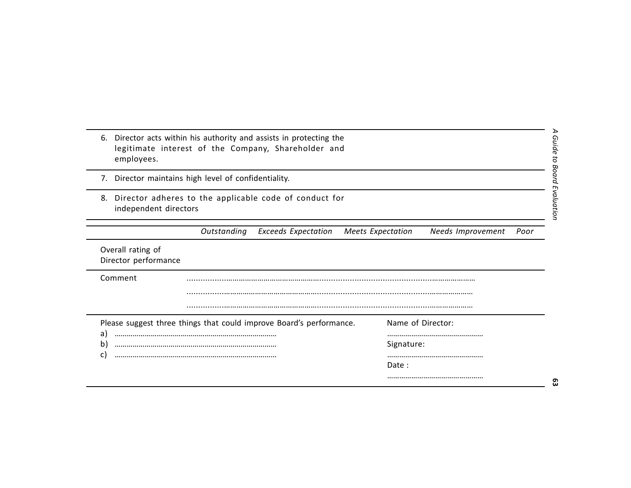| 6.<br>employees.                          | Director acts within his authority and assists in protecting the<br>legitimate interest of the Company, Shareholder and |                                                       |
|-------------------------------------------|-------------------------------------------------------------------------------------------------------------------------|-------------------------------------------------------|
| 7.                                        | Director maintains high level of confidentiality.                                                                       |                                                       |
| 8.<br>independent directors               | Director adheres to the applicable code of conduct for                                                                  |                                                       |
|                                           | Outstanding<br><b>Exceeds Expectation</b>                                                                               | <b>Meets Expectation</b><br>Needs Improvement<br>Poor |
| Overall rating of<br>Director performance |                                                                                                                         |                                                       |
| Comment                                   |                                                                                                                         |                                                       |
|                                           |                                                                                                                         |                                                       |
|                                           | Please suggest three things that could improve Board's performance.                                                     | Name of Director:                                     |
| a)<br>b)                                  |                                                                                                                         | Signature:                                            |
| C)                                        |                                                                                                                         | Date:                                                 |
|                                           |                                                                                                                         |                                                       |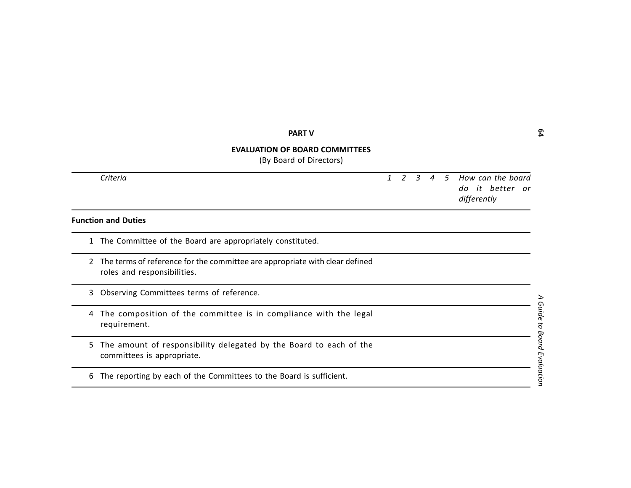|   | <b>PART V</b>                                                                                              |              |   |               |                |      |                                                     |
|---|------------------------------------------------------------------------------------------------------------|--------------|---|---------------|----------------|------|-----------------------------------------------------|
|   | <b>EVALUATION OF BOARD COMMITTEES</b><br>(By Board of Directors)                                           |              |   |               |                |      |                                                     |
|   | Criteria                                                                                                   | $\mathbf{1}$ | 2 | $\mathcal{E}$ | $\overline{A}$ | $-5$ | How can the board<br>do it better or<br>differently |
|   | <b>Function and Duties</b>                                                                                 |              |   |               |                |      |                                                     |
| 1 | The Committee of the Board are appropriately constituted.                                                  |              |   |               |                |      |                                                     |
|   | The terms of reference for the committee are appropriate with clear defined<br>roles and responsibilities. |              |   |               |                |      |                                                     |
| 3 | Observing Committees terms of reference.                                                                   |              |   |               |                |      |                                                     |
| 4 | The composition of the committee is in compliance with the legal<br>requirement.                           |              |   |               |                |      |                                                     |
| 5 | The amount of responsibility delegated by the Board to each of the<br>committees is appropriate.           |              |   |               |                |      |                                                     |
| 6 | The reporting by each of the Committees to the Board is sufficient.                                        |              |   |               |                |      |                                                     |
|   |                                                                                                            |              |   |               |                |      |                                                     |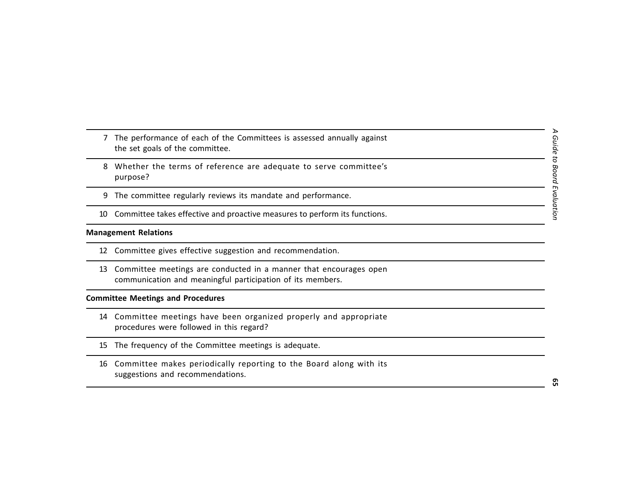- 
- 
- 
- 

- 
- The performance of each of the Committee.<br>
the set goals of the committee.<br>
8 Whether the terms of reference are adequate to serve committee's<br>
9 The committee regularly reviews its mandate and performance.<br>
10 Committee t

- 
- 
-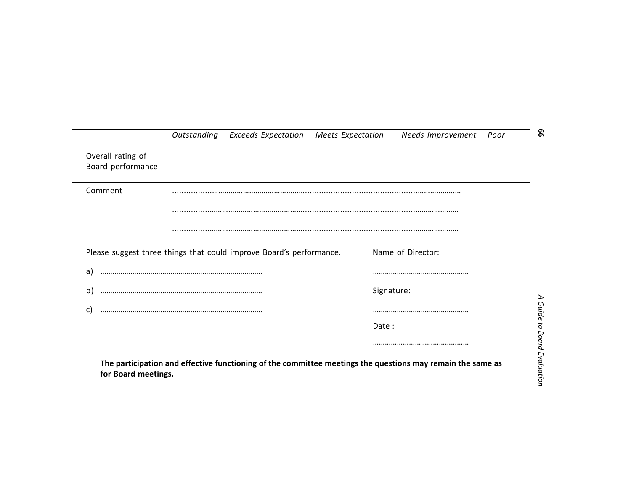|                                        | Outstanding Exceeds Expectation Meets Expectation                   |       | Needs Improvement | Poor |
|----------------------------------------|---------------------------------------------------------------------|-------|-------------------|------|
| Overall rating of<br>Board performance |                                                                     |       |                   |      |
| Comment                                |                                                                     |       |                   |      |
|                                        |                                                                     |       |                   |      |
|                                        |                                                                     |       |                   |      |
|                                        | Please suggest three things that could improve Board's performance. |       | Name of Director: |      |
| a)                                     |                                                                     |       |                   |      |
|                                        |                                                                     |       | Signature:        |      |
|                                        |                                                                     |       |                   |      |
|                                        |                                                                     |       |                   |      |
| b)<br>C)                               |                                                                     | Date: |                   |      |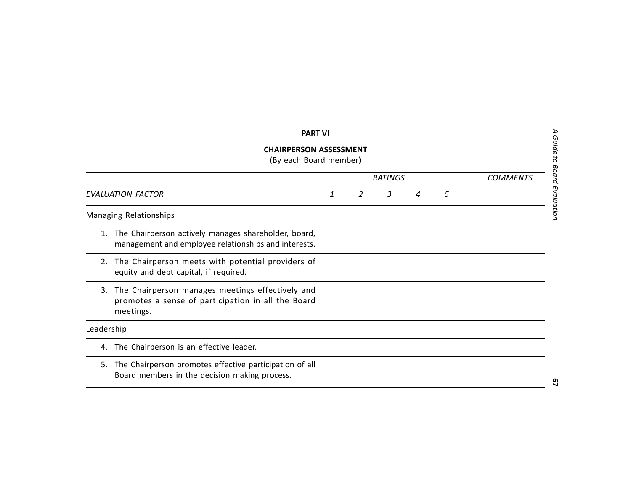|                          | <b>PART VI</b>                                                                                                      |  |   |                |   |                 |
|--------------------------|---------------------------------------------------------------------------------------------------------------------|--|---|----------------|---|-----------------|
|                          | <b>CHAIRPERSON ASSESSMENT</b><br>(By each Board member)                                                             |  |   |                |   |                 |
|                          |                                                                                                                     |  |   | <b>RATINGS</b> |   | <b>COMMENTS</b> |
| <b>EVALUATION FACTOR</b> |                                                                                                                     |  | 2 | 3              | 5 |                 |
|                          | Managing Relationships                                                                                              |  |   |                |   |                 |
| 1.                       | The Chairperson actively manages shareholder, board,<br>management and employee relationships and interests.        |  |   |                |   |                 |
| 2.                       | The Chairperson meets with potential providers of<br>equity and debt capital, if required.                          |  |   |                |   |                 |
| 3.                       | The Chairperson manages meetings effectively and<br>promotes a sense of participation in all the Board<br>meetings. |  |   |                |   |                 |
| Leadership               |                                                                                                                     |  |   |                |   |                 |
| 4.                       | The Chairperson is an effective leader.                                                                             |  |   |                |   |                 |
| 5.                       | The Chairperson promotes effective participation of all<br>Board members in the decision making process.            |  |   |                |   |                 |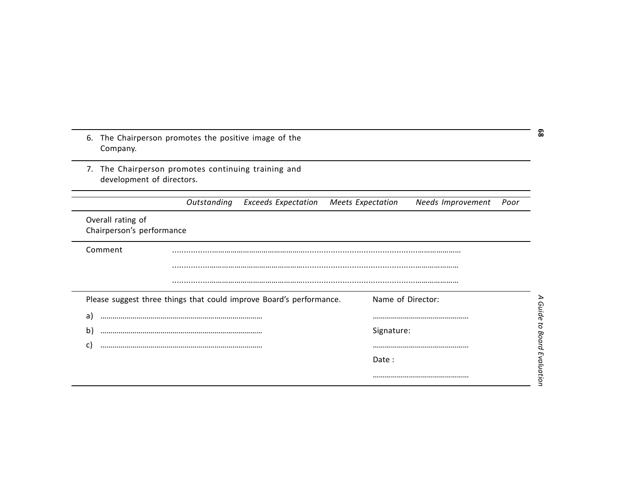| 7.                                             | The Chairperson promotes continuing training and                    |                          |                   |      |
|------------------------------------------------|---------------------------------------------------------------------|--------------------------|-------------------|------|
| development of directors.                      |                                                                     |                          |                   |      |
|                                                | Outstanding<br><b>Exceeds Expectation</b>                           | <b>Meets Expectation</b> | Needs Improvement | Poor |
| Overall rating of<br>Chairperson's performance |                                                                     |                          |                   |      |
| Comment                                        |                                                                     |                          |                   |      |
|                                                |                                                                     |                          |                   |      |
|                                                |                                                                     |                          |                   |      |
|                                                |                                                                     |                          |                   |      |
|                                                | Please suggest three things that could improve Board's performance. | Name of Director:        |                   |      |
| a)                                             |                                                                     |                          |                   |      |
| b)                                             |                                                                     | Signature:               |                   |      |
| C.                                             |                                                                     |                          |                   |      |
|                                                |                                                                     | Date:                    |                   |      |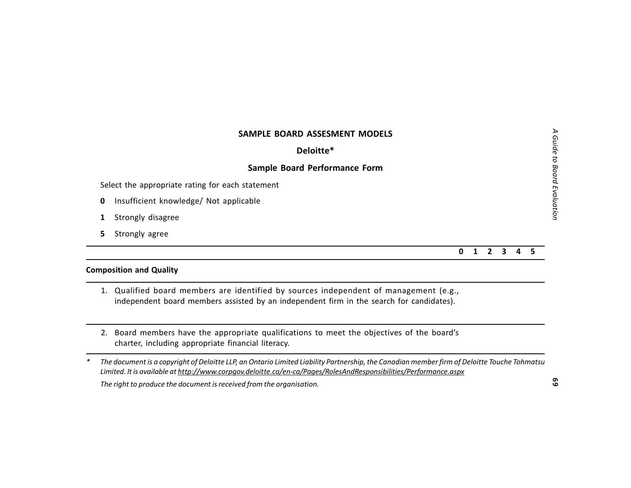# **SAMPLE BOARD ASSESMENT MODELS<br>
Select the appropriate rating for each statement<br>
Select the appropriate rating for each statement<br>
0 Insufficient knowledge/ Not applicable<br>
1 Strongly disagree<br>
5 Strongly agree<br>
5 Strong**

- 
- 
-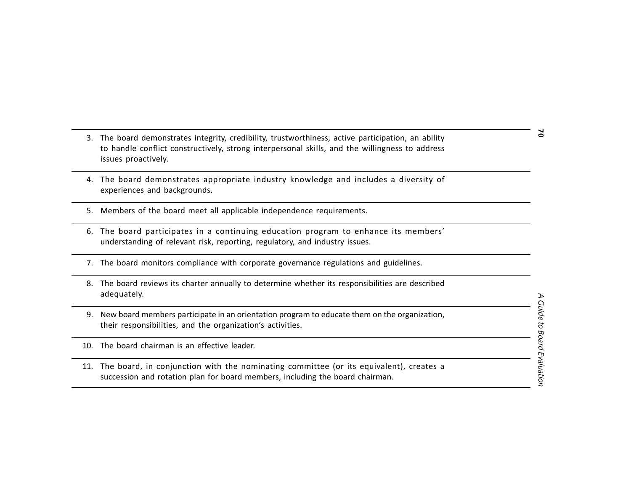- 3. The board demonstrates integrity, credibility, trustworthiness, active participation, an ability<br>
to handle conflict constructively, strong interpersonal skills, and the willingness to address<br>
sisues proactively.<br>
4.
- 
- 
- 
- 
- 
-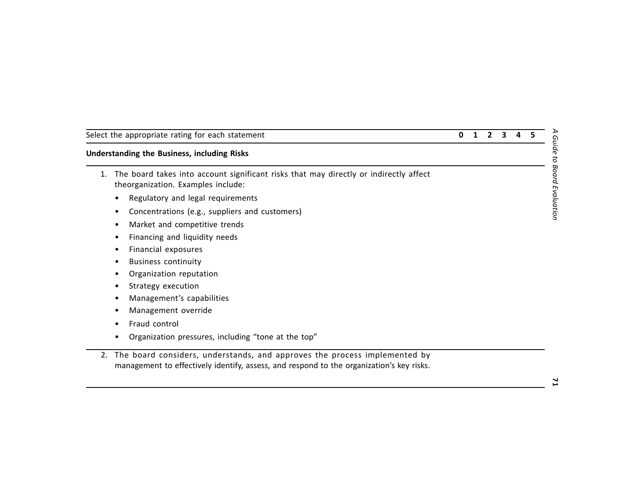| Select the appropriate rating for each statement |  |  |  |
|--------------------------------------------------|--|--|--|
|--------------------------------------------------|--|--|--|

- Select the appropriate rating for each statement<br>
1. The boral takes into account significant risks that may directly or indirectly affect<br>
1. The boral takes into account significant risks that may directly or indirectly
	-
	-
	-
	-
	-
	-
	-
	-
	-
	-
	-
	-
	-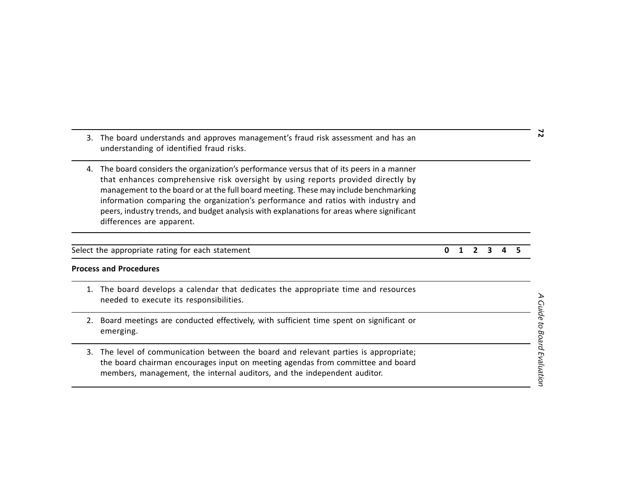- 
- 

| Select the appropriate rating for each statement | 0 1 2 3 4 5 |  |  |  |
|--------------------------------------------------|-------------|--|--|--|
|                                                  |             |  |  |  |

| 3. |                                                                                                                                                                                                                                                                                                                                                                                                                                                                                    |   |  |   | N |                             |
|----|------------------------------------------------------------------------------------------------------------------------------------------------------------------------------------------------------------------------------------------------------------------------------------------------------------------------------------------------------------------------------------------------------------------------------------------------------------------------------------|---|--|---|---|-----------------------------|
| 4. | The board considers the organization's performance versus that of its peers in a manner<br>that enhances comprehensive risk oversight by using reports provided directly by<br>management to the board or at the full board meeting. These may include benchmarking<br>information comparing the organization's performance and ratios with industry and<br>peers, industry trends, and budget analysis with explanations for areas where significant<br>differences are apparent. |   |  |   |   |                             |
|    | Select the appropriate rating for each statement                                                                                                                                                                                                                                                                                                                                                                                                                                   | O |  | 3 |   |                             |
|    | <b>Process and Procedures</b>                                                                                                                                                                                                                                                                                                                                                                                                                                                      |   |  |   |   |                             |
| 1. | The board develops a calendar that dedicates the appropriate time and resources<br>needed to execute its responsibilities.                                                                                                                                                                                                                                                                                                                                                         |   |  |   |   |                             |
| 2. | Board meetings are conducted effectively, with sufficient time spent on significant or<br>emerging.                                                                                                                                                                                                                                                                                                                                                                                |   |  |   |   |                             |
| 3. | The level of communication between the board and relevant parties is appropriate;<br>the board chairman encourages input on meeting agendas from committee and board<br>members, management, the internal auditors, and the independent auditor.                                                                                                                                                                                                                                   |   |  |   |   | A Guide to Board Evaluation |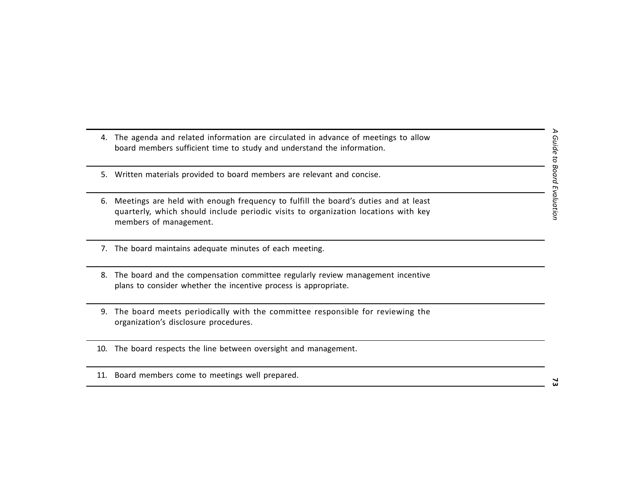- 
- 
- 4. The agenda and related information are circulated in advance of meetings to allow<br>
board members sufficient time to study and understand the information.<br>
5. Written materials provided to board members are relevant and
- 
- 
- 
- 
-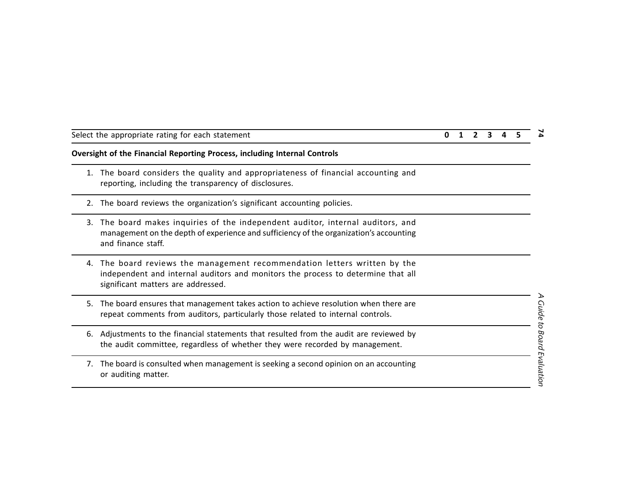- 
- 
- Select the appropriate rating for each statement<br>
1. The board considers the quality and appropriateness of financial accounting and<br>
1. The board considers the quality and appropriateness of financial accounting and<br>
1. T
	-
	-
	-
	-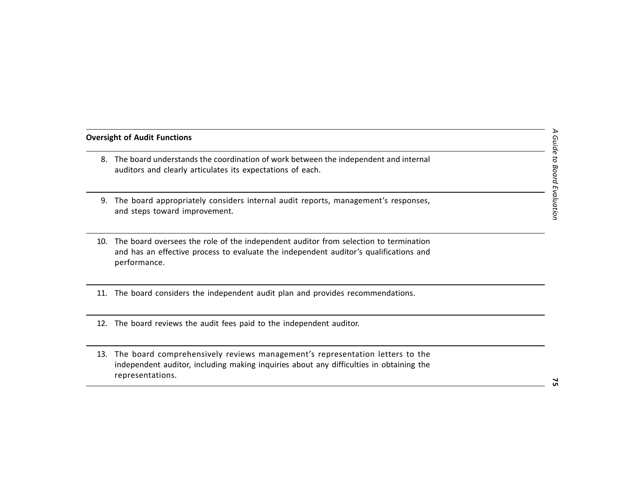- 
- 
- 
- 
- 
- Oversight of Audit Functions<br>
8. The board understands the coordination of work between the independent and internal<br>
auditors and clearly articulates its expectations of each.<br>
9. The board appropriately considers interna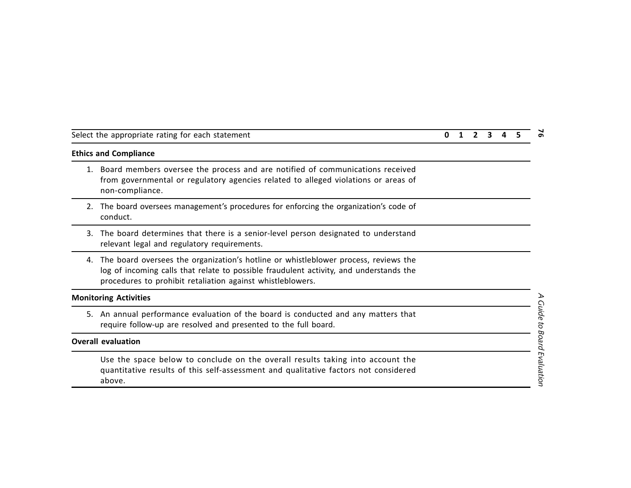- Select the appropriate rating for each statement<br>
1. Board members oversee the process and are notified of communications received<br>
1. Board members oversee the process and are notified of communications received<br>
1. Board
	-
	-
	-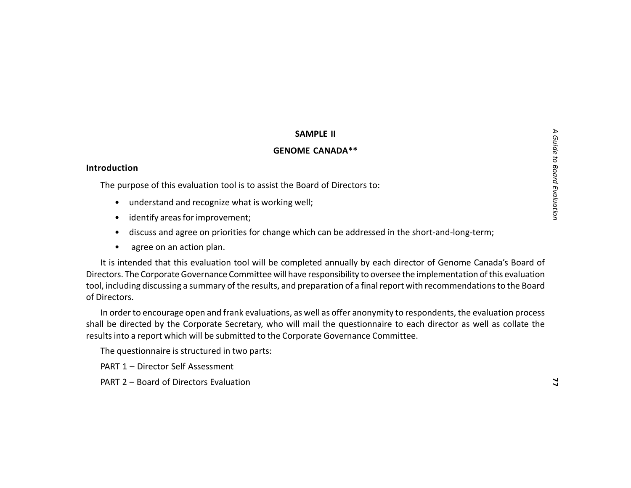- 
- 
- 
- 

**SAMPLE II**<br> **Introduction**<br>
The purpose of this evaluation tool is to assist the Board of Directors to:<br> **Intervaluation and recognize what is working well;**<br> **Intervaluation and recognize what is working well;**<br> **Interv**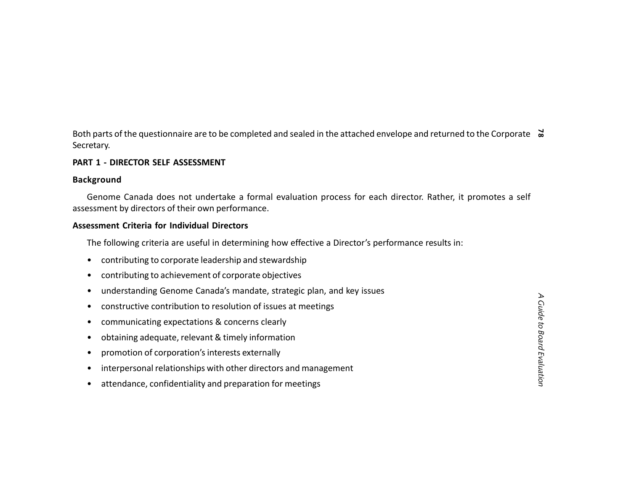Both parts of the questionnaire are to be completed and sealed in the attached envelope and returned to the Corporate<br> **Secretary.**<br> **PART 1 - DIRECTOR SELF ASSESSMENT**<br> **Background**<br>
Genome Canada does not undertake a for

- 
- 
- 
- 
- 
- 
- 
- 
- attendance, confidentiality and preparation for meetings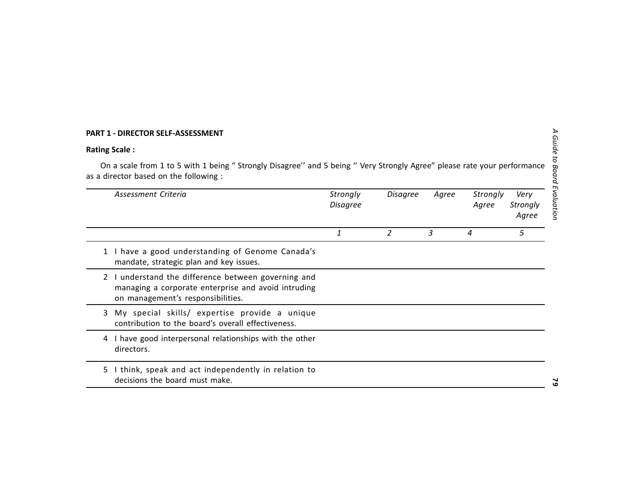|    | PART 1 - DIRECTOR SELF-ASSESSMENT                                                                                                                               |                             |                 |       |                   |                           |
|----|-----------------------------------------------------------------------------------------------------------------------------------------------------------------|-----------------------------|-----------------|-------|-------------------|---------------------------|
|    | <b>Rating Scale:</b>                                                                                                                                            |                             |                 |       |                   |                           |
|    | On a scale from 1 to 5 with 1 being "Strongly Disagree" and 5 being "Very Strongly Agree" please rate your performance<br>as a director based on the following: |                             |                 |       |                   |                           |
|    | Assessment Criteria                                                                                                                                             | Strongly<br><b>Disagree</b> | <b>Disagree</b> | Agree | Strongly<br>Agree | Very<br>Strongly<br>Agree |
|    |                                                                                                                                                                 | 1                           | 2               | 3     | $\overline{4}$    | 5                         |
|    | 1 I have a good understanding of Genome Canada's<br>mandate, strategic plan and key issues.                                                                     |                             |                 |       |                   |                           |
|    | 2 I understand the difference between governing and<br>managing a corporate enterprise and avoid intruding<br>on management's responsibilities.                 |                             |                 |       |                   |                           |
| 3  | My special skills/ expertise provide a unique<br>contribution to the board's overall effectiveness.                                                             |                             |                 |       |                   |                           |
| 4  | I have good interpersonal relationships with the other<br>directors.                                                                                            |                             |                 |       |                   |                           |
| 5. | I think, speak and act independently in relation to<br>decisions the board must make.                                                                           |                             |                 |       |                   |                           |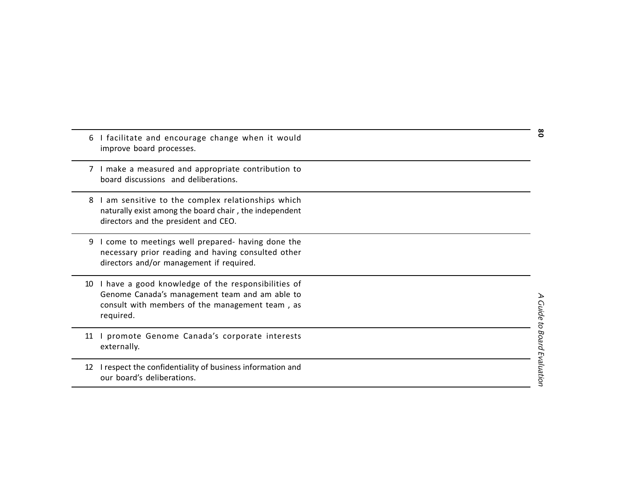| 6  | I facilitate and encourage change when it would<br>improve board processes.                                                                                          | °ة         |
|----|----------------------------------------------------------------------------------------------------------------------------------------------------------------------|------------|
|    | 7 I make a measured and appropriate contribution to<br>board discussions and deliberations.                                                                          |            |
| 8  | I am sensitive to the complex relationships which<br>naturally exist among the board chair, the independent<br>directors and the president and CEO.                  |            |
| 9  | I come to meetings well prepared- having done the<br>necessary prior reading and having consulted other<br>directors and/or management if required.                  |            |
| 10 | I have a good knowledge of the responsibilities of<br>Genome Canada's management team and am able to<br>consult with members of the management team, as<br>required. | Guide<br>5 |
| 11 | I promote Genome Canada's corporate interests<br>externally.                                                                                                         | Board      |
| 12 | I respect the confidentiality of business information and<br>our board's deliberations.                                                                              | Evaluation |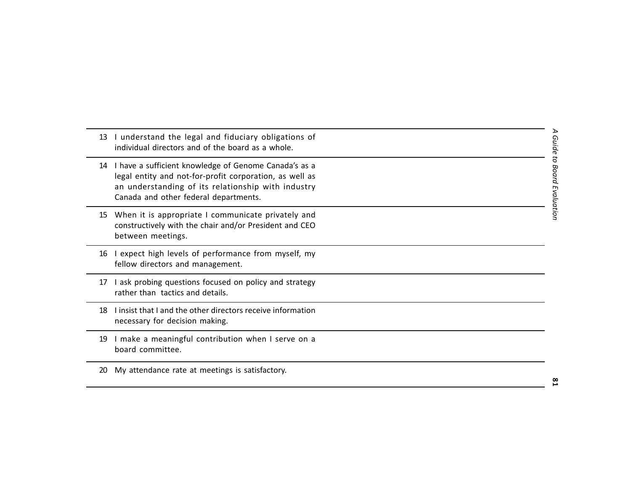| 13 | I understand the legal and fiduciary obligations of<br>individual directors and of the board as a whole.                                                                                                        | <b>Guide</b>             |
|----|-----------------------------------------------------------------------------------------------------------------------------------------------------------------------------------------------------------------|--------------------------|
| 14 | I have a sufficient knowledge of Genome Canada's as a<br>legal entity and not-for-profit corporation, as well as<br>an understanding of its relationship with industry<br>Canada and other federal departments. | O<br>Board<br>Evaluatior |
| 15 | When it is appropriate I communicate privately and<br>constructively with the chair and/or President and CEO<br>between meetings.                                                                               |                          |
| 16 | I expect high levels of performance from myself, my<br>fellow directors and management.                                                                                                                         |                          |
| 17 | I ask probing questions focused on policy and strategy<br>rather than tactics and details.                                                                                                                      |                          |
| 18 | I insist that I and the other directors receive information<br>necessary for decision making.                                                                                                                   |                          |
| 19 | I make a meaningful contribution when I serve on a<br>board committee.                                                                                                                                          |                          |
| 20 | My attendance rate at meetings is satisfactory.                                                                                                                                                                 |                          |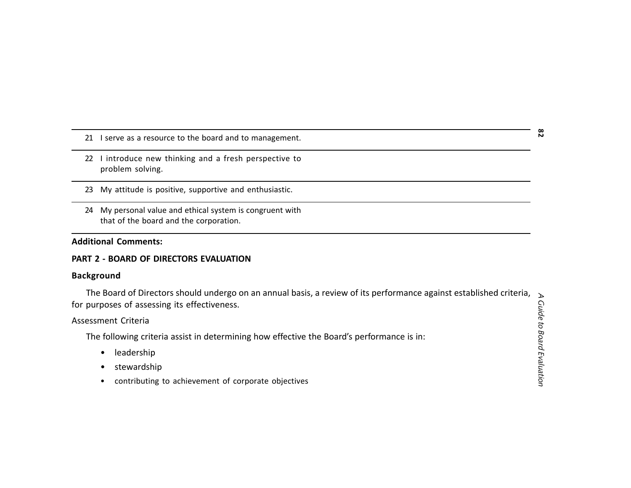- 
- 
- 
- 

21 I serve as a resource to the board and to management.<br>
22 I introduce new thinking and a fresh perspective to<br>
problem solving.<br>
23 My attitude is positive, supportive and enthusiastic.<br>
24 My personal value and ethical

- 
- 
-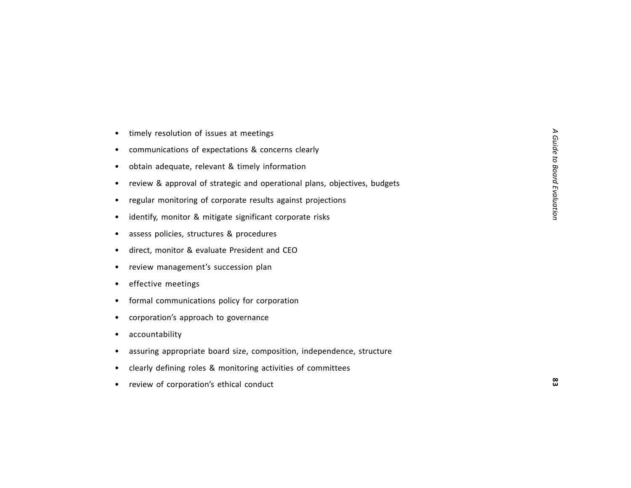- 
- 
- 
- timely resolution of issues at meetings<br>• communications of expectations & concerns clearly<br>• obtain adequate, relevant & timely information<br>• review & approval of stategic and operational plans, objectives, budgets<br>• re
- 
- 
- 
- 
- 
- 
- 
- 
- 
- 
- 
- review of corporation's ethical conduct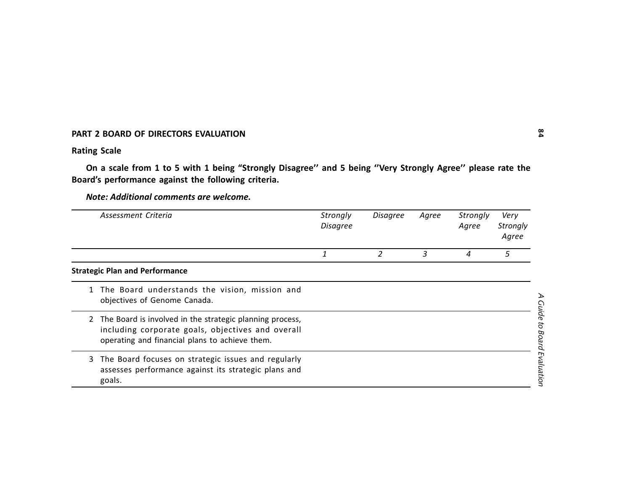|              | PART 2 BOARD OF DIRECTORS EVALUATION                                                                                                                              |                             |                |                |                   |                           |
|--------------|-------------------------------------------------------------------------------------------------------------------------------------------------------------------|-----------------------------|----------------|----------------|-------------------|---------------------------|
|              | <b>Rating Scale</b>                                                                                                                                               |                             |                |                |                   |                           |
|              | On a scale from 1 to 5 with 1 being "Strongly Disagree" and 5 being "Very Strongly Agree" please rate the<br>Board's performance against the following criteria.  |                             |                |                |                   |                           |
|              | Note: Additional comments are welcome.                                                                                                                            |                             |                |                |                   |                           |
|              | Assessment Criteria                                                                                                                                               | Strongly<br><b>Disagree</b> | Disagree       | Agree          | Strongly<br>Agree | Very<br>Strongly<br>Agree |
|              |                                                                                                                                                                   | 1                           | $\overline{2}$ | $\mathfrak{Z}$ | 4                 | 5                         |
|              | <b>Strategic Plan and Performance</b>                                                                                                                             |                             |                |                |                   |                           |
| $\mathbf{1}$ | The Board understands the vision, mission and<br>objectives of Genome Canada.                                                                                     |                             |                |                |                   |                           |
|              | 2 The Board is involved in the strategic planning process,<br>including corporate goals, objectives and overall<br>operating and financial plans to achieve them. |                             |                |                |                   |                           |
| 3            | The Board focuses on strategic issues and regularly<br>assesses performance against its strategic plans and<br>goals.                                             |                             |                |                |                   |                           |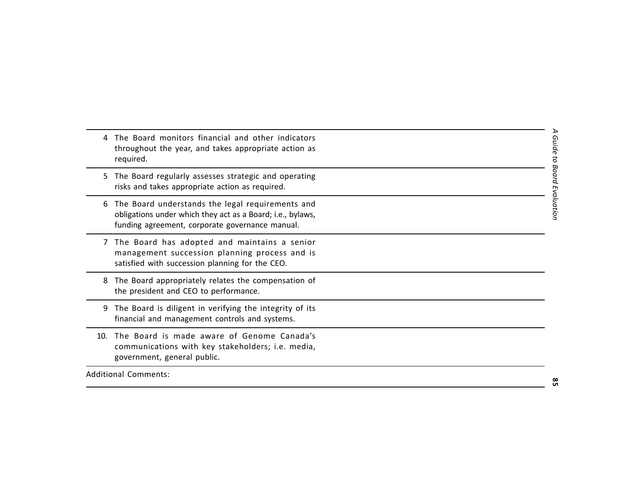|     | The Board monitors financial and other indicators<br>throughout the year, and takes appropriate action as<br>required.                                            | Guide to   |   |
|-----|-------------------------------------------------------------------------------------------------------------------------------------------------------------------|------------|---|
| 5.  | The Board regularly assesses strategic and operating<br>risks and takes appropriate action as required.                                                           | Board      |   |
| 6   | The Board understands the legal requirements and<br>obligations under which they act as a Board; i.e., bylaws,<br>funding agreement, corporate governance manual. | Evaluatior |   |
|     | 7 The Board has adopted and maintains a senior<br>management succession planning process and is<br>satisfied with succession planning for the CEO.                |            |   |
| 8   | The Board appropriately relates the compensation of<br>the president and CEO to performance.                                                                      |            |   |
| 9   | The Board is diligent in verifying the integrity of its<br>financial and management controls and systems.                                                         |            |   |
| 10. | The Board is made aware of Genome Canada's<br>communications with key stakeholders; i.e. media,<br>government, general public.                                    |            |   |
|     | <b>Additional Comments:</b>                                                                                                                                       |            | œ |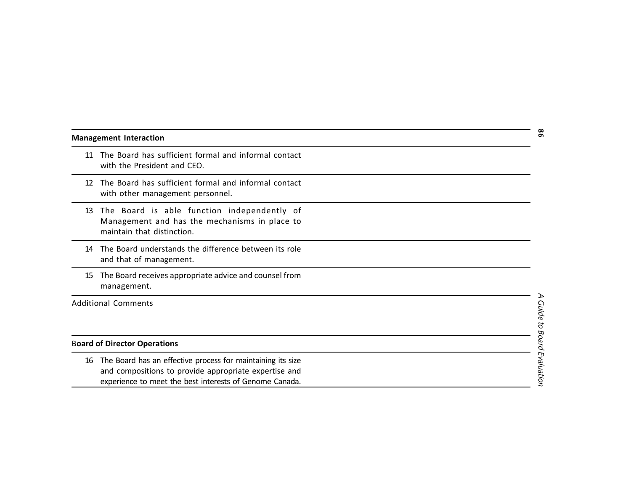|  |  |  |  |  |  |  | <b>Management Interaction</b> |  |
|--|--|--|--|--|--|--|-------------------------------|--|
|--|--|--|--|--|--|--|-------------------------------|--|

- 
- 
- 
- 
- 

## B**oard of Director Operations**

**Management Interaction**<br>
11 The Board has sufficient formal and informal contact<br>
with the President and CEO.<br>
12 The Board has sufficient formal and informal contact<br>
12 The Board has the function independently of<br>
Mana 16 The Board has an effective process for maintaining its size and compositions to provide appropriate expertise and experience to meet the best interests of Genome Canada.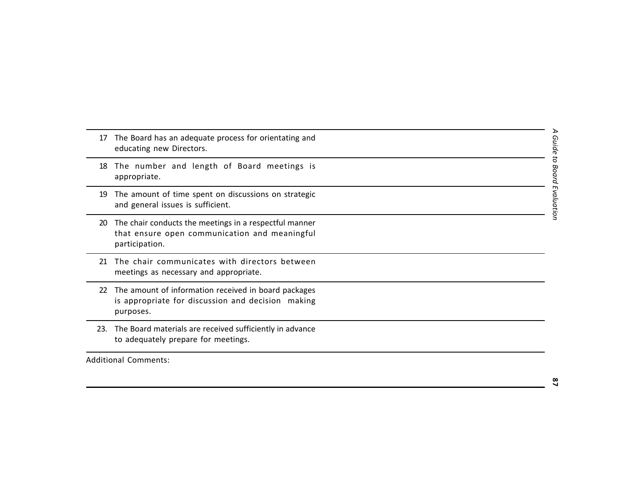- 17 The Board has an adequate process for orientating and<br>
educating new Directors.<br>
18 The number and length of Board meetings is<br>
appropriate.<br>
19 The amount of time spent on discussions on strategic<br>
and general Sisues i
	-
	-
	-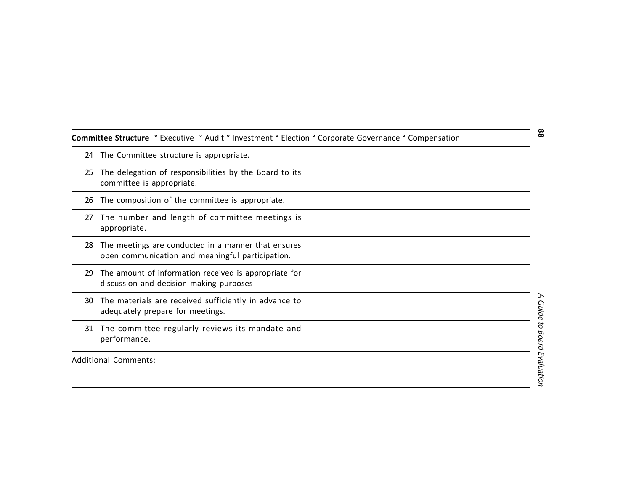| Committee Structure ° Executive ° Audit ° Investment ° Election ° Corporate Governance ° Compensation |  |  |  |  |
|-------------------------------------------------------------------------------------------------------|--|--|--|--|
|                                                                                                       |  |  |  |  |

- 
- Committee Structure "Executive "Audit" Investment "Election "Corporate Governance "Compensation<br>
24 The Committee structure is appropriate.<br>
25 The delegation of responsibilities by the Board to its<br>
committee is appropri
	-
	-
	-
	-
	-
	-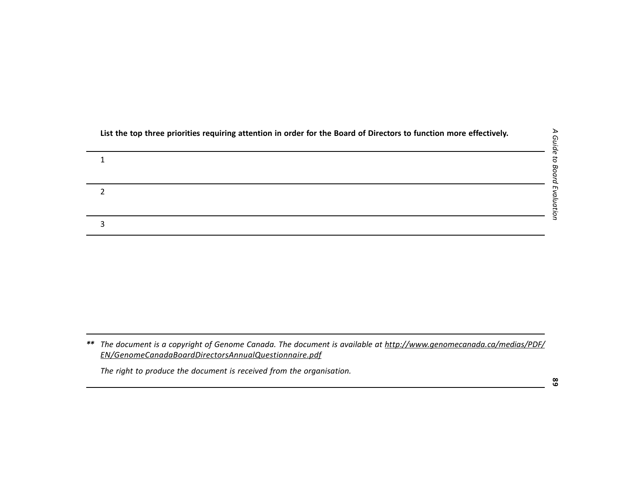|    | List the top three priorities requiring attention in order for the Board of Directors to function more effectively.                                                       |
|----|---------------------------------------------------------------------------------------------------------------------------------------------------------------------------|
|    | 1                                                                                                                                                                         |
|    | 2                                                                                                                                                                         |
|    | 3                                                                                                                                                                         |
|    |                                                                                                                                                                           |
| ** | The document is a copyright of Genome Canada. The document is available at http://www.genomecanada.ca/medias/PDF/<br>EN/GenomeCanadaBoardDirectorsAnnualQuestionnaire.pdf |
|    | The right to produce the document is received from the organisation.                                                                                                      |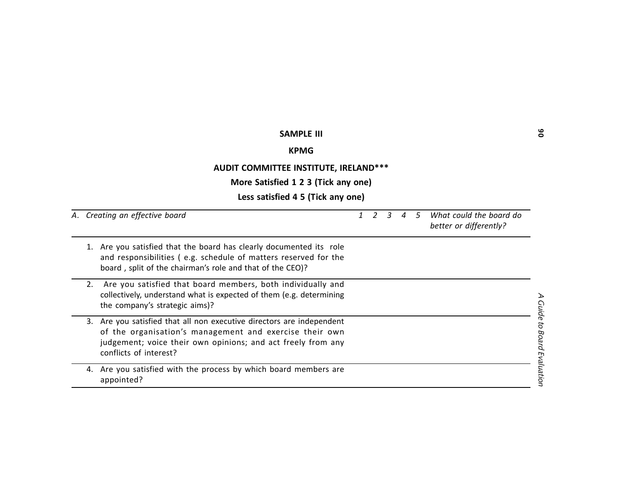|    | <b>SAMPLE III</b>                                                                                                                                                                                                       |               |   |   |                |            |                                                   | ိ                   |
|----|-------------------------------------------------------------------------------------------------------------------------------------------------------------------------------------------------------------------------|---------------|---|---|----------------|------------|---------------------------------------------------|---------------------|
|    | <b>KPMG</b>                                                                                                                                                                                                             |               |   |   |                |            |                                                   |                     |
|    | AUDIT COMMITTEE INSTITUTE, IRELAND***                                                                                                                                                                                   |               |   |   |                |            |                                                   |                     |
|    | More Satisfied 1 2 3 (Tick any one)                                                                                                                                                                                     |               |   |   |                |            |                                                   |                     |
|    | Less satisfied 4 5 (Tick any one)                                                                                                                                                                                       |               |   |   |                |            |                                                   |                     |
|    | A. Creating an effective board                                                                                                                                                                                          | $\mathcal{I}$ | 2 | 3 | $\overline{4}$ | $\sqrt{5}$ | What could the board do<br>better or differently? |                     |
|    | 1. Are you satisfied that the board has clearly documented its role<br>and responsibilities (e.g. schedule of matters reserved for the<br>board, split of the chairman's role and that of the CEO)?                     |               |   |   |                |            |                                                   |                     |
| 2. | Are you satisfied that board members, both individually and<br>collectively, understand what is expected of them (e.g. determining<br>the company's strategic aims)?                                                    |               |   |   |                |            |                                                   | ℶ<br><b>Guide</b>   |
| 3. | Are you satisfied that all non executive directors are independent<br>of the organisation's management and exercise their own<br>judgement; voice their own opinions; and act freely from any<br>conflicts of interest? |               |   |   |                |            |                                                   | to Board Evaluation |
|    | 4. Are you satisfied with the process by which board members are<br>appointed?                                                                                                                                          |               |   |   |                |            |                                                   |                     |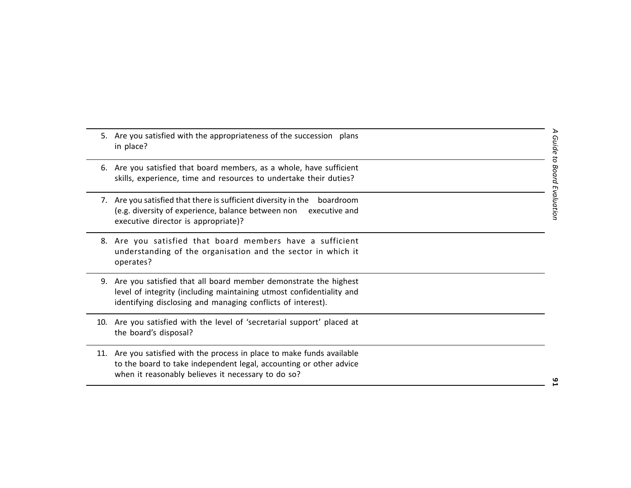|     | 5. Are you satisfied with the appropriateness of the succession plans<br>in place?                                                                                                                     | <b>Guide</b> |
|-----|--------------------------------------------------------------------------------------------------------------------------------------------------------------------------------------------------------|--------------|
| 6.  | Are you satisfied that board members, as a whole, have sufficient<br>skills, experience, time and resources to undertake their duties?                                                                 | Board        |
| 7.  | Are you satisfied that there is sufficient diversity in the<br>boardroom<br>(e.g. diversity of experience, balance between non<br>executive and<br>executive director is appropriate)?                 | aluatior     |
|     | 8. Are you satisfied that board members have a sufficient<br>understanding of the organisation and the sector in which it<br>operates?                                                                 |              |
| 9.  | Are you satisfied that all board member demonstrate the highest<br>level of integrity (including maintaining utmost confidentiality and<br>identifying disclosing and managing conflicts of interest). |              |
| 10. | Are you satisfied with the level of 'secretarial support' placed at<br>the board's disposal?                                                                                                           |              |
| 11. | Are you satisfied with the process in place to make funds available<br>to the board to take independent legal, accounting or other advice<br>when it reasonably believes it necessary to do so?        |              |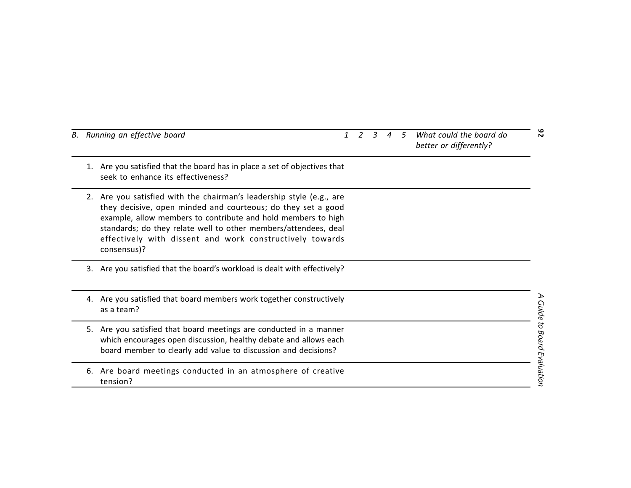|    | B. Running an effective board                                                                                                                                                                                                                                                                                                                       |  | 3 | $\boldsymbol{4}$ | -5 | What could the board do<br>better or differently? | $\overline{N}$      |
|----|-----------------------------------------------------------------------------------------------------------------------------------------------------------------------------------------------------------------------------------------------------------------------------------------------------------------------------------------------------|--|---|------------------|----|---------------------------------------------------|---------------------|
| 1. | Are you satisfied that the board has in place a set of objectives that<br>seek to enhance its effectiveness?                                                                                                                                                                                                                                        |  |   |                  |    |                                                   |                     |
|    | 2. Are you satisfied with the chairman's leadership style (e.g., are<br>they decisive, open minded and courteous; do they set a good<br>example, allow members to contribute and hold members to high<br>standards; do they relate well to other members/attendees, deal<br>effectively with dissent and work constructively towards<br>consensus)? |  |   |                  |    |                                                   |                     |
|    | 3. Are you satisfied that the board's workload is dealt with effectively?                                                                                                                                                                                                                                                                           |  |   |                  |    |                                                   |                     |
|    | 4. Are you satisfied that board members work together constructively<br>as a team?                                                                                                                                                                                                                                                                  |  |   |                  |    |                                                   | <b>Guide</b>        |
| 5. | Are you satisfied that board meetings are conducted in a manner<br>which encourages open discussion, healthy debate and allows each<br>board member to clearly add value to discussion and decisions?                                                                                                                                               |  |   |                  |    |                                                   | to Board Evaluation |
| 6. | Are board meetings conducted in an atmosphere of creative<br>tension?                                                                                                                                                                                                                                                                               |  |   |                  |    |                                                   |                     |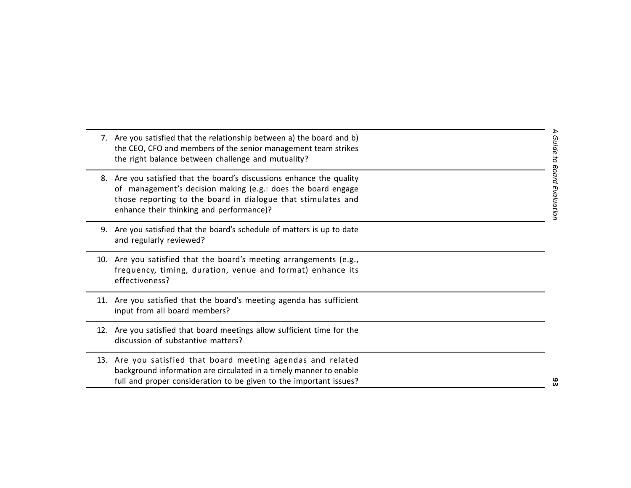| 7. Are you satisfied that the relationship between a) the board and b)<br>the CEO, CFO and members of the senior management team strikes<br>the right balance between challenge and mutuality?                                                    | Guide to            |
|---------------------------------------------------------------------------------------------------------------------------------------------------------------------------------------------------------------------------------------------------|---------------------|
| 8. Are you satisfied that the board's discussions enhance the quality<br>of management's decision making (e.g.: does the board engage<br>those reporting to the board in dialogue that stimulates and<br>enhance their thinking and performance)? | pupo;<br>Evaluatioi |
| 9. Are you satisfied that the board's schedule of matters is up to date<br>and regularly reviewed?                                                                                                                                                |                     |
| 10. Are you satisfied that the board's meeting arrangements (e.g.,<br>frequency, timing, duration, venue and format) enhance its<br>effectiveness?                                                                                                |                     |
| 11. Are you satisfied that the board's meeting agenda has sufficient<br>input from all board members?                                                                                                                                             |                     |
| 12. Are you satisfied that board meetings allow sufficient time for the<br>discussion of substantive matters?                                                                                                                                     |                     |
| 13. Are you satisfied that board meeting agendas and related<br>background information are circulated in a timely manner to enable<br>full and proper consideration to be given to the important issues?                                          |                     |
|                                                                                                                                                                                                                                                   |                     |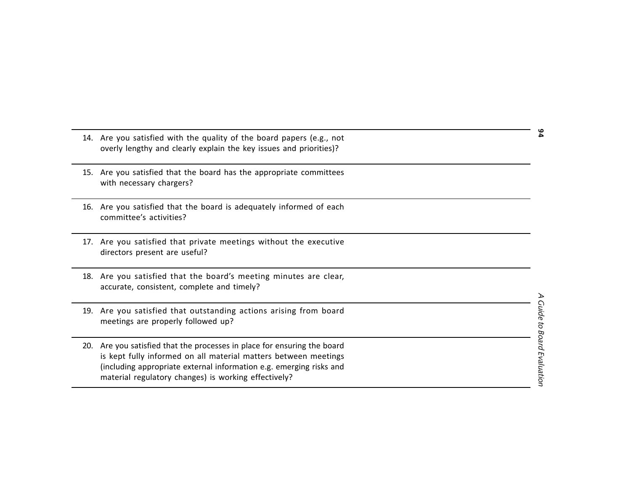|     | 14. Are you satisfied with the quality of the board papers (e.g., not<br>overly lengthy and clearly explain the key issues and priorities)?                                                                                                                            |                  |
|-----|------------------------------------------------------------------------------------------------------------------------------------------------------------------------------------------------------------------------------------------------------------------------|------------------|
| 15. | Are you satisfied that the board has the appropriate committees<br>with necessary chargers?                                                                                                                                                                            |                  |
| 16. | Are you satisfied that the board is adequately informed of each<br>committee's activities?                                                                                                                                                                             |                  |
| 17. | Are you satisfied that private meetings without the executive<br>directors present are useful?                                                                                                                                                                         |                  |
| 18. | Are you satisfied that the board's meeting minutes are clear,<br>accurate, consistent, complete and timely?                                                                                                                                                            |                  |
| 19. | Are you satisfied that outstanding actions arising from board<br>meetings are properly followed up?                                                                                                                                                                    | Juide to         |
| 20. | Are you satisfied that the processes in place for ensuring the board<br>is kept fully informed on all material matters between meetings<br>(including appropriate external information e.g. emerging risks and<br>material regulatory changes) is working effectively? | Board Evaluation |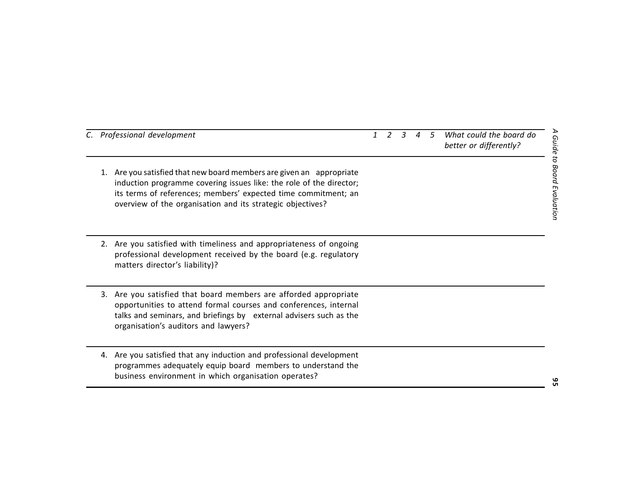| C. Professional development                                                                                                                                                                                                                                                 | $\mathbf{1}$ | $\overline{2}$ | $\overline{3}$ | $\overline{A}$ | $\overline{5}$ | What could the board do<br>better or differently? |
|-----------------------------------------------------------------------------------------------------------------------------------------------------------------------------------------------------------------------------------------------------------------------------|--------------|----------------|----------------|----------------|----------------|---------------------------------------------------|
| 1. Are you satisfied that new board members are given an appropriate<br>induction programme covering issues like: the role of the director;<br>its terms of references; members' expected time commitment; an<br>overview of the organisation and its strategic objectives? |              |                |                |                |                |                                                   |
| Are you satisfied with timeliness and appropriateness of ongoing<br>2.<br>professional development received by the board (e.g. regulatory<br>matters director's liability)?                                                                                                 |              |                |                |                |                |                                                   |
| Are you satisfied that board members are afforded appropriate<br>3.<br>opportunities to attend formal courses and conferences, internal<br>talks and seminars, and briefings by external advisers such as the<br>organisation's auditors and lawyers?                       |              |                |                |                |                |                                                   |
| Are you satisfied that any induction and professional development<br>4.<br>programmes adequately equip board members to understand the<br>business environment in which organisation operates?                                                                              |              |                |                |                |                |                                                   |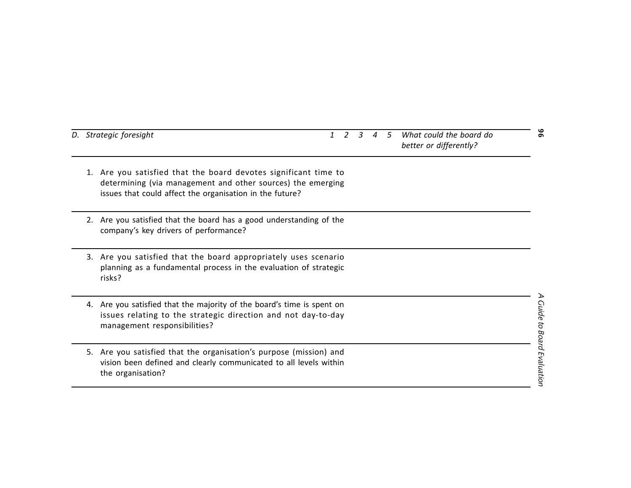| D. Strategic foresight                                                                                                                                                                        |  | $\overline{a}$ | 5 | What could the board do<br>better or differently? | თ                                |
|-----------------------------------------------------------------------------------------------------------------------------------------------------------------------------------------------|--|----------------|---|---------------------------------------------------|----------------------------------|
| Are you satisfied that the board devotes significant time to<br>1.<br>determining (via management and other sources) the emerging<br>issues that could affect the organisation in the future? |  |                |   |                                                   |                                  |
| Are you satisfied that the board has a good understanding of the<br>company's key drivers of performance?                                                                                     |  |                |   |                                                   |                                  |
| Are you satisfied that the board appropriately uses scenario<br>3.<br>planning as a fundamental process in the evaluation of strategic<br>risks?                                              |  |                |   |                                                   |                                  |
| 4. Are you satisfied that the majority of the board's time is spent on<br>issues relating to the strategic direction and not day-to-day<br>management responsibilities?                       |  |                |   |                                                   |                                  |
| Are you satisfied that the organisation's purpose (mission) and<br>5.<br>vision been defined and clearly communicated to all levels within<br>the organisation?                               |  |                |   |                                                   | <b>Guide to Board Evaluation</b> |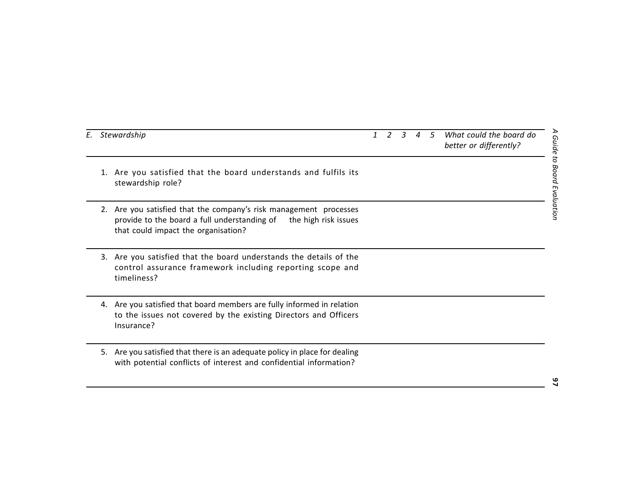| E. Stewardship                                                                                                                                                                | $\mathcal{I}$ | 2 | $\mathcal{R}$ | $\overline{A}$ | $-5$ | What could the board do<br>better or differently? |
|-------------------------------------------------------------------------------------------------------------------------------------------------------------------------------|---------------|---|---------------|----------------|------|---------------------------------------------------|
| 1. Are you satisfied that the board understands and fulfils its<br>stewardship role?                                                                                          |               |   |               |                |      |                                                   |
| Are you satisfied that the company's risk management processes<br>provide to the board a full understanding of<br>the high risk issues<br>that could impact the organisation? |               |   |               |                |      |                                                   |
| Are you satisfied that the board understands the details of the<br>3.<br>control assurance framework including reporting scope and<br>timeliness?                             |               |   |               |                |      |                                                   |
| 4. Are you satisfied that board members are fully informed in relation<br>to the issues not covered by the existing Directors and Officers<br>Insurance?                      |               |   |               |                |      |                                                   |
| Are you satisfied that there is an adequate policy in place for dealing<br>5.<br>with potential conflicts of interest and confidential information?                           |               |   |               |                |      |                                                   |
|                                                                                                                                                                               |               |   |               |                |      |                                                   |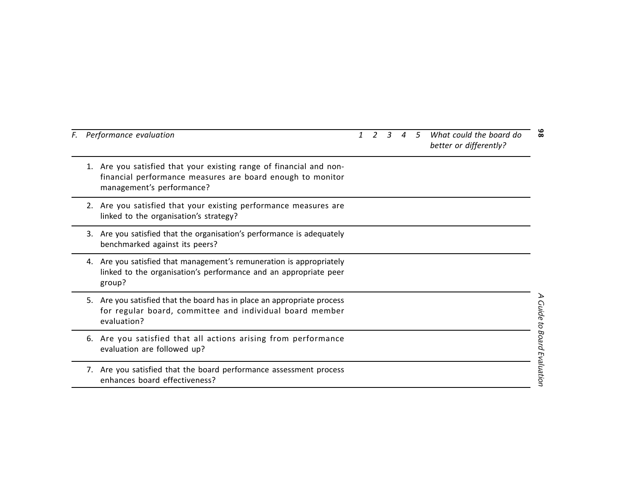|    | F. Performance evaluation                                                                                                                                      | $\mathbf{1}$ | $\mathcal{R}$ | 4 5 | What could the board do<br>better or differently? | $\frac{6}{8}$                    |
|----|----------------------------------------------------------------------------------------------------------------------------------------------------------------|--------------|---------------|-----|---------------------------------------------------|----------------------------------|
|    | 1. Are you satisfied that your existing range of financial and non-<br>financial performance measures are board enough to monitor<br>management's performance? |              |               |     |                                                   |                                  |
|    | 2. Are you satisfied that your existing performance measures are<br>linked to the organisation's strategy?                                                     |              |               |     |                                                   |                                  |
| 3. | Are you satisfied that the organisation's performance is adequately<br>benchmarked against its peers?                                                          |              |               |     |                                                   |                                  |
| 4. | Are you satisfied that management's remuneration is appropriately<br>linked to the organisation's performance and an appropriate peer<br>group?                |              |               |     |                                                   |                                  |
| 5. | Are you satisfied that the board has in place an appropriate process<br>for regular board, committee and individual board member<br>evaluation?                |              |               |     |                                                   |                                  |
|    | 6. Are you satisfied that all actions arising from performance<br>evaluation are followed up?                                                                  |              |               |     |                                                   | <b>Guide to Board Evaluation</b> |
|    | 7. Are you satisfied that the board performance assessment process<br>enhances board effectiveness?                                                            |              |               |     |                                                   |                                  |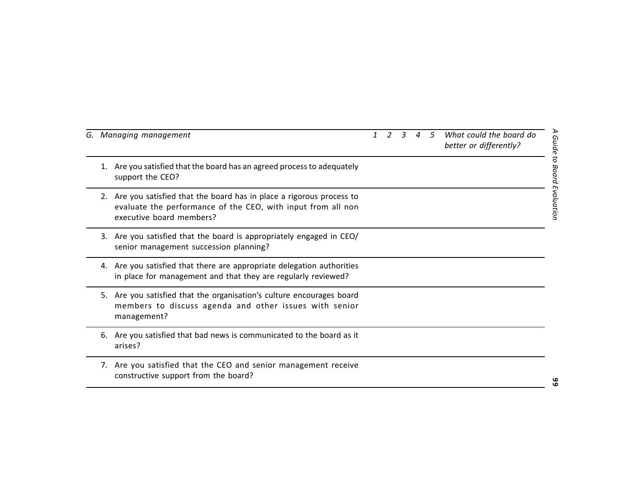| G. Managing management                                                                                                                                             | $\mathcal{I}$ | $\overline{\phantom{a}}$ | $\mathbf{R}$ | $\boldsymbol{\varLambda}$ | .5 | What could the board do<br>better or differently? |
|--------------------------------------------------------------------------------------------------------------------------------------------------------------------|---------------|--------------------------|--------------|---------------------------|----|---------------------------------------------------|
| Are you satisfied that the board has an agreed process to adequately<br>1.<br>support the CEO?                                                                     |               |                          |              |                           |    |                                                   |
| 2. Are you satisfied that the board has in place a rigorous process to<br>evaluate the performance of the CEO, with input from all non<br>executive board members? |               |                          |              |                           |    |                                                   |
| 3. Are you satisfied that the board is appropriately engaged in CEO/<br>senior management succession planning?                                                     |               |                          |              |                           |    |                                                   |
| 4. Are you satisfied that there are appropriate delegation authorities<br>in place for management and that they are regularly reviewed?                            |               |                          |              |                           |    |                                                   |
| Are you satisfied that the organisation's culture encourages board<br>5.<br>members to discuss agenda and other issues with senior<br>management?                  |               |                          |              |                           |    |                                                   |
| Are you satisfied that bad news is communicated to the board as it<br>6.<br>arises?                                                                                |               |                          |              |                           |    |                                                   |
| 7. Are you satisfied that the CEO and senior management receive<br>constructive support from the board?                                                            |               |                          |              |                           |    |                                                   |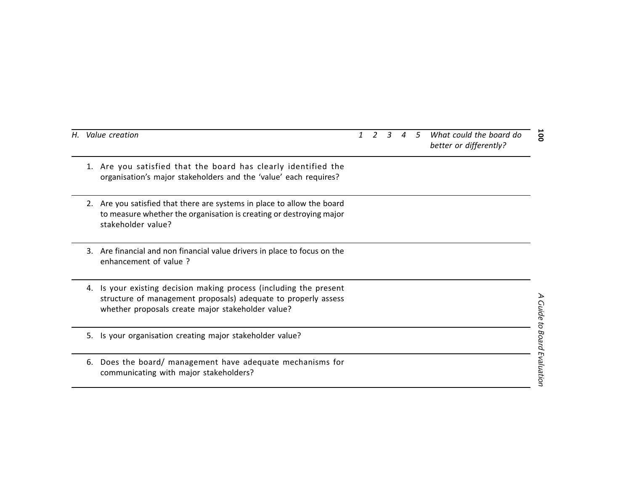| Н. | Value creation                                                                                                                                                                               |  | 3 | 5 | What could the board do<br>better or differently? | <b>00T</b>                  |
|----|----------------------------------------------------------------------------------------------------------------------------------------------------------------------------------------------|--|---|---|---------------------------------------------------|-----------------------------|
|    | Are you satisfied that the board has clearly identified the<br>1.<br>organisation's major stakeholders and the 'value' each requires?                                                        |  |   |   |                                                   |                             |
|    | 2. Are you satisfied that there are systems in place to allow the board<br>to measure whether the organisation is creating or destroying major<br>stakeholder value?                         |  |   |   |                                                   |                             |
|    | Are financial and non financial value drivers in place to focus on the<br>3.<br>enhancement of value ?                                                                                       |  |   |   |                                                   |                             |
|    | Is your existing decision making process (including the present<br>4.<br>structure of management proposals) adequate to properly assess<br>whether proposals create major stakeholder value? |  |   |   |                                                   |                             |
|    | Is your organisation creating major stakeholder value?<br>5.                                                                                                                                 |  |   |   |                                                   |                             |
|    | Does the board/ management have adequate mechanisms for<br>6.<br>communicating with major stakeholders?                                                                                      |  |   |   |                                                   | A Guide to Board Evaluation |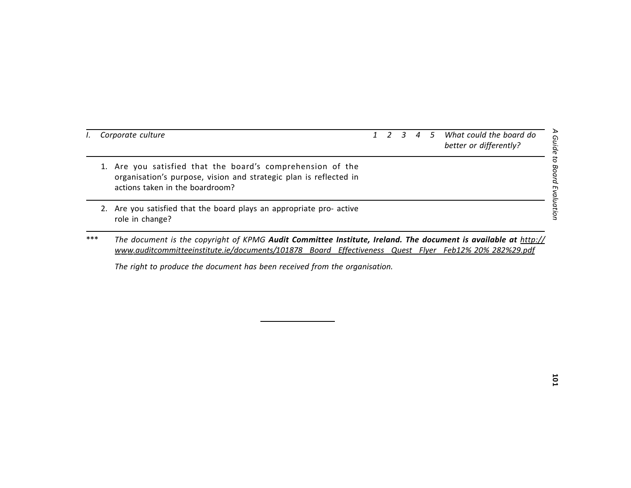- 
- 
- For the counter of differently?<br>
1 Corporate culture<br>
1 Constantion's purpose, vision and strategic plan is reflected in<br>
1 Constantion's purpose, vision and strategic plan is reflected in<br>
actions taken in the boardroom?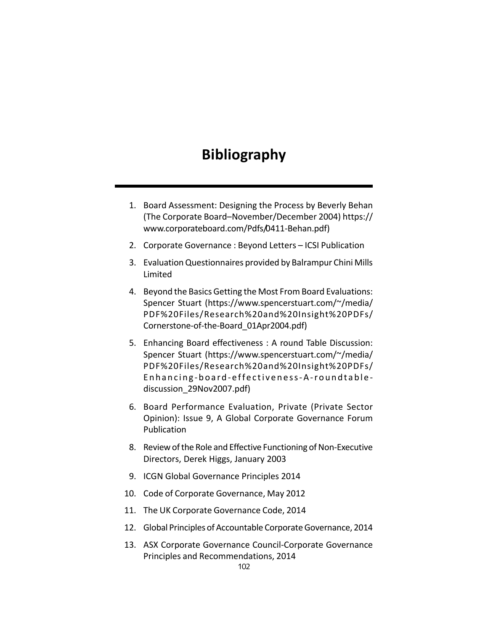# **Bibliography**

- 1. Board Assessment: Designing the Process by Beverly Behan (The Corporate Board–November/December 2004) https:// www.corporateboard.com/Pdfs/0411-Behan.pdf)
- 2. Corporate Governance : Beyond Letters ICSI Publication
- 3. Evaluation Questionnaires provided by Balrampur Chini Mills Limited
- 4. Beyond the Basics Getting the Most From Board Evaluations: Spencer Stuart (https://www.spencerstuart.com/~/media/ PDF%20Files/Research%20and%20Insight%20PDFs/ Cornerstone-of-the-Board\_01Apr2004.pdf)
- 5. Enhancing Board effectiveness : A round Table Discussion: Spencer Stuart (https://www.spencerstuart.com/~/media/ PDF%20Files/Research%20and%20Insight%20PDFs/ Enhancing-board-effectiveness-A-roundtablediscussion\_29Nov2007.pdf)
- 6. Board Performance Evaluation, Private (Private Sector Opinion): Issue 9, A Global Corporate Governance Forum Publication
- 8. Review of the Role and Effective Functioning of Non-Executive Directors, Derek Higgs, January 2003
- 9. ICGN Global Governance Principles 2014
- 10. Code of Corporate Governance, May 2012
- 11. The UK Corporate Governance Code, 2014
- 12. Global Principles of Accountable Corporate Governance, 2014
- 13. ASX Corporate Governance Council-Corporate Governance Principles and Recommendations, 2014